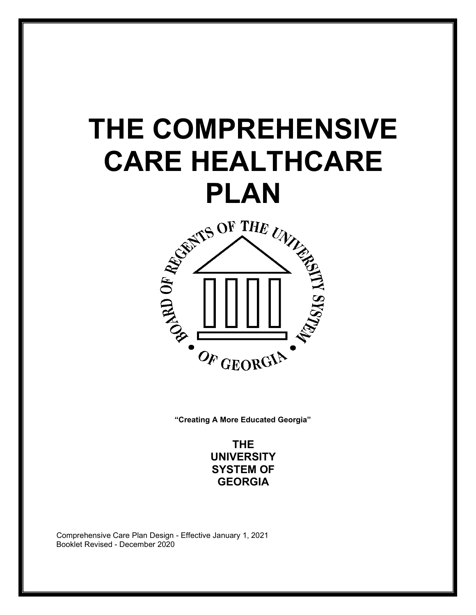# **THE COMPREHENSIVE CARE HEALTHCARE**



**"Creating A More Educated Georgia"**

**THE UNIVERSITY SYSTEM OF GEORGIA**

Comprehensive Care Plan Design - Effective January 1, 2021 Booklet Revised - December 2020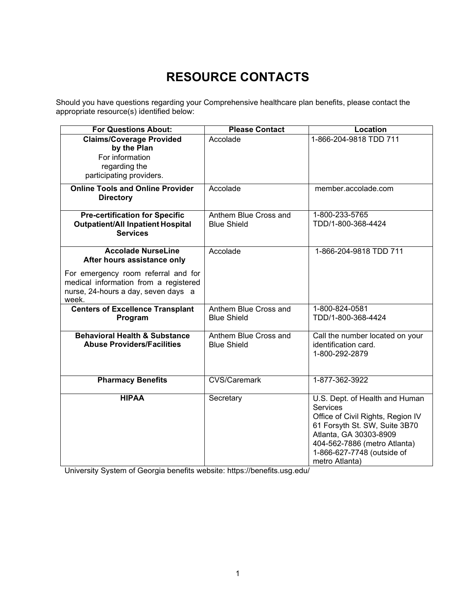# **RESOURCE CONTACTS**

<span id="page-1-0"></span>Should you have questions regarding your Comprehensive healthcare plan benefits, please contact the appropriate resource(s) identified below:

| <b>For Questions About:</b>              | <b>Please Contact</b> | <b>Location</b>                   |
|------------------------------------------|-----------------------|-----------------------------------|
| <b>Claims/Coverage Provided</b>          | Accolade              | 1-866-204-9818 TDD 711            |
| by the Plan                              |                       |                                   |
| For information                          |                       |                                   |
| regarding the                            |                       |                                   |
| participating providers.                 |                       |                                   |
| <b>Online Tools and Online Provider</b>  |                       |                                   |
|                                          | Accolade              | member.accolade.com               |
| <b>Directory</b>                         |                       |                                   |
| <b>Pre-certification for Specific</b>    | Anthem Blue Cross and | 1-800-233-5765                    |
| <b>Outpatient/All Inpatient Hospital</b> | <b>Blue Shield</b>    | TDD/1-800-368-4424                |
| <b>Services</b>                          |                       |                                   |
|                                          |                       |                                   |
| <b>Accolade NurseLine</b>                | Accolade              | 1-866-204-9818 TDD 711            |
| After hours assistance only              |                       |                                   |
|                                          |                       |                                   |
| For emergency room referral and for      |                       |                                   |
| medical information from a registered    |                       |                                   |
| nurse, 24-hours a day, seven days a      |                       |                                   |
| week.                                    |                       |                                   |
| <b>Centers of Excellence Transplant</b>  | Anthem Blue Cross and | 1-800-824-0581                    |
| Program                                  | <b>Blue Shield</b>    | TDD/1-800-368-4424                |
| <b>Behavioral Health &amp; Substance</b> | Anthem Blue Cross and | Call the number located on your   |
| <b>Abuse Providers/Facilities</b>        | <b>Blue Shield</b>    | identification card.              |
|                                          |                       | 1-800-292-2879                    |
|                                          |                       |                                   |
|                                          |                       |                                   |
| <b>Pharmacy Benefits</b>                 | <b>CVS/Caremark</b>   | 1-877-362-3922                    |
|                                          |                       |                                   |
| <b>HIPAA</b>                             | Secretary             | U.S. Dept. of Health and Human    |
|                                          |                       | Services                          |
|                                          |                       | Office of Civil Rights, Region IV |
|                                          |                       | 61 Forsyth St. SW, Suite 3B70     |
|                                          |                       | Atlanta, GA 30303-8909            |
|                                          |                       | 404-562-7886 (metro Atlanta)      |
|                                          |                       | 1-866-627-7748 (outside of        |
|                                          |                       | metro Atlanta)                    |

University System of Georgia benefits website: https://benefits.usg.edu/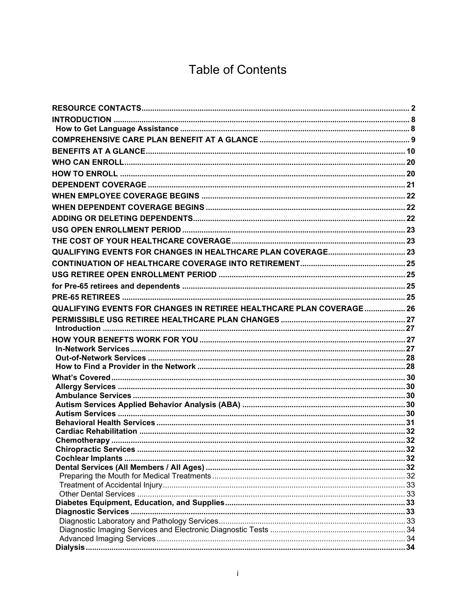# **Table of Contents**

| QUALIFYING EVENTS FOR CHANGES IN RETIREE HEALTHCARE PLAN COVERAGE 26 |  |
|----------------------------------------------------------------------|--|
|                                                                      |  |
|                                                                      |  |
|                                                                      |  |
|                                                                      |  |
|                                                                      |  |
|                                                                      |  |
|                                                                      |  |
|                                                                      |  |
|                                                                      |  |
|                                                                      |  |
|                                                                      |  |
|                                                                      |  |
|                                                                      |  |
|                                                                      |  |
|                                                                      |  |
|                                                                      |  |
|                                                                      |  |
|                                                                      |  |
|                                                                      |  |
|                                                                      |  |
|                                                                      |  |
|                                                                      |  |
|                                                                      |  |
|                                                                      |  |
|                                                                      |  |
|                                                                      |  |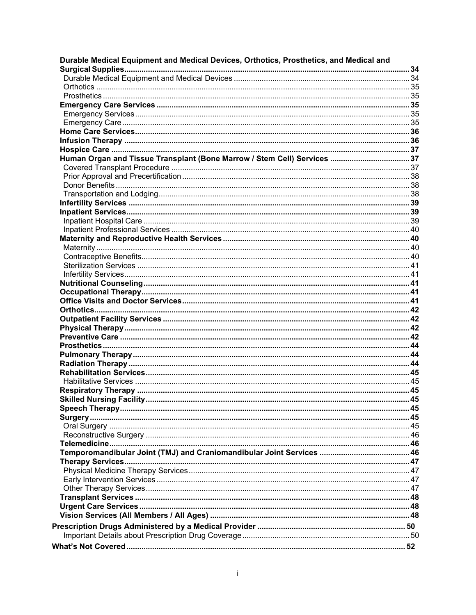| Durable Medical Equipment and Medical Devices, Orthotics, Prosthetics, and Medical and |  |
|----------------------------------------------------------------------------------------|--|
|                                                                                        |  |
|                                                                                        |  |
|                                                                                        |  |
|                                                                                        |  |
|                                                                                        |  |
|                                                                                        |  |
|                                                                                        |  |
|                                                                                        |  |
|                                                                                        |  |
| Human Organ and Tissue Transplant (Bone Marrow / Stem Cell) Services 37                |  |
|                                                                                        |  |
|                                                                                        |  |
|                                                                                        |  |
|                                                                                        |  |
|                                                                                        |  |
|                                                                                        |  |
|                                                                                        |  |
|                                                                                        |  |
|                                                                                        |  |
|                                                                                        |  |
|                                                                                        |  |
|                                                                                        |  |
|                                                                                        |  |
|                                                                                        |  |
|                                                                                        |  |
|                                                                                        |  |
|                                                                                        |  |
|                                                                                        |  |
|                                                                                        |  |
|                                                                                        |  |
|                                                                                        |  |
|                                                                                        |  |
|                                                                                        |  |
|                                                                                        |  |
|                                                                                        |  |
|                                                                                        |  |
|                                                                                        |  |
|                                                                                        |  |
|                                                                                        |  |
|                                                                                        |  |
|                                                                                        |  |
|                                                                                        |  |
|                                                                                        |  |
|                                                                                        |  |
|                                                                                        |  |
|                                                                                        |  |
|                                                                                        |  |
|                                                                                        |  |
|                                                                                        |  |
|                                                                                        |  |
|                                                                                        |  |
|                                                                                        |  |
|                                                                                        |  |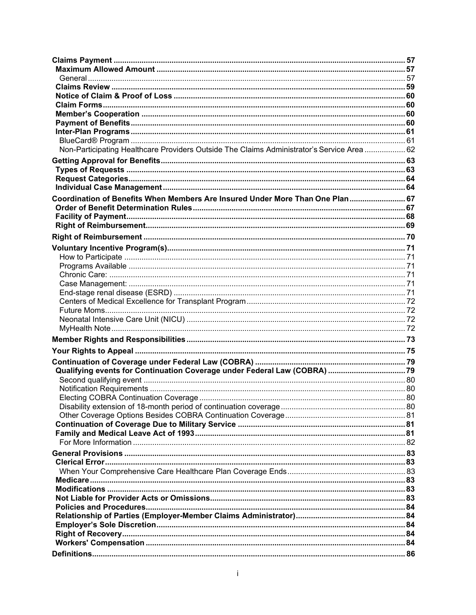| Non-Participating Healthcare Providers Outside The Claims Administrator's Service Area  62 |  |
|--------------------------------------------------------------------------------------------|--|
|                                                                                            |  |
|                                                                                            |  |
|                                                                                            |  |
|                                                                                            |  |
| Coordination of Benefits When Members Are Insured Under More Than One Plan 67              |  |
|                                                                                            |  |
|                                                                                            |  |
|                                                                                            |  |
|                                                                                            |  |
|                                                                                            |  |
|                                                                                            |  |
|                                                                                            |  |
|                                                                                            |  |
|                                                                                            |  |
|                                                                                            |  |
|                                                                                            |  |
|                                                                                            |  |
|                                                                                            |  |
|                                                                                            |  |
|                                                                                            |  |
|                                                                                            |  |
|                                                                                            |  |
|                                                                                            |  |
|                                                                                            |  |
|                                                                                            |  |
|                                                                                            |  |
|                                                                                            |  |
|                                                                                            |  |
|                                                                                            |  |
|                                                                                            |  |
|                                                                                            |  |
|                                                                                            |  |
|                                                                                            |  |
|                                                                                            |  |
|                                                                                            |  |
|                                                                                            |  |
|                                                                                            |  |
|                                                                                            |  |
|                                                                                            |  |
|                                                                                            |  |
|                                                                                            |  |
|                                                                                            |  |
|                                                                                            |  |
|                                                                                            |  |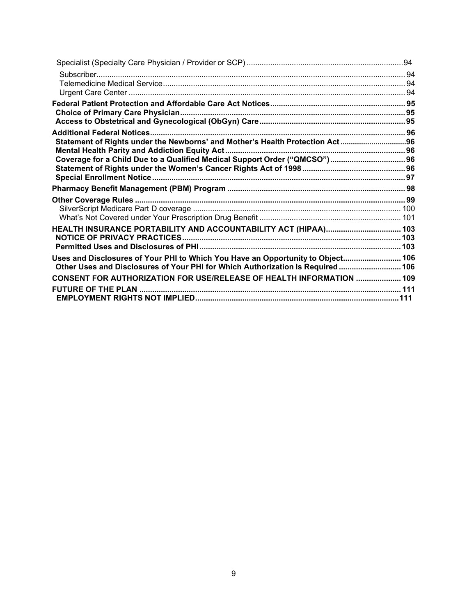| Subscriber                                                                      |  |
|---------------------------------------------------------------------------------|--|
|                                                                                 |  |
|                                                                                 |  |
|                                                                                 |  |
|                                                                                 |  |
|                                                                                 |  |
|                                                                                 |  |
| Statement of Rights under the Newborns' and Mother's Health Protection Act96    |  |
|                                                                                 |  |
| Coverage for a Child Due to a Qualified Medical Support Order ("QMCSO") 96      |  |
|                                                                                 |  |
|                                                                                 |  |
|                                                                                 |  |
|                                                                                 |  |
|                                                                                 |  |
|                                                                                 |  |
|                                                                                 |  |
|                                                                                 |  |
|                                                                                 |  |
| Uses and Disclosures of Your PHI to Which You Have an Opportunity to Object 106 |  |
| Other Uses and Disclosures of Your PHI for Which Authorization Is Required 106  |  |
| CONSENT FOR AUTHORIZATION FOR USE/RELEASE OF HEALTH INFORMATION  109            |  |
|                                                                                 |  |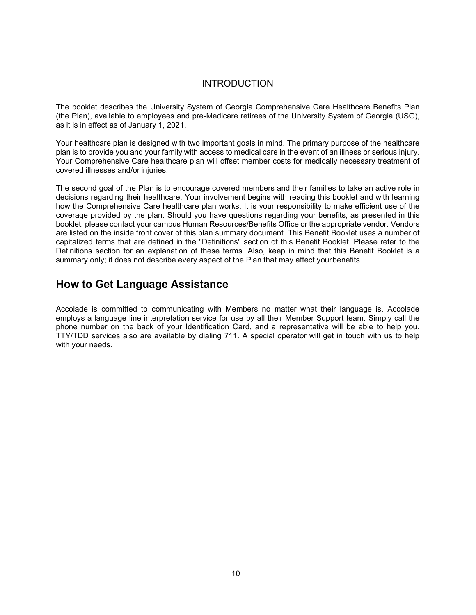#### INTRODUCTION

<span id="page-7-0"></span>The booklet describes the University System of Georgia Comprehensive Care Healthcare Benefits Plan (the Plan), available to employees and pre-Medicare retirees of the University System of Georgia (USG), as it is in effect as of January 1, 2021.

Your healthcare plan is designed with two important goals in mind. The primary purpose of the healthcare plan is to provide you and your family with access to medical care in the event of an illness or serious injury. Your Comprehensive Care healthcare plan will offset member costs for medically necessary treatment of covered illnesses and/or injuries.

The second goal of the Plan is to encourage covered members and their families to take an active role in decisions regarding their healthcare. Your involvement begins with reading this booklet and with learning how the Comprehensive Care healthcare plan works. It is your responsibility to make efficient use of the coverage provided by the plan. Should you have questions regarding your benefits, as presented in this booklet, please contact your campus Human Resources/Benefits Office or the appropriate vendor. Vendors are listed on the inside front cover of this plan summary document. This Benefit Booklet uses a number of capitalized terms that are defined in the "Definitions" section of this Benefit Booklet. Please refer to the Definitions section for an explanation of these terms. Also, keep in mind that this Benefit Booklet is a summary only; it does not describe every aspect of the Plan that may affect yourbenefits.

## <span id="page-7-1"></span>**How to Get Language Assistance**

Accolade is committed to communicating with Members no matter what their language is. Accolade employs a language line interpretation service for use by all their Member Support team. Simply call the phone number on the back of your Identification Card, and a representative will be able to help you. TTY/TDD services also are available by dialing 711. A special operator will get in touch with us to help with your needs.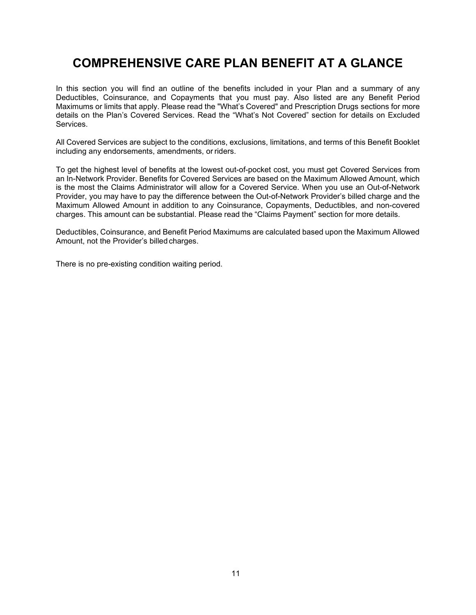# <span id="page-8-0"></span>**COMPREHENSIVE CARE PLAN BENEFIT AT A GLANCE**

In this section you will find an outline of the benefits included in your Plan and a summary of any Deductibles, Coinsurance, and Copayments that you must pay. Also listed are any Benefit Period Maximums or limits that apply. Please read the "What's Covered" and Prescription Drugs sections for more details on the Plan's Covered Services. Read the "What's Not Covered" section for details on Excluded Services.

All Covered Services are subject to the conditions, exclusions, limitations, and terms of this Benefit Booklet including any endorsements, amendments, or riders.

To get the highest level of benefits at the lowest out-of-pocket cost, you must get Covered Services from an In-Network Provider. Benefits for Covered Services are based on the Maximum Allowed Amount, which is the most the Claims Administrator will allow for a Covered Service. When you use an Out-of-Network Provider, you may have to pay the difference between the Out-of-Network Provider's billed charge and the Maximum Allowed Amount in addition to any Coinsurance, Copayments, Deductibles, and non-covered charges. This amount can be substantial. Please read the "Claims Payment" section for more details.

Deductibles, Coinsurance, and Benefit Period Maximums are calculated based upon the Maximum Allowed Amount, not the Provider's billed charges.

There is no pre-existing condition waiting period.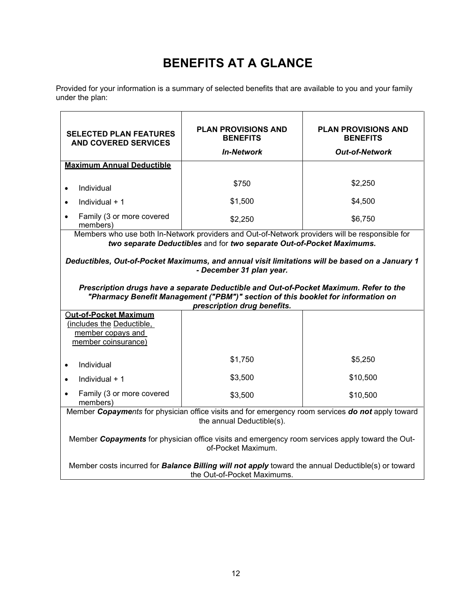# **BENEFITS AT A GLANCE**

<span id="page-9-0"></span>Provided for your information is a summary of selected benefits that are available to you and your family under the plan:

| <b>SELECTED PLAN FEATURES</b><br><b>AND COVERED SERVICES</b>                                                                                                                                             | <b>PLAN PROVISIONS AND</b><br><b>BENEFITS</b>                                                                                                                           | <b>PLAN PROVISIONS AND</b><br><b>BENEFITS</b> |
|----------------------------------------------------------------------------------------------------------------------------------------------------------------------------------------------------------|-------------------------------------------------------------------------------------------------------------------------------------------------------------------------|-----------------------------------------------|
|                                                                                                                                                                                                          | <b>In-Network</b>                                                                                                                                                       | <b>Out-of-Network</b>                         |
| <b>Maximum Annual Deductible</b>                                                                                                                                                                         |                                                                                                                                                                         |                                               |
| Individual<br>$\bullet$                                                                                                                                                                                  | \$750                                                                                                                                                                   | \$2,250                                       |
| Individual + 1                                                                                                                                                                                           | \$1,500                                                                                                                                                                 | \$4,500                                       |
| Family (3 or more covered<br>members)                                                                                                                                                                    | \$2,250                                                                                                                                                                 | \$6,750                                       |
|                                                                                                                                                                                                          | Members who use both In-Network providers and Out-of-Network providers will be responsible for<br>two separate Deductibles and for two separate Out-of-Pocket Maximums. |                                               |
|                                                                                                                                                                                                          | Deductibles, Out-of-Pocket Maximums, and annual visit limitations will be based on a January 1<br>- December 31 plan year.                                              |                                               |
| Prescription drugs have a separate Deductible and Out-of-Pocket Maximum. Refer to the<br>"Pharmacy Benefit Management ("PBM")" section of this booklet for information on<br>prescription drug benefits. |                                                                                                                                                                         |                                               |
| <b>Out-of-Pocket Maximum</b><br>(includes the Deductible,<br>member copays and<br>member coinsurance)                                                                                                    |                                                                                                                                                                         |                                               |
| Individual<br>$\bullet$                                                                                                                                                                                  | \$1,750                                                                                                                                                                 | \$5,250                                       |
| Individual + 1<br>$\bullet$                                                                                                                                                                              | \$3,500                                                                                                                                                                 | \$10,500                                      |
| Family (3 or more covered<br>members)                                                                                                                                                                    | \$3,500                                                                                                                                                                 | \$10,500                                      |
| Member Copayments for physician office visits and for emergency room services do not apply toward<br>the annual Deductible(s).                                                                           |                                                                                                                                                                         |                                               |
| Member Copayments for physician office visits and emergency room services apply toward the Out-<br>of-Pocket Maximum.                                                                                    |                                                                                                                                                                         |                                               |
| Member costs incurred for <b>Balance Billing will not apply</b> toward the annual Deductible(s) or toward<br>the Out-of-Pocket Maximums.                                                                 |                                                                                                                                                                         |                                               |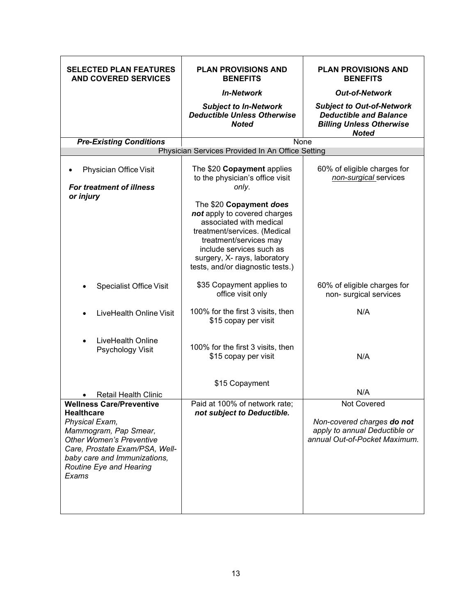| <b>SELECTED PLAN FEATURES</b><br><b>AND COVERED SERVICES</b>                                                                                                                                                                             | <b>PLAN PROVISIONS AND</b><br><b>BENEFITS</b>                                                                                                                                                                                                | <b>PLAN PROVISIONS AND</b><br><b>BENEFITS</b>                                                                        |
|------------------------------------------------------------------------------------------------------------------------------------------------------------------------------------------------------------------------------------------|----------------------------------------------------------------------------------------------------------------------------------------------------------------------------------------------------------------------------------------------|----------------------------------------------------------------------------------------------------------------------|
|                                                                                                                                                                                                                                          | <b>In-Network</b>                                                                                                                                                                                                                            | <b>Out-of-Network</b>                                                                                                |
|                                                                                                                                                                                                                                          | <b>Subject to In-Network</b><br><b>Deductible Unless Otherwise</b><br><b>Noted</b>                                                                                                                                                           | <b>Subject to Out-of-Network</b><br><b>Deductible and Balance</b><br><b>Billing Unless Otherwise</b><br><b>Noted</b> |
| <b>Pre-Existing Conditions</b>                                                                                                                                                                                                           | None                                                                                                                                                                                                                                         |                                                                                                                      |
|                                                                                                                                                                                                                                          | Physician Services Provided In An Office Setting                                                                                                                                                                                             |                                                                                                                      |
| Physician Office Visit<br><b>For treatment of illness</b>                                                                                                                                                                                | The \$20 Copayment applies<br>to the physician's office visit<br>only.                                                                                                                                                                       | 60% of eligible charges for<br>non-surgical services                                                                 |
| or injury                                                                                                                                                                                                                                | The \$20 Copayment does<br>not apply to covered charges<br>associated with medical<br>treatment/services. (Medical<br>treatment/services may<br>include services such as<br>surgery, X- rays, laboratory<br>tests, and/or diagnostic tests.) |                                                                                                                      |
| <b>Specialist Office Visit</b>                                                                                                                                                                                                           | \$35 Copayment applies to<br>office visit only                                                                                                                                                                                               | 60% of eligible charges for<br>non- surgical services                                                                |
| LiveHealth Online Visit                                                                                                                                                                                                                  | 100% for the first 3 visits, then<br>\$15 copay per visit                                                                                                                                                                                    | N/A                                                                                                                  |
| LiveHealth Online<br>Psychology Visit                                                                                                                                                                                                    | 100% for the first 3 visits, then<br>\$15 copay per visit                                                                                                                                                                                    | N/A                                                                                                                  |
| <b>Retail Health Clinic</b>                                                                                                                                                                                                              | \$15 Copayment                                                                                                                                                                                                                               | N/A                                                                                                                  |
| <b>Wellness Care/Preventive</b><br><b>Healthcare</b><br>Physical Exam,<br>Mammogram, Pap Smear,<br><b>Other Women's Preventive</b><br>Care, Prostate Exam/PSA, Well-<br>baby care and Immunizations,<br>Routine Eye and Hearing<br>Exams | Paid at 100% of network rate;<br>not subject to Deductible.                                                                                                                                                                                  | Not Covered<br>Non-covered charges do not<br>apply to annual Deductible or<br>annual Out-of-Pocket Maximum.          |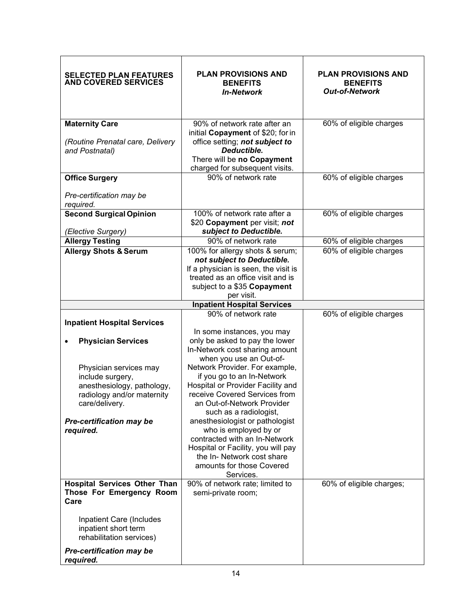| <b>SELECTED PLAN FEATURES</b><br><b>AND COVERED SERVICES</b>                                                                                                                                                                                | <b>PLAN PROVISIONS AND</b><br><b>BENEFITS</b><br><b>In-Network</b>                                                                                                                                                                                                                                                                                                                                                                                                                                                                                        | <b>PLAN PROVISIONS AND</b><br><b>BENEFITS</b><br><b>Out-of-Network</b> |
|---------------------------------------------------------------------------------------------------------------------------------------------------------------------------------------------------------------------------------------------|-----------------------------------------------------------------------------------------------------------------------------------------------------------------------------------------------------------------------------------------------------------------------------------------------------------------------------------------------------------------------------------------------------------------------------------------------------------------------------------------------------------------------------------------------------------|------------------------------------------------------------------------|
| <b>Maternity Care</b><br>(Routine Prenatal care, Delivery<br>and Postnatal)                                                                                                                                                                 | 90% of network rate after an<br>initial Copayment of \$20; for in<br>office setting; not subject to<br>Deductible.<br>There will be no Copayment<br>charged for subsequent visits.                                                                                                                                                                                                                                                                                                                                                                        | 60% of eligible charges                                                |
| <b>Office Surgery</b>                                                                                                                                                                                                                       | 90% of network rate                                                                                                                                                                                                                                                                                                                                                                                                                                                                                                                                       | 60% of eligible charges                                                |
| Pre-certification may be<br>required.                                                                                                                                                                                                       |                                                                                                                                                                                                                                                                                                                                                                                                                                                                                                                                                           |                                                                        |
| <b>Second Surgical Opinion</b><br>(Elective Surgery)                                                                                                                                                                                        | 100% of network rate after a<br>\$20 Copayment per visit; not<br>subject to Deductible.                                                                                                                                                                                                                                                                                                                                                                                                                                                                   | 60% of eligible charges                                                |
| <b>Allergy Testing</b>                                                                                                                                                                                                                      | 90% of network rate                                                                                                                                                                                                                                                                                                                                                                                                                                                                                                                                       | 60% of eligible charges                                                |
| <b>Allergy Shots &amp; Serum</b>                                                                                                                                                                                                            | 100% for allergy shots & serum;<br>not subject to Deductible.<br>If a physician is seen, the visit is<br>treated as an office visit and is<br>subject to a \$35 Copayment<br>per visit.                                                                                                                                                                                                                                                                                                                                                                   | 60% of eligible charges                                                |
|                                                                                                                                                                                                                                             | <b>Inpatient Hospital Services</b>                                                                                                                                                                                                                                                                                                                                                                                                                                                                                                                        |                                                                        |
| <b>Inpatient Hospital Services</b><br><b>Physician Services</b><br>Physician services may<br>include surgery,<br>anesthesiology, pathology,<br>radiology and/or maternity<br>care/delivery.<br><b>Pre-certification may be</b><br>required. | 90% of network rate<br>In some instances, you may<br>only be asked to pay the lower<br>In-Network cost sharing amount<br>when you use an Out-of-<br>Network Provider. For example,<br>if you go to an In-Network<br>Hospital or Provider Facility and<br>receive Covered Services from<br>an Out-of-Network Provider<br>such as a radiologist,<br>anesthesiologist or pathologist<br>who is employed by or<br>contracted with an In-Network<br>Hospital or Facility, you will pay<br>the In- Network cost share<br>amounts for those Covered<br>Services. | 60% of eligible charges                                                |
| <b>Hospital Services Other Than</b><br>Those For Emergency Room<br>Care<br>Inpatient Care (Includes<br>inpatient short term<br>rehabilitation services)<br><b>Pre-certification may be</b><br>required.                                     | 90% of network rate; limited to<br>semi-private room;                                                                                                                                                                                                                                                                                                                                                                                                                                                                                                     | 60% of eligible charges;                                               |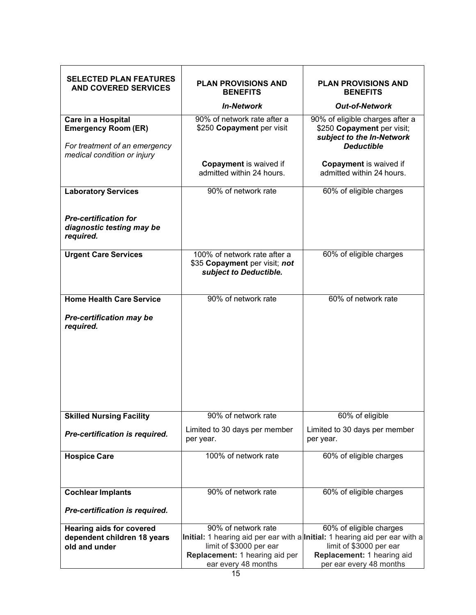| <b>SELECTED PLAN FEATURES</b><br><b>AND COVERED SERVICES</b>                                                     | <b>PLAN PROVISIONS AND</b><br><b>BENEFITS</b>                                                                                                                                          | <b>PLAN PROVISIONS AND</b><br><b>BENEFITS</b>                                                                   |
|------------------------------------------------------------------------------------------------------------------|----------------------------------------------------------------------------------------------------------------------------------------------------------------------------------------|-----------------------------------------------------------------------------------------------------------------|
|                                                                                                                  | <b>In-Network</b>                                                                                                                                                                      | <b>Out-of-Network</b>                                                                                           |
| Care in a Hospital<br><b>Emergency Room (ER)</b><br>For treatment of an emergency<br>medical condition or injury | 90% of network rate after a<br>\$250 Copayment per visit                                                                                                                               | 90% of eligible charges after a<br>\$250 Copayment per visit;<br>subject to the In-Network<br><b>Deductible</b> |
|                                                                                                                  | Copayment is waived if<br>admitted within 24 hours.                                                                                                                                    | <b>Copayment</b> is waived if<br>admitted within 24 hours.                                                      |
| <b>Laboratory Services</b>                                                                                       | 90% of network rate                                                                                                                                                                    | 60% of eligible charges                                                                                         |
| <b>Pre-certification for</b><br>diagnostic testing may be<br>required.                                           |                                                                                                                                                                                        |                                                                                                                 |
| <b>Urgent Care Services</b>                                                                                      | 100% of network rate after a<br>\$35 Copayment per visit; not<br>subject to Deductible.                                                                                                | 60% of eligible charges                                                                                         |
| <b>Home Health Care Service</b>                                                                                  | 90% of network rate                                                                                                                                                                    | 60% of network rate                                                                                             |
| <b>Pre-certification may be</b><br>required.                                                                     |                                                                                                                                                                                        |                                                                                                                 |
| <b>Skilled Nursing Facility</b>                                                                                  | 90% of network rate                                                                                                                                                                    | 60% of eligible                                                                                                 |
| Pre-certification is required.                                                                                   | Limited to 30 days per member<br>per year.                                                                                                                                             | Limited to 30 days per member<br>per year.                                                                      |
| <b>Hospice Care</b>                                                                                              | 100% of network rate                                                                                                                                                                   | 60% of eligible charges                                                                                         |
| <b>Cochlear Implants</b>                                                                                         | 90% of network rate                                                                                                                                                                    | 60% of eligible charges                                                                                         |
| Pre-certification is required.                                                                                   |                                                                                                                                                                                        |                                                                                                                 |
| <b>Hearing aids for covered</b><br>dependent children 18 years<br>old and under                                  | 90% of network rate<br>Initial: 1 hearing aid per ear with a Initial: 1 hearing aid per ear with a<br>limit of \$3000 per ear<br>Replacement: 1 hearing aid per<br>ear every 48 months | 60% of eligible charges<br>limit of \$3000 per ear<br>Replacement: 1 hearing aid<br>per ear every 48 months     |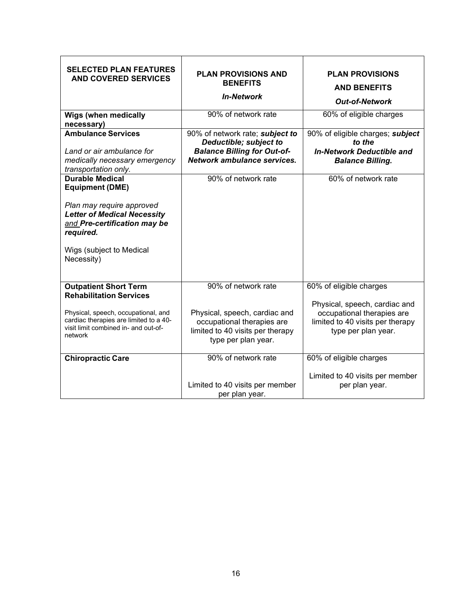| <b>SELECTED PLAN FEATURES</b><br><b>AND COVERED SERVICES</b>                                                                                                                                               | <b>PLAN PROVISIONS AND</b><br><b>BENEFITS</b><br><b>In-Network</b>                                                                            | <b>PLAN PROVISIONS</b><br><b>AND BENEFITS</b><br><b>Out-of-Network</b>                                                                            |
|------------------------------------------------------------------------------------------------------------------------------------------------------------------------------------------------------------|-----------------------------------------------------------------------------------------------------------------------------------------------|---------------------------------------------------------------------------------------------------------------------------------------------------|
| <b>Wigs (when medically</b><br>necessary)                                                                                                                                                                  | 90% of network rate                                                                                                                           | 60% of eligible charges                                                                                                                           |
| <b>Ambulance Services</b><br>Land or air ambulance for<br>medically necessary emergency<br>transportation only.                                                                                            | 90% of network rate; subject to<br>Deductible; subject to<br><b>Balance Billing for Out-of-</b><br>Network ambulance services.                | 90% of eligible charges; subject<br>to the<br><b>In-Network Deductible and</b><br><b>Balance Billing.</b>                                         |
| <b>Durable Medical</b><br><b>Equipment (DME)</b><br>Plan may require approved<br><b>Letter of Medical Necessity</b><br>and Pre-certification may be<br>required.<br>Wigs (subject to Medical<br>Necessity) | 90% of network rate                                                                                                                           | 60% of network rate                                                                                                                               |
| <b>Outpatient Short Term</b><br><b>Rehabilitation Services</b><br>Physical, speech, occupational, and<br>cardiac therapies are limited to a 40-<br>visit limit combined in- and out-of-<br>network         | 90% of network rate<br>Physical, speech, cardiac and<br>occupational therapies are<br>limited to 40 visits per therapy<br>type per plan year. | 60% of eligible charges<br>Physical, speech, cardiac and<br>occupational therapies are<br>limited to 40 visits per therapy<br>type per plan year. |
| <b>Chiropractic Care</b>                                                                                                                                                                                   | 90% of network rate<br>Limited to 40 visits per member<br>per plan year.                                                                      | 60% of eligible charges<br>Limited to 40 visits per member<br>per plan year.                                                                      |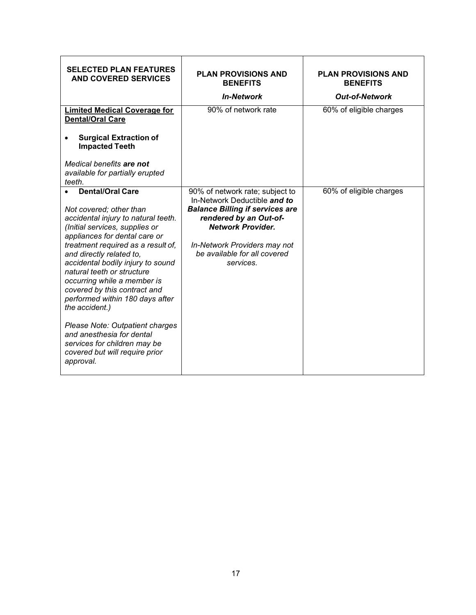| <b>SELECTED PLAN FEATURES</b><br><b>AND COVERED SERVICES</b>                                                                                                                                                                                                                                                                                                                                                                                                                                                                                                         | <b>PLAN PROVISIONS AND</b><br><b>BENEFITS</b><br><b>In-Network</b>                                                                                                                                                                           | <b>PLAN PROVISIONS AND</b><br><b>BENEFITS</b><br><b>Out-of-Network</b> |
|----------------------------------------------------------------------------------------------------------------------------------------------------------------------------------------------------------------------------------------------------------------------------------------------------------------------------------------------------------------------------------------------------------------------------------------------------------------------------------------------------------------------------------------------------------------------|----------------------------------------------------------------------------------------------------------------------------------------------------------------------------------------------------------------------------------------------|------------------------------------------------------------------------|
| <b>Limited Medical Coverage for</b><br><b>Dental/Oral Care</b><br><b>Surgical Extraction of</b><br><b>Impacted Teeth</b><br>Medical benefits are not<br>available for partially erupted<br>teeth.                                                                                                                                                                                                                                                                                                                                                                    | 90% of network rate                                                                                                                                                                                                                          | 60% of eligible charges                                                |
| <b>Dental/Oral Care</b><br>Not covered; other than<br>accidental injury to natural teeth.<br>(Initial services, supplies or<br>appliances for dental care or<br>treatment required as a result of,<br>and directly related to,<br>accidental bodily injury to sound<br>natural teeth or structure<br>occurring while a member is<br>covered by this contract and<br>performed within 180 days after<br>the accident.)<br>Please Note: Outpatient charges<br>and anesthesia for dental<br>services for children may be<br>covered but will require prior<br>approval. | 90% of network rate; subject to<br>In-Network Deductible and to<br><b>Balance Billing if services are</b><br>rendered by an Out-of-<br><b>Network Provider.</b><br>In-Network Providers may not<br>be available for all covered<br>services. | 60% of eligible charges                                                |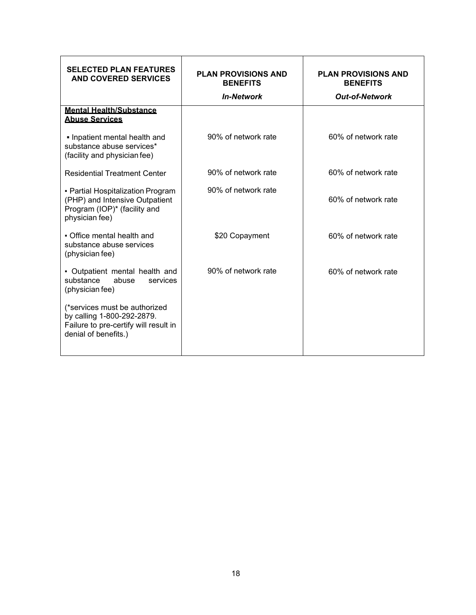| <b>SELECTED PLAN FEATURES</b><br>AND COVERED SERVICES                                                                        | <b>PLAN PROVISIONS AND</b><br><b>BENEFITS</b><br><b>In-Network</b> | <b>PLAN PROVISIONS AND</b><br><b>BENEFITS</b><br><b>Out-of-Network</b> |  |
|------------------------------------------------------------------------------------------------------------------------------|--------------------------------------------------------------------|------------------------------------------------------------------------|--|
| <b>Mental Health/Substance</b><br><b>Abuse Services</b>                                                                      |                                                                    |                                                                        |  |
| . Inpatient mental health and<br>substance abuse services*<br>(facility and physician fee)                                   | 90% of network rate                                                | 60% of network rate                                                    |  |
| <b>Residential Treatment Center</b>                                                                                          | 90% of network rate                                                | 60% of network rate                                                    |  |
| • Partial Hospitalization Program<br>(PHP) and Intensive Outpatient<br>Program (IOP)* (facility and<br>physician fee)        | 90% of network rate                                                | 60% of network rate                                                    |  |
| • Office mental health and<br>substance abuse services<br>(physician fee)                                                    | \$20 Copayment                                                     | 60% of network rate                                                    |  |
| • Outpatient mental health and<br>abuse<br>substance<br>services<br>(physician fee)                                          | 90% of network rate                                                | 60% of network rate                                                    |  |
| (*services must be authorized<br>by calling 1-800-292-2879.<br>Failure to pre-certify will result in<br>denial of benefits.) |                                                                    |                                                                        |  |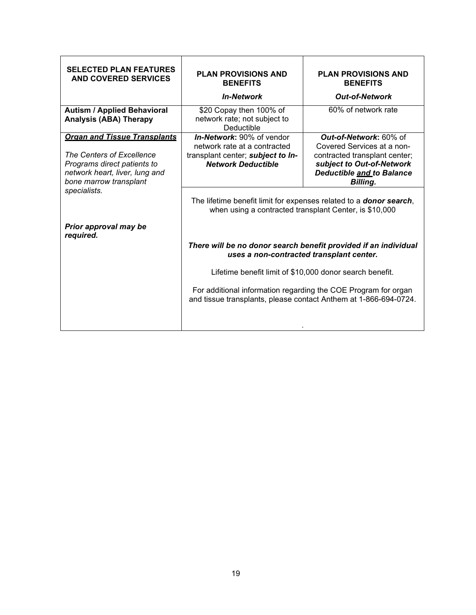| <b>SELECTED PLAN FEATURES</b><br><b>AND COVERED SERVICES</b>                                                                         | <b>PLAN PROVISIONS AND</b><br><b>BENEFITS</b>                                                                                                                                                                                                                                                                 | <b>PLAN PROVISIONS AND</b><br><b>BENEFITS</b>                                                       |  |  |
|--------------------------------------------------------------------------------------------------------------------------------------|---------------------------------------------------------------------------------------------------------------------------------------------------------------------------------------------------------------------------------------------------------------------------------------------------------------|-----------------------------------------------------------------------------------------------------|--|--|
|                                                                                                                                      | <b>In-Network</b>                                                                                                                                                                                                                                                                                             | <b>Out-of-Network</b>                                                                               |  |  |
| <b>Autism / Applied Behavioral</b><br><b>Analysis (ABA) Therapy</b>                                                                  | \$20 Copay then 100% of<br>network rate; not subject to<br>Deductible                                                                                                                                                                                                                                         | 60% of network rate                                                                                 |  |  |
| <b>Organ and Tissue Transplants</b>                                                                                                  | <b>In-Network: 90% of vendor</b><br>network rate at a contracted                                                                                                                                                                                                                                              | Out-of-Network: 60% of<br>Covered Services at a non-                                                |  |  |
| The Centers of Excellence<br>Programs direct patients to<br>network heart, liver, lung and<br>bone marrow transplant<br>specialists. | transplant center; subject to In-<br><b>Network Deductible</b>                                                                                                                                                                                                                                                | contracted transplant center;<br>subject to Out-of-Network<br>Deductible and to Balance<br>Billing. |  |  |
|                                                                                                                                      | The lifetime benefit limit for expenses related to a <b>donor search</b> ,<br>when using a contracted transplant Center, is \$10,000                                                                                                                                                                          |                                                                                                     |  |  |
| Prior approval may be<br>required.                                                                                                   | There will be no donor search benefit provided if an individual<br>uses a non-contracted transplant center.<br>Lifetime benefit limit of \$10,000 donor search benefit.<br>For additional information regarding the COE Program for organ<br>and tissue transplants, please contact Anthem at 1-866-694-0724. |                                                                                                     |  |  |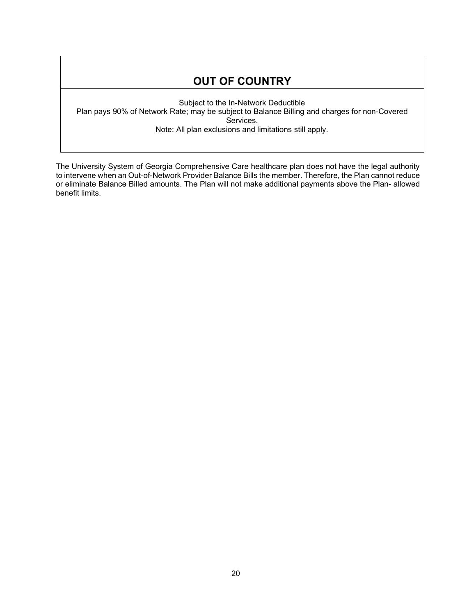## **OUT OF COUNTRY**

Subject to the In-Network Deductible Plan pays 90% of Network Rate; may be subject to Balance Billing and charges for non-Covered Services. Note: All plan exclusions and limitations still apply.

The University System of Georgia Comprehensive Care healthcare plan does not have the legal authority to intervene when an Out-of-Network Provider Balance Bills the member. Therefore, the Plan cannot reduce or eliminate Balance Billed amounts. The Plan will not make additional payments above the Plan- allowed benefit limits.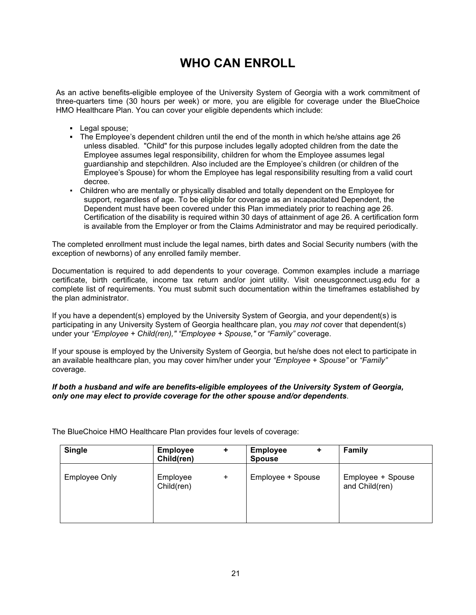# **WHO CAN ENROLL**

<span id="page-18-0"></span>As an active benefits-eligible employee of the University System of Georgia with a work commitment of three-quarters time (30 hours per week) or more, you are eligible for coverage under the BlueChoice HMO Healthcare Plan. You can cover your eligible dependents which include:

- **▪** Legal spouse;
- **The Employee's dependent children until the end of the month in which he/she attains age 26** unless disabled. "Child" for this purpose includes legally adopted children from the date the Employee assumes legal responsibility, children for whom the Employee assumes legal guardianship and stepchildren. Also included are the Employee's children (or children of the Employee's Spouse) for whom the Employee has legal responsibility resulting from a valid court decree.
- Children who are mentally or physically disabled and totally dependent on the Employee for support, regardless of age. To be eligible for coverage as an incapacitated Dependent, the Dependent must have been covered under this Plan immediately prior to reaching age 26. Certification of the disability is required within 30 days of attainment of age 26. A certification form is available from the Employer or from the Claims Administrator and may be required periodically.

The completed enrollment must include the legal names, birth dates and Social Security numbers (with the exception of newborns) of any enrolled family member.

Documentation is required to add dependents to your coverage. Common examples include a marriage certificate, birth certificate, income tax return and/or joint utility. Visit oneusgconnect.usg.edu for a complete list of requirements. You must submit such documentation within the timeframes established by the plan administrator.

If you have a dependent(s) employed by the University System of Georgia, and your dependent(s) is participating in any University System of Georgia healthcare plan, you *may not* cover that dependent(s) under your *"Employee + Child(ren)," "Employee + Spouse,"* or *"Family"* coverage.

If your spouse is employed by the University System of Georgia, but he/she does not elect to participate in an available healthcare plan, you may cover him/her under your *"Employee + Spouse"* or *"Family"*  coverage.

#### *If both a husband and wife are benefits-eligible employees of the University System of Georgia, only one may elect to provide coverage for the other spouse and/or dependents*.

| <b>Single</b>        | <b>Employee</b><br>Child(ren) | ٠         | <b>Employee</b><br><b>Spouse</b> | <b>Family</b>                       |
|----------------------|-------------------------------|-----------|----------------------------------|-------------------------------------|
| <b>Employee Only</b> | Employee<br>Child(ren)        | $\ddot{}$ | Employee + Spouse                | Employee + Spouse<br>and Child(ren) |

The BlueChoice HMO Healthcare Plan provides four levels of coverage: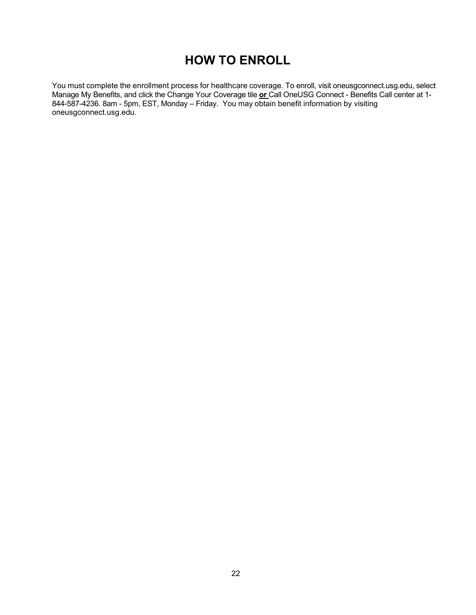# **HOW TO ENROLL**

You must complete the enrollment process for healthcare coverage. To enroll, visit oneusgconnect.usg.edu, select Manage My Benefits, and click the Change Your Coverage tile **or** Call OneUSG Connect - Benefits Call center at 1- 844-587-4236. 8am - 5pm, EST, Monday – Friday. You may obtain benefit information by visiting oneusgconnect.usg.edu.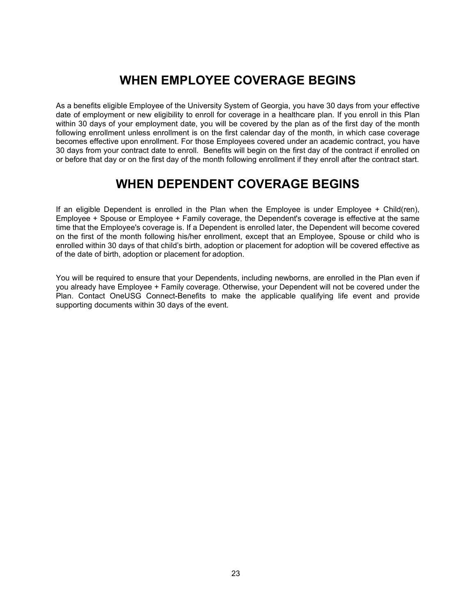# **WHEN EMPLOYEE COVERAGE BEGINS**

<span id="page-20-0"></span>As a benefits eligible Employee of the University System of Georgia, you have 30 days from your effective date of employment or new eligibility to enroll for coverage in a healthcare plan. If you enroll in this Plan within 30 days of your employment date, you will be covered by the plan as of the first day of the month following enrollment unless enrollment is on the first calendar day of the month, in which case coverage becomes effective upon enrollment. For those Employees covered under an academic contract, you have 30 days from your contract date to enroll. Benefits will begin on the first day of the contract if enrolled on or before that day or on the first day of the month following enrollment if they enroll after the contract start.

# **WHEN DEPENDENT COVERAGE BEGINS**

<span id="page-20-1"></span>If an eligible Dependent is enrolled in the Plan when the Employee is under Employee + Child(ren), Employee + Spouse or Employee + Family coverage, the Dependent's coverage is effective at the same time that the Employee's coverage is. If a Dependent is enrolled later, the Dependent will become covered on the first of the month following his/her enrollment, except that an Employee, Spouse or child who is enrolled within 30 days of that child's birth, adoption or placement for adoption will be covered effective as of the date of birth, adoption or placement for adoption.

<span id="page-20-3"></span><span id="page-20-2"></span>You will be required to ensure that your Dependents, including newborns, are enrolled in the Plan even if you already have Employee + Family coverage. Otherwise, your Dependent will not be covered under the Plan. Contact OneUSG Connect-Benefits to make the applicable qualifying life event and provide supporting documents within 30 days of the event.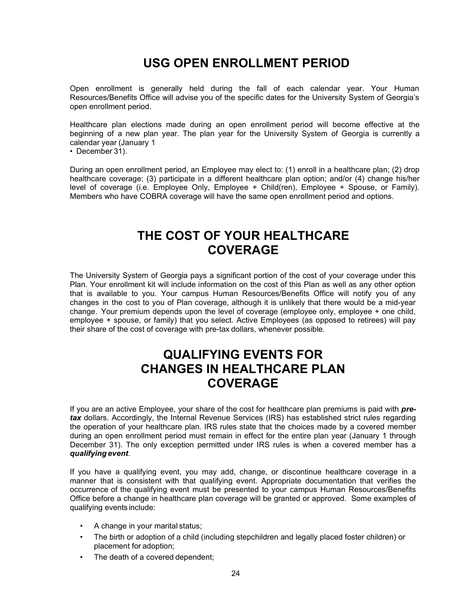# **USG OPEN ENROLLMENT PERIOD**

Open enrollment is generally held during the fall of each calendar year. Your Human Resources/Benefits Office will advise you of the specific dates for the University System of Georgia's open enrollment period.

Healthcare plan elections made during an open enrollment period will become effective at the beginning of a new plan year. The plan year for the University System of Georgia is currently a calendar year (January 1

• December 31).

During an open enrollment period, an Employee may elect to: (1) enroll in a healthcare plan; (2) drop healthcare coverage; (3) participate in a different healthcare plan option; and/or (4) change his/her level of coverage (i.e. Employee Only, Employee + Child(ren), Employee + Spouse, or Family). Members who have COBRA coverage will have the same open enrollment period and options.

# **THE COST OF YOUR HEALTHCARE COVERAGE**

<span id="page-21-0"></span>The University System of Georgia pays a significant portion of the cost of your coverage under this Plan. Your enrollment kit will include information on the cost of this Plan as well as any other option that is available to you. Your campus Human Resources/Benefits Office will notify you of any changes in the cost to you of Plan coverage, although it is unlikely that there would be a mid-year change. Your premium depends upon the level of coverage (employee only, employee + one child, employee + spouse, or family) that you select. Active Employees (as opposed to retirees) will pay their share of the cost of coverage with pre-tax dollars, whenever possible.

# **QUALIFYING EVENTS FOR CHANGES IN HEALTHCARE PLAN COVERAGE**

<span id="page-21-1"></span>If you are an active Employee, your share of the cost for healthcare plan premiums is paid with *pretax* dollars. Accordingly, the Internal Revenue Services (IRS) has established strict rules regarding the operation of your healthcare plan. IRS rules state that the choices made by a covered member during an open enrollment period must remain in effect for the entire plan year (January 1 through December 31). The only exception permitted under IRS rules is when a covered member has a *qualifying event*.

If you have a qualifying event, you may add, change, or discontinue healthcare coverage in a manner that is consistent with that qualifying event. Appropriate documentation that verifies the occurrence of the qualifying event must be presented to your campus Human Resources/Benefits Office before a change in healthcare plan coverage will be granted or approved. Some examples of qualifying events include:

- A change in your marital status;
- The birth or adoption of a child (including stepchildren and legally placed foster children) or placement for adoption;
- The death of a covered dependent;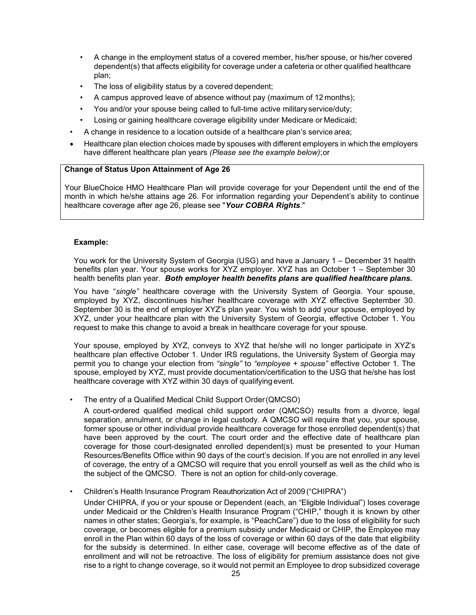- A change in the employment status of a covered member, his/her spouse, or his/her covered dependent(s) that affects eligibility for coverage under a cafeteria or other qualified healthcare plan;
- The loss of eligibility status by a covered dependent;
- A campus approved leave of absence without pay (maximum of 12 months);
- You and/or your spouse being called to full-time active military service/duty;
- Losing or gaining healthcare coverage eligibility under Medicare or Medicaid;
- A change in residence to a location outside of a healthcare plan's service area;
- Healthcare plan election choices made by spouses with different employers in which the employers have different healthcare plan years *(Please see the example below)*;or

#### **Change of Status Upon Attainment of Age 26**

Your BlueChoice HMO Healthcare Plan will provide coverage for your Dependent until the end of the month in which he/she attains age 26. For information regarding your Dependent's ability to continue healthcare coverage after age 26, please see "*Your COBRA Rights*."

#### **Example:**

You work for the University System of Georgia (USG) and have a January 1 – December 31 health benefits plan year. Your spouse works for XYZ employer. XYZ has an October 1 – September 30 health benefits plan year. *Both employer health benefits plans are qualified healthcare plans.*

You have "*single"* healthcare coverage with the University System of Georgia. Your spouse, employed by XYZ, discontinues his/her healthcare coverage with XYZ effective September 30. September 30 is the end of employer XYZ's plan year. You wish to add your spouse, employed by XYZ, under your healthcare plan with the University System of Georgia, effective October 1. You request to make this change to avoid a break in healthcare coverage for your spouse.

Your spouse, employed by XYZ, conveys to XYZ that he/she will no longer participate in XYZ's healthcare plan effective October 1. Under IRS regulations, the University System of Georgia may permit you to change your election from *"single"* to *"employee + spouse"* effective October 1. The spouse, employed by XYZ, must provide documentation/certification to the USG that he/she has lost healthcare coverage with XYZ within 30 days of qualifying event.

• The entry of a Qualified Medical Child Support Order(QMCSO)

A court-ordered qualified medical child support order (QMCSO) results from a divorce, legal separation, annulment, or change in legal custody. A QMCSO will require that you, your spouse, former spouse or other individual provide healthcare coverage for those enrolled dependent(s) that have been approved by the court. The court order and the effective date of healthcare plan coverage for those court-designated enrolled dependent(s) must be presented to your Human Resources/Benefits Office within 90 days of the court's decision. If you are not enrolled in any level of coverage, the entry of a QMCSO will require that you enroll yourself as well as the child who is the subject of the QMCSO. There is not an option for child-only coverage.

• Children's Health Insurance Program Reauthorization Act of 2009 ("CHIPRA")

Under CHIPRA, if you or your spouse or Dependent (each, an "Eligible Individual") loses coverage under Medicaid or the Children's Health Insurance Program ("CHIP," though it is known by other names in other states; Georgia's, for example, is "PeachCare") due to the loss of eligibility for such coverage, or becomes eligible for a premium subsidy under Medicaid or CHIP, the Employee may enroll in the Plan within 60 days of the loss of coverage or within 60 days of the date that eligibility for the subsidy is determined. In either case, coverage will become effective as of the date of enrollment and will not be retroactive. The loss of eligibility for premium assistance does not give rise to a right to change coverage, so it would not permit an Employee to drop subsidized coverage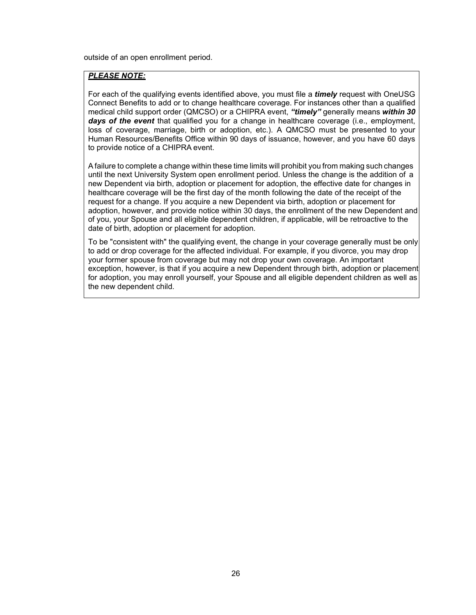outside of an open enrollment period.

#### *PLEASE NOTE:*

For each of the qualifying events identified above, you must file a *timely* request with OneUSG Connect Benefits to add or to change healthcare coverage. For instances other than a qualified medical child support order (QMCSO) or a CHIPRA event, *"timely"* generally means *within 30 days of the event* that qualified you for a change in healthcare coverage (i.e., employment, loss of coverage, marriage, birth or adoption, etc.). A QMCSO must be presented to your Human Resources/Benefits Office within 90 days of issuance, however, and you have 60 days to provide notice of a CHIPRA event.

A failure to complete a change within these time limits will prohibit you from making such changes until the next University System open enrollment period. Unless the change is the addition of a new Dependent via birth, adoption or placement for adoption, the effective date for changes in healthcare coverage will be the first day of the month following the date of the receipt of the request for a change. If you acquire a new Dependent via birth, adoption or placement for adoption, however, and provide notice within 30 days, the enrollment of the new Dependent and of you, your Spouse and all eligible dependent children, if applicable, will be retroactive to the date of birth, adoption or placement for adoption.

To be "consistent with" the qualifying event, the change in your coverage generally must be only to add or drop coverage for the affected individual. For example, if you divorce, you may drop your former spouse from coverage but may not drop your own coverage. An important exception, however, is that if you acquire a new Dependent through birth, adoption or placement for adoption, you may enroll yourself, your Spouse and all eligible dependent children as well as the new dependent child.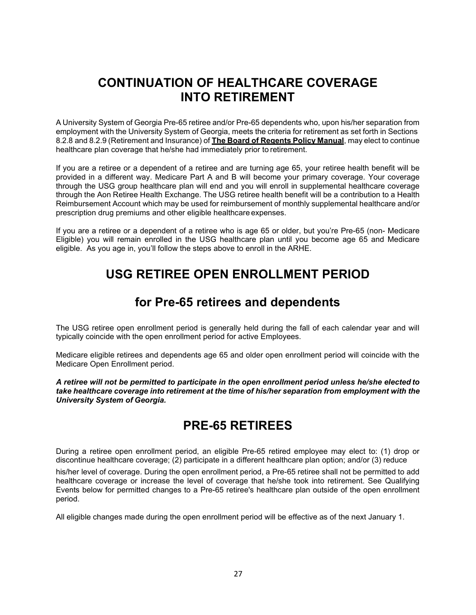# **CONTINUATION OF HEALTHCARE COVERAGE INTO RETIREMENT**

<span id="page-24-0"></span>A University System of Georgia Pre-65 retiree and/or Pre-65 dependents who, upon his/her separation from employment with the University System of Georgia, meets the criteria for retirement as set forth in Sections 8.2.8 and 8.2.9 (Retirement and Insurance) of **The Board of Regents Policy Manual**, may elect to continue healthcare plan coverage that he/she had immediately prior to retirement.

If you are a retiree or a dependent of a retiree and are turning age 65, your retiree health benefit will be provided in a different way. Medicare Part A and B will become your primary coverage. Your coverage through the USG group healthcare plan will end and you will enroll in supplemental healthcare coverage through the Aon Retiree Health Exchange. The USG retiree health benefit will be a contribution to a Health Reimbursement Account which may be used for reimbursement of monthly supplemental healthcare and/or prescription drug premiums and other eligible healthcare expenses.

<span id="page-24-1"></span>If you are a retiree or a dependent of a retiree who is age 65 or older, but you're Pre-65 (non- Medicare Eligible) you will remain enrolled in the USG healthcare plan until you become age 65 and Medicare eligible. As you age in, you'll follow the steps above to enroll in the ARHE.

# **USG RETIREE OPEN ENROLLMENT PERIOD**

# **for Pre-65 retirees and dependents**

<span id="page-24-2"></span>The USG retiree open enrollment period is generally held during the fall of each calendar year and will typically coincide with the open enrollment period for active Employees.

Medicare eligible retirees and dependents age 65 and older open enrollment period will coincide with the Medicare Open Enrollment period.

*A retiree will not be permitted to participate in the open enrollment period unless he/she elected to take healthcare coverage into retirement at the time of his/her separation from employment with the University System of Georgia.*

# **PRE-65 RETIREES**

<span id="page-24-3"></span>During a retiree open enrollment period, an eligible Pre-65 retired employee may elect to: (1) drop or discontinue healthcare coverage; (2) participate in a different healthcare plan option; and/or (3) reduce

his/her level of coverage. During the open enrollment period, a Pre-65 retiree shall not be permitted to add healthcare coverage or increase the level of coverage that he/she took into retirement. See Qualifying Events below for permitted changes to a Pre-65 retiree's healthcare plan outside of the open enrollment period.

All eligible changes made during the open enrollment period will be effective as of the next January 1.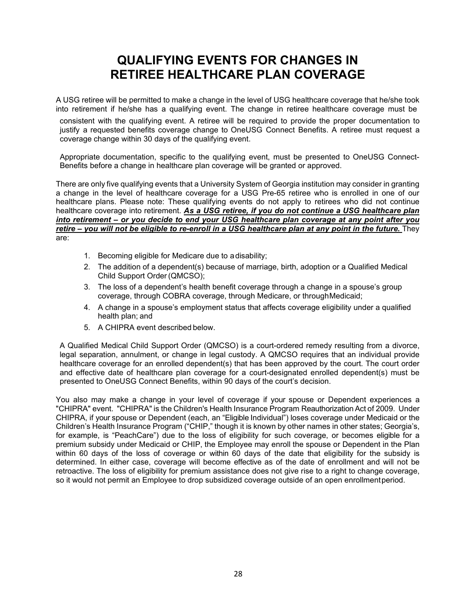# **QUALIFYING EVENTS FOR CHANGES IN RETIREE HEALTHCARE PLAN COVERAGE**

<span id="page-25-0"></span>A USG retiree will be permitted to make a change in the level of USG healthcare coverage that he/she took into retirement if he/she has a qualifying event. The change in retiree healthcare coverage must be

consistent with the qualifying event. A retiree will be required to provide the proper documentation to justify a requested benefits coverage change to OneUSG Connect Benefits. A retiree must request a coverage change within 30 days of the qualifying event.

Appropriate documentation, specific to the qualifying event, must be presented to OneUSG Connect-Benefits before a change in healthcare plan coverage will be granted or approved.

There are only five qualifying events that a University System of Georgia institution may consider in granting a change in the level of healthcare coverage for a USG Pre-65 retiree who is enrolled in one of our healthcare plans. Please note: These qualifying events do not apply to retirees who did not continue healthcare coverage into retirement. *As a USG retiree, if you do not continue a USG healthcare plan into retirement – or you decide to end your USG healthcare plan coverage at any point after you retire – you will not be eligible to re-enroll in a USG healthcare plan at any point in the future.* They are:

- 1. Becoming eligible for Medicare due to adisability;
- 2. The addition of a dependent(s) because of marriage, birth, adoption or a Qualified Medical Child Support Order(QMCSO);
- 3. The loss of a dependent's health benefit coverage through a change in a spouse's group coverage, through COBRA coverage, through Medicare, or throughMedicaid;
- 4. A change in a spouse's employment status that affects coverage eligibility under a qualified health plan; and
- 5. A CHIPRA event described below.

A Qualified Medical Child Support Order (QMCSO) is a court-ordered remedy resulting from a divorce, legal separation, annulment, or change in legal custody. A QMCSO requires that an individual provide healthcare coverage for an enrolled dependent(s) that has been approved by the court. The court order and effective date of healthcare plan coverage for a court-designated enrolled dependent(s) must be presented to OneUSG Connect Benefits, within 90 days of the court's decision.

You also may make a change in your level of coverage if your spouse or Dependent experiences a "CHIPRA" event. "CHIPRA" is the Children's Health Insurance Program Reauthorization Act of 2009. Under CHIPRA, if your spouse or Dependent (each, an "Eligible Individual") loses coverage under Medicaid or the Children's Health Insurance Program ("CHIP," though it is known by other names in other states; Georgia's, for example, is "PeachCare") due to the loss of eligibility for such coverage, or becomes eligible for a premium subsidy under Medicaid or CHIP, the Employee may enroll the spouse or Dependent in the Plan within 60 days of the loss of coverage or within 60 days of the date that eligibility for the subsidy is determined. In either case, coverage will become effective as of the date of enrollment and will not be retroactive. The loss of eligibility for premium assistance does not give rise to a right to change coverage, so it would not permit an Employee to drop subsidized coverage outside of an open enrollment period.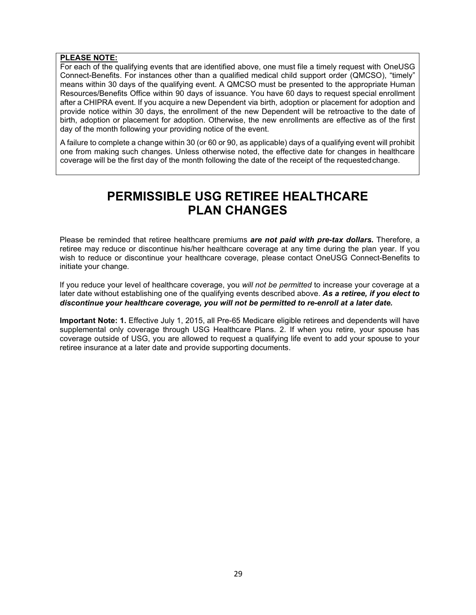#### **PLEASE NOTE:**

For each of the qualifying events that are identified above, one must file a timely request with OneUSG Connect-Benefits. For instances other than a qualified medical child support order (QMCSO), "timely" means within 30 days of the qualifying event. A QMCSO must be presented to the appropriate Human Resources/Benefits Office within 90 days of issuance. You have 60 days to request special enrollment after a CHIPRA event. If you acquire a new Dependent via birth, adoption or placement for adoption and provide notice within 30 days, the enrollment of the new Dependent will be retroactive to the date of birth, adoption or placement for adoption. Otherwise, the new enrollments are effective as of the first day of the month following your providing notice of the event.

<span id="page-26-0"></span>A failure to complete a change within 30 (or 60 or 90, as applicable) days of a qualifying event will prohibit one from making such changes. Unless otherwise noted, the effective date for changes in healthcare coverage will be the first day of the month following the date of the receipt of the requestedchange.

# **PERMISSIBLE USG RETIREE HEALTHCARE PLAN CHANGES**

Please be reminded that retiree healthcare premiums *are not paid with pre-tax dollars***.** Therefore, a retiree may reduce or discontinue his/her healthcare coverage at any time during the plan year. If you wish to reduce or discontinue your healthcare coverage, please contact OneUSG Connect-Benefits to initiate your change.

If you reduce your level of healthcare coverage, you *will not be permitted* to increase your coverage at a later date without establishing one of the qualifying events described above. *As a retiree, if you elect to discontinue your healthcare coverage, you will not be permitted to re-enroll at a later date.*

<span id="page-26-1"></span>**Important Note: 1.** Effective July 1, 2015, all Pre-65 Medicare eligible retirees and dependents will have supplemental only coverage through USG Healthcare Plans. 2. If when you retire, your spouse has coverage outside of USG, you are allowed to request a qualifying life event to add your spouse to your retiree insurance at a later date and provide supporting documents.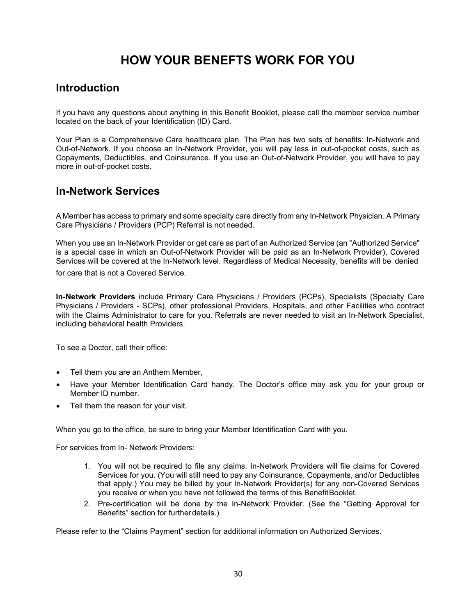# **HOW YOUR BENEFTS WORK FOR YOU**

## <span id="page-27-0"></span>**Introduction**

If you have any questions about anything in this Benefit Booklet, please call the member service number located on the back of your Identification (ID) Card.

Your Plan is a Comprehensive Care healthcare plan. The Plan has two sets of benefits: In-Network and Out-of-Network. If you choose an In-Network Provider, you will pay less in out-of-pocket costs, such as Copayments, Deductibles, and Coinsurance. If you use an Out-of-Network Provider, you will have to pay more in out-of-pocket costs.

## <span id="page-27-1"></span>**In-Network Services**

A Member has access to primary and some specialty care directly from any In-Network Physician. A Primary Care Physicians / Providers (PCP) Referral is not needed.

When you use an In-Network Provider or get care as part of an Authorized Service (an "Authorized Service" is a special case in which an Out-of-Network Provider will be paid as an In-Network Provider), Covered Services will be covered at the In-Network level. Regardless of Medical Necessity, benefits will be denied for care that is not a Covered Service.

**In**‐**Network Providers** include Primary Care Physicians / Providers (PCPs), Specialists (Specialty Care Physicians / Providers ‐ SCPs), other professional Providers, Hospitals, and other Facilities who contract with the Claims Administrator to care for you. Referrals are never needed to visit an In-Network Specialist, including behavioral health Providers.

To see a Doctor, call their office:

- Tell them you are an Anthem Member,
- Have your Member Identification Card handy. The Doctor's office may ask you for your group or Member ID number.
- Tell them the reason for your visit.

When you go to the office, be sure to bring your Member Identification Card with you.

For services from In- Network Providers:

- 1. You will not be required to file any claims. In-Network Providers will file claims for Covered Services for you. (You will still need to pay any Coinsurance, Copayments, and/or Deductibles that apply.) You may be billed by your In-Network Provider(s) for any non-Covered Services you receive or when you have not followed the terms of this BenefitBooklet.
- 2. Pre-certification will be done by the In-Network Provider. (See the "Getting Approval for Benefits" section for further details.)

Please refer to the "Claims Payment" section for additional information on Authorized Services.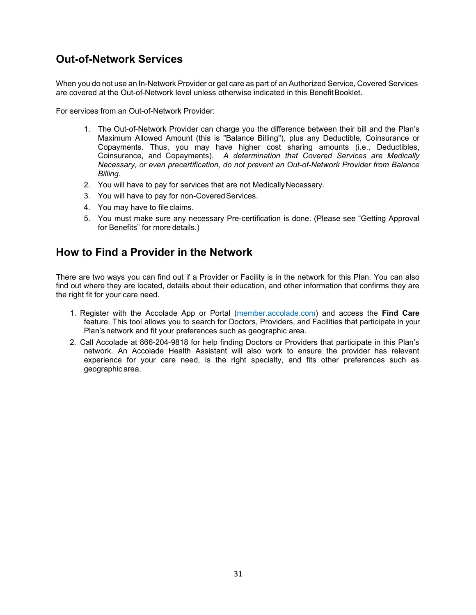## <span id="page-28-0"></span>**Out-of-Network Services**

When you do not use an In-Network Provider or get care as part of an Authorized Service, Covered Services are covered at the Out-of-Network level unless otherwise indicated in this BenefitBooklet.

For services from an Out-of-Network Provider:

- 1. The Out-of-Network Provider can charge you the difference between their bill and the Plan's Maximum Allowed Amount (this is "Balance Billing"), plus any Deductible, Coinsurance or Copayments. Thus, you may have higher cost sharing amounts (i.e., Deductibles, Coinsurance, and Copayments). *A determination that Covered Services are Medically Necessary, or even precertification, do not prevent an Out-of-Network Provider from Balance Billing.*
- 2. You will have to pay for services that are not MedicallyNecessary.
- 3. You will have to pay for non-Covered Services.
- 4. You may have to file claims.
- 5. You must make sure any necessary Pre-certification is done. (Please see "Getting Approval for Benefits" for more details.)

## <span id="page-28-1"></span>**How to Find a Provider in the Network**

There are two ways you can find out if a Provider or Facility is in the network for this Plan. You can also find out where they are located, details about their education, and other information that confirms they are the right fit for your care need.

- 1. Register with the Accolade App or Portal (member.accolade.com) and access the **Find Care** feature. This tool allows you to search for Doctors, Providers, and Facilities that participate in your Plan's network and fit your preferences such as geographic area.
- 2. Call Accolade at 866-204-9818 for help finding Doctors or Providers that participate in this Plan's network. An Accolade Health Assistant will also work to ensure the provider has relevant experience for your care need, is the right specialty, and fits other preferences such as geographic area.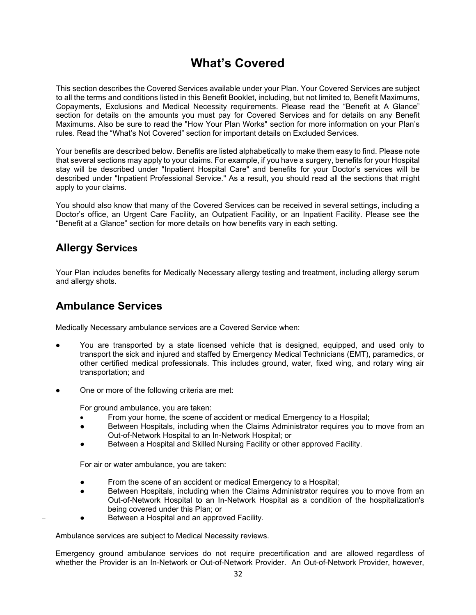# **What's Covered**

<span id="page-29-0"></span>This section describes the Covered Services available under your Plan. Your Covered Services are subject to all the terms and conditions listed in this Benefit Booklet, including, but not limited to, Benefit Maximums, Copayments, Exclusions and Medical Necessity requirements. Please read the "Benefit at A Glance" section for details on the amounts you must pay for Covered Services and for details on any Benefit Maximums. Also be sure to read the "How Your Plan Works" section for more information on your Plan's rules. Read the "What's Not Covered" section for important details on Excluded Services.

Your benefits are described below. Benefits are listed alphabetically to make them easy to find. Please note that several sections may apply to your claims. For example, if you have a surgery, benefits for your Hospital stay will be described under "Inpatient Hospital Care" and benefits for your Doctor's services will be described under "Inpatient Professional Service." As a result, you should read all the sections that might apply to your claims.

You should also know that many of the Covered Services can be received in several settings, including a Doctor's office, an Urgent Care Facility, an Outpatient Facility, or an Inpatient Facility. Please see the "Benefit at a Glance" section for more details on how benefits vary in each setting.

## <span id="page-29-1"></span>**Allergy Services**

Your Plan includes benefits for Medically Necessary allergy testing and treatment, including allergy serum and allergy shots.

## <span id="page-29-2"></span>**Ambulance Services**

Medically Necessary ambulance services are a Covered Service when:

- You are transported by a state licensed vehicle that is designed, equipped, and used only to transport the sick and injured and staffed by Emergency Medical Technicians (EMT), paramedics, or other certified medical professionals. This includes ground, water, fixed wing, and rotary wing air transportation; and
- One or more of the following criteria are met:

For ground ambulance, you are taken:

- From your home, the scene of accident or medical Emergency to a Hospital;
- Between Hospitals, including when the Claims Administrator requires you to move from an Out-of-Network Hospital to an In-Network Hospital; or
- Between a Hospital and Skilled Nursing Facility or other approved Facility.

For air or water ambulance, you are taken:

- From the scene of an accident or medical Emergency to a Hospital;
- Between Hospitals, including when the Claims Administrator requires you to move from an Out-of-Network Hospital to an In-Network Hospital as a condition of the hospitalization's being covered under this Plan; or
- Between a Hospital and an approved Facility.

Ambulance services are subject to Medical Necessity reviews.

Emergency ground ambulance services do not require precertification and are allowed regardless of whether the Provider is an In-Network or Out-of-Network Provider. An Out-of-Network Provider, however,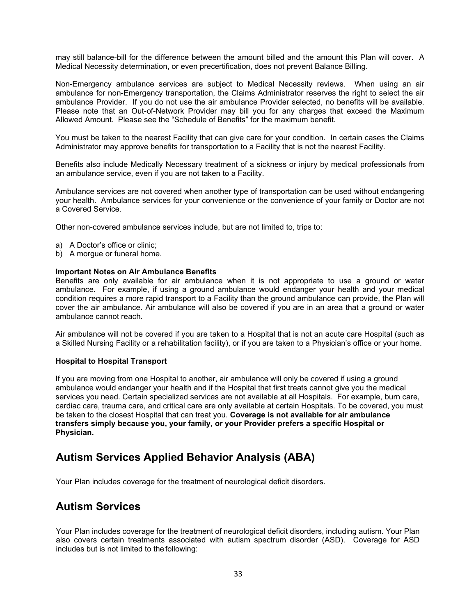may still balance-bill for the difference between the amount billed and the amount this Plan will cover. A Medical Necessity determination, or even precertification, does not prevent Balance Billing.

Non-Emergency ambulance services are subject to Medical Necessity reviews. When using an air ambulance for non-Emergency transportation, the Claims Administrator reserves the right to select the air ambulance Provider. If you do not use the air ambulance Provider selected, no benefits will be available. Please note that an Out-of-Network Provider may bill you for any charges that exceed the Maximum Allowed Amount. Please see the "Schedule of Benefits" for the maximum benefit.

You must be taken to the nearest Facility that can give care for your condition. In certain cases the Claims Administrator may approve benefits for transportation to a Facility that is not the nearest Facility.

Benefits also include Medically Necessary treatment of a sickness or injury by medical professionals from an ambulance service, even if you are not taken to a Facility.

Ambulance services are not covered when another type of transportation can be used without endangering your health. Ambulance services for your convenience or the convenience of your family or Doctor are not a Covered Service.

Other non-covered ambulance services include, but are not limited to, trips to:

- a) A Doctor's office or clinic;
- b) A morgue or funeral home.

#### **Important Notes on Air Ambulance Benefits**

Benefits are only available for air ambulance when it is not appropriate to use a ground or water ambulance. For example, if using a ground ambulance would endanger your health and your medical condition requires a more rapid transport to a Facility than the ground ambulance can provide, the Plan will cover the air ambulance. Air ambulance will also be covered if you are in an area that a ground or water ambulance cannot reach.

Air ambulance will not be covered if you are taken to a Hospital that is not an acute care Hospital (such as a Skilled Nursing Facility or a rehabilitation facility), or if you are taken to a Physician's office or your home.

#### **Hospital to Hospital Transport**

If you are moving from one Hospital to another, air ambulance will only be covered if using a ground ambulance would endanger your health and if the Hospital that first treats cannot give you the medical services you need. Certain specialized services are not available at all Hospitals. For example, burn care, cardiac care, trauma care, and critical care are only available at certain Hospitals. To be covered, you must be taken to the closest Hospital that can treat you. **Coverage is not available for air ambulance transfers simply because you, your family, or your Provider prefers a specific Hospital or Physician.**

## <span id="page-30-0"></span>**Autism Services Applied Behavior Analysis (ABA)**

Your Plan includes coverage for the treatment of neurological deficit disorders.

#### <span id="page-30-1"></span>**Autism Services**

Your Plan includes coverage for the treatment of neurological deficit disorders, including autism. Your Plan also covers certain treatments associated with autism spectrum disorder (ASD). Coverage for ASD includes but is not limited to the following: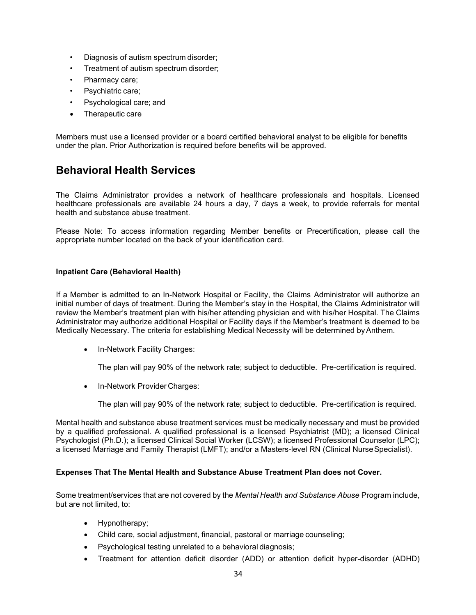- Diagnosis of autism spectrum disorder;
- Treatment of autism spectrum disorder;
- Pharmacy care;
- Psychiatric care;
- Psychological care; and
- Therapeutic care

Members must use a licensed provider or a board certified behavioral analyst to be eligible for benefits under the plan. Prior Authorization is required before benefits will be approved.

## <span id="page-31-0"></span>**Behavioral Health Services**

The Claims Administrator provides a network of healthcare professionals and hospitals. Licensed healthcare professionals are available 24 hours a day, 7 days a week, to provide referrals for mental health and substance abuse treatment.

Please Note: To access information regarding Member benefits or Precertification, please call the appropriate number located on the back of your identification card.

#### **Inpatient Care (Behavioral Health)**

If a Member is admitted to an In-Network Hospital or Facility, the Claims Administrator will authorize an initial number of days of treatment. During the Member's stay in the Hospital, the Claims Administrator will review the Member's treatment plan with his/her attending physician and with his/her Hospital. The Claims Administrator may authorize additional Hospital or Facility days if the Member's treatment is deemed to be Medically Necessary. The criteria for establishing Medical Necessity will be determined byAnthem.

• In-Network Facility Charges:

The plan will pay 90% of the network rate; subject to deductible. Pre-certification is required.

• In-Network Provider Charges:

The plan will pay 90% of the network rate; subject to deductible. Pre-certification is required.

Mental health and substance abuse treatment services must be medically necessary and must be provided by a qualified professional. A qualified professional is a licensed Psychiatrist (MD); a licensed Clinical Psychologist (Ph.D.); a licensed Clinical Social Worker (LCSW); a licensed Professional Counselor (LPC); a licensed Marriage and Family Therapist (LMFT); and/or a Masters-level RN (Clinical NurseSpecialist).

#### **Expenses That The Mental Health and Substance Abuse Treatment Plan does not Cover.**

Some treatment/services that are not covered by the *Mental Health and Substance Abuse* Program include, but are not limited, to:

- Hypnotherapy;
- Child care, social adjustment, financial, pastoral or marriage counseling;
- Psychological testing unrelated to a behavioral diagnosis;
- Treatment for attention deficit disorder (ADD) or attention deficit hyper-disorder (ADHD)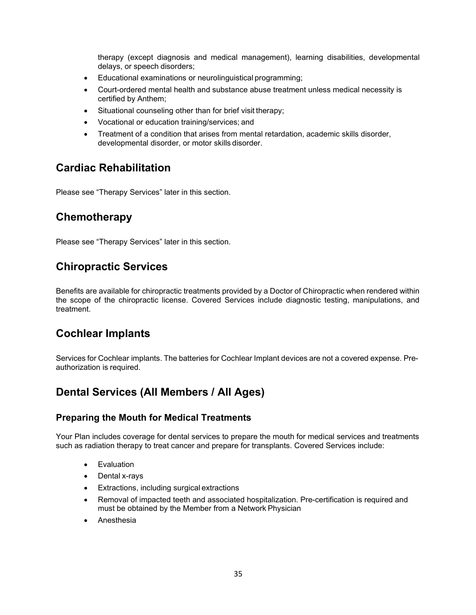therapy (except diagnosis and medical management), learning disabilities, developmental delays, or speech disorders;

- Educational examinations or neurolinguistical programming;
- Court-ordered mental health and substance abuse treatment unless medical necessity is certified by Anthem;
- Situational counseling other than for brief visit therapy;
- Vocational or education training/services; and
- Treatment of a condition that arises from mental retardation, academic skills disorder, developmental disorder, or motor skills disorder.

## <span id="page-32-0"></span>**Cardiac Rehabilitation**

Please see "Therapy Services" later in this section.

## <span id="page-32-1"></span>**Chemotherapy**

Please see "Therapy Services" later in this section.

## <span id="page-32-2"></span>**Chiropractic Services**

Benefits are available for chiropractic treatments provided by a Doctor of Chiropractic when rendered within the scope of the chiropractic license. Covered Services include diagnostic testing, manipulations, and treatment.

## <span id="page-32-3"></span>**Cochlear Implants**

Services for Cochlear implants. The batteries for Cochlear Implant devices are not a covered expense. Preauthorization is required.

## <span id="page-32-4"></span>**Dental Services (All Members / All Ages)**

#### <span id="page-32-5"></span>**Preparing the Mouth for Medical Treatments**

Your Plan includes coverage for dental services to prepare the mouth for medical services and treatments such as radiation therapy to treat cancer and prepare for transplants. Covered Services include:

- Evaluation
- Dental x-rays
- Extractions, including surgical extractions
- Removal of impacted teeth and associated hospitalization. Pre-certification is required and must be obtained by the Member from a Network Physician
- <span id="page-32-6"></span>**Anesthesia**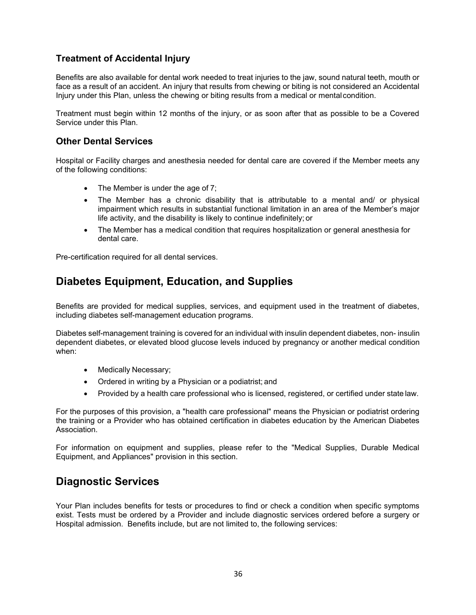#### **Treatment of Accidental Injury**

Benefits are also available for dental work needed to treat injuries to the jaw, sound natural teeth, mouth or face as a result of an accident. An injury that results from chewing or biting is not considered an Accidental Injury under this Plan, unless the chewing or biting results from a medical or mentalcondition.

Treatment must begin within 12 months of the injury, or as soon after that as possible to be a Covered Service under this Plan.

#### <span id="page-33-0"></span>**Other Dental Services**

Hospital or Facility charges and anesthesia needed for dental care are covered if the Member meets any of the following conditions:

- The Member is under the age of 7;
- The Member has a chronic disability that is attributable to a mental and/ or physical impairment which results in substantial functional limitation in an area of the Member's major life activity, and the disability is likely to continue indefinitely; or
- The Member has a medical condition that requires hospitalization or general anesthesia for dental care.

Pre-certification required for all dental services.

## <span id="page-33-1"></span>**Diabetes Equipment, Education, and Supplies**

Benefits are provided for medical supplies, services, and equipment used in the treatment of diabetes, including diabetes self-management education programs.

Diabetes self-management training is covered for an individual with insulin dependent diabetes, non- insulin dependent diabetes, or elevated blood glucose levels induced by pregnancy or another medical condition when:

- Medically Necessary;
- Ordered in writing by a Physician or a podiatrist; and
- Provided by a health care professional who is licensed, registered, or certified under state law.

For the purposes of this provision, a "health care professional" means the Physician or podiatrist ordering the training or a Provider who has obtained certification in diabetes education by the American Diabetes Association.

For information on equipment and supplies, please refer to the "Medical Supplies, Durable Medical Equipment, and Appliances" provision in this section.

## <span id="page-33-2"></span>**Diagnostic Services**

<span id="page-33-3"></span>Your Plan includes benefits for tests or procedures to find or check a condition when specific symptoms exist. Tests must be ordered by a Provider and include diagnostic services ordered before a surgery or Hospital admission. Benefits include, but are not limited to, the following services: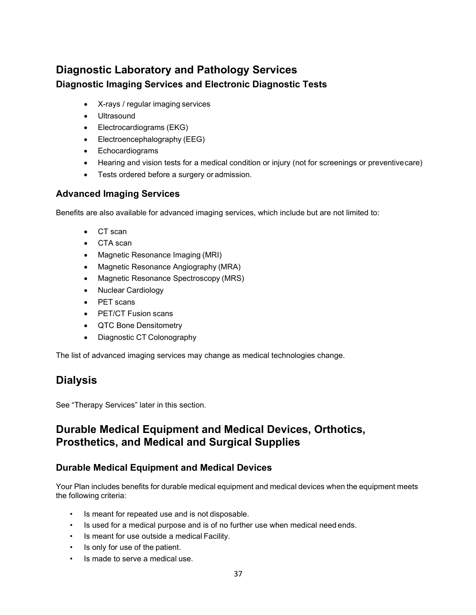## **Diagnostic Laboratory and Pathology Services Diagnostic Imaging Services and Electronic Diagnostic Tests**

- <span id="page-34-0"></span>• X-rays / regular imaging services
- Ultrasound
- Electrocardiograms (EKG)
- Electroencephalography (EEG)
- Echocardiograms
- Hearing and vision tests for a medical condition or injury (not for screenings or preventive care)
- Tests ordered before a surgery or admission.

#### <span id="page-34-1"></span>**Advanced Imaging Services**

Benefits are also available for advanced imaging services, which include but are not limited to:

- CT scan
- CTA scan
- Magnetic Resonance Imaging (MRI)
- Magnetic Resonance Angiography (MRA)
- [Magnetic Resonance Spectroscopy](http://en.wikipedia.org/wiki/In_vivo_magnetic_resonance_spectroscopy) (MRS)
- Nuclear Cardiology
- PET scans
- PET/CT Fusion scans
- QTC Bone Densitometry
- Diagnostic CT Colonography

The list of advanced imaging services may change as medical technologies change.

## <span id="page-34-2"></span>**Dialysis**

See "Therapy Services" later in this section.

## <span id="page-34-3"></span>**Durable Medical Equipment and Medical Devices, Orthotics, Prosthetics, and Medical and Surgical Supplies**

#### <span id="page-34-4"></span>**Durable Medical Equipment and Medical Devices**

Your Plan includes benefits for durable medical equipment and medical devices when the equipment meets the following criteria:

- Is meant for repeated use and is not disposable.
- Is used for a medical purpose and is of no further use when medical need ends.
- Is meant for use outside a medical Facility.
- Is only for use of the patient.
- Is made to serve a medical use.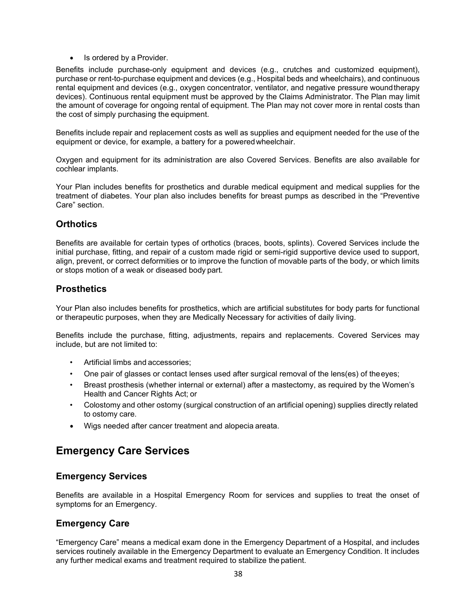• Is ordered by a Provider.

Benefits include purchase-only equipment and devices (e.g., crutches and customized equipment), purchase or rent-to-purchase equipment and devices (e.g., Hospital beds and wheelchairs), and continuous rental equipment and devices (e.g., oxygen concentrator, ventilator, and negative pressure woundtherapy devices). Continuous rental equipment must be approved by the Claims Administrator. The Plan may limit the amount of coverage for ongoing rental of equipment. The Plan may not cover more in rental costs than the cost of simply purchasing the equipment.

Benefits include repair and replacement costs as well as supplies and equipment needed for the use of the equipment or device, for example, a battery for a poweredwheelchair.

Oxygen and equipment for its administration are also Covered Services. Benefits are also available for cochlear implants.

Your Plan includes benefits for prosthetics and durable medical equipment and medical supplies for the treatment of diabetes. Your plan also includes benefits for breast pumps as described in the "Preventive Care" section.

#### <span id="page-35-0"></span>**Orthotics**

Benefits are available for certain types of orthotics (braces, boots, splints). Covered Services include the initial purchase, fitting, and repair of a custom made rigid or semi-rigid supportive device used to support, align, prevent, or correct deformities or to improve the function of movable parts of the body, or which limits or stops motion of a weak or diseased body part.

#### <span id="page-35-1"></span>**Prosthetics**

Your Plan also includes benefits for prosthetics, which are artificial substitutes for body parts for functional or therapeutic purposes, when they are Medically Necessary for activities of daily living.

Benefits include the purchase, fitting, adjustments, repairs and replacements. Covered Services may include, but are not limited to:

- Artificial limbs and accessories;
- One pair of glasses or contact lenses used after surgical removal of the lens(es) of theeyes;
- Breast prosthesis (whether internal or external) after a mastectomy, as required by the Women's Health and Cancer Rights Act; or
- Colostomy and other ostomy (surgical construction of an artificial opening) supplies directly related to ostomy care.
- Wigs needed after cancer treatment and alopecia areata.

## <span id="page-35-2"></span>**Emergency Care Services**

#### <span id="page-35-3"></span>**Emergency Services**

Benefits are available in a Hospital Emergency Room for services and supplies to treat the onset of symptoms for an Emergency.

#### <span id="page-35-4"></span>**Emergency Care**

"Emergency Care" means a medical exam done in the Emergency Department of a Hospital, and includes services routinely available in the Emergency Department to evaluate an Emergency Condition. It includes any further medical exams and treatment required to stabilize the patient.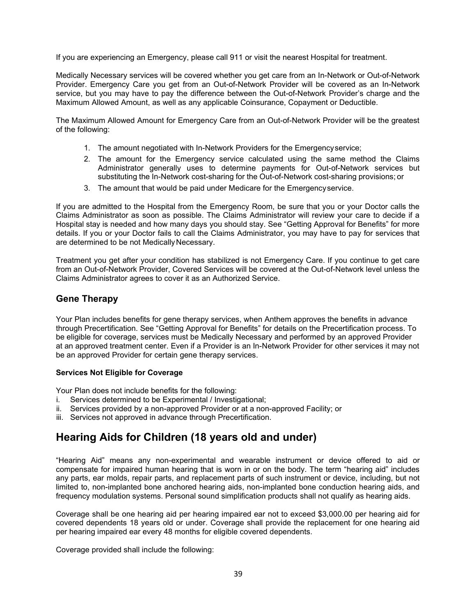If you are experiencing an Emergency, please call 911 or visit the nearest Hospital for treatment.

Medically Necessary services will be covered whether you get care from an In-Network or Out-of-Network Provider. Emergency Care you get from an Out-of-Network Provider will be covered as an In-Network service, but you may have to pay the difference between the Out-of-Network Provider's charge and the Maximum Allowed Amount, as well as any applicable Coinsurance, Copayment or Deductible.

The Maximum Allowed Amount for Emergency Care from an Out-of-Network Provider will be the greatest of the following:

- 1. The amount negotiated with In-Network Providers for the Emergencyservice;
- 2. The amount for the Emergency service calculated using the same method the Claims Administrator generally uses to determine payments for Out-of-Network services but substituting the In-Network cost-sharing for the Out-of-Network cost-sharing provisions; or
- 3. The amount that would be paid under Medicare for the Emergencyservice.

If you are admitted to the Hospital from the Emergency Room, be sure that you or your Doctor calls the Claims Administrator as soon as possible. The Claims Administrator will review your care to decide if a Hospital stay is needed and how many days you should stay. See "Getting Approval for Benefits" for more details. If you or your Doctor fails to call the Claims Administrator, you may have to pay for services that are determined to be not Medically Necessary.

Treatment you get after your condition has stabilized is not Emergency Care. If you continue to get care from an Out-of-Network Provider, Covered Services will be covered at the Out-of-Network level unless the Claims Administrator agrees to cover it as an Authorized Service.

#### **Gene Therapy**

Your Plan includes benefits for gene therapy services, when Anthem approves the benefits in advance through Precertification. See "Getting Approval for Benefits" for details on the Precertification process. To be eligible for coverage, services must be Medically Necessary and performed by an approved Provider at an approved treatment center. Even if a Provider is an In-Network Provider for other services it may not be an approved Provider for certain gene therapy services.

#### **Services Not Eligible for Coverage**

Your Plan does not include benefits for the following:

- i. Services determined to be Experimental / Investigational;
- ii. Services provided by a non-approved Provider or at a non-approved Facility; or
- iii. Services not approved in advance through Precertification.

# **Hearing Aids for Children (18 years old and under)**

"Hearing Aid" means any non-experimental and wearable instrument or device offered to aid or compensate for impaired human hearing that is worn in or on the body. The term "hearing aid" includes any parts, ear molds, repair parts, and replacement parts of such instrument or device, including, but not limited to, non-implanted bone anchored hearing aids, non-implanted bone conduction hearing aids, and frequency modulation systems. Personal sound simplification products shall not qualify as hearing aids.

Coverage shall be one hearing aid per hearing impaired ear not to exceed \$3,000.00 per hearing aid for covered dependents 18 years old or under. Coverage shall provide the replacement for one hearing aid per hearing impaired ear every 48 months for eligible covered dependents.

Coverage provided shall include the following: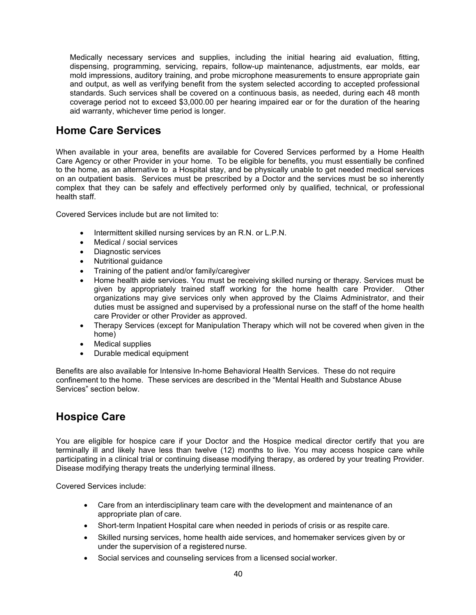Medically necessary services and supplies, including the initial hearing aid evaluation, fitting, dispensing, programming, servicing, repairs, follow-up maintenance, adjustments, ear molds, ear mold impressions, auditory training, and probe microphone measurements to ensure appropriate gain and output, as well as verifying benefit from the system selected according to accepted professional standards. Such services shall be covered on a continuous basis, as needed, during each 48 month coverage period not to exceed \$3,000.00 per hearing impaired ear or for the duration of the hearing aid warranty, whichever time period is longer.

### **Home Care Services**

When available in your area, benefits are available for Covered Services performed by a Home Health Care Agency or other Provider in your home. To be eligible for benefits, you must essentially be confined to the home, as an alternative to a Hospital stay, and be physically unable to get needed medical services on an outpatient basis. Services must be prescribed by a Doctor and the services must be so inherently complex that they can be safely and effectively performed only by qualified, technical, or professional health staff.

Covered Services include but are not limited to:

- Intermittent skilled nursing services by an R.N. or L.P.N.
- Medical / social services
- Diagnostic services
- Nutritional guidance
- Training of the patient and/or family/caregiver
- Home health aide services. You must be receiving skilled nursing or therapy. Services must be given by appropriately trained staff working for the home health care Provider. Other organizations may give services only when approved by the Claims Administrator, and their duties must be assigned and supervised by a professional nurse on the staff of the home health care Provider or other Provider as approved.
- Therapy Services (except for Manipulation Therapy which will not be covered when given in the home)
- Medical supplies
- Durable medical equipment

Benefits are also available for Intensive In-home Behavioral Health Services. These do not require confinement to the home. These services are described in the "Mental Health and Substance Abuse Services" section below.

### **Hospice Care**

You are eligible for hospice care if your Doctor and the Hospice medical director certify that you are terminally ill and likely have less than twelve (12) months to live. You may access hospice care while participating in a clinical trial or continuing disease modifying therapy, as ordered by your treating Provider. Disease modifying therapy treats the underlying terminal illness.

Covered Services include:

- Care from an interdisciplinary team care with the development and maintenance of an appropriate plan of care.
- Short-term Inpatient Hospital care when needed in periods of crisis or as respite care.
- Skilled nursing services, home health aide services, and homemaker services given by or under the supervision of a registered nurse.
- Social services and counseling services from a licensed social worker.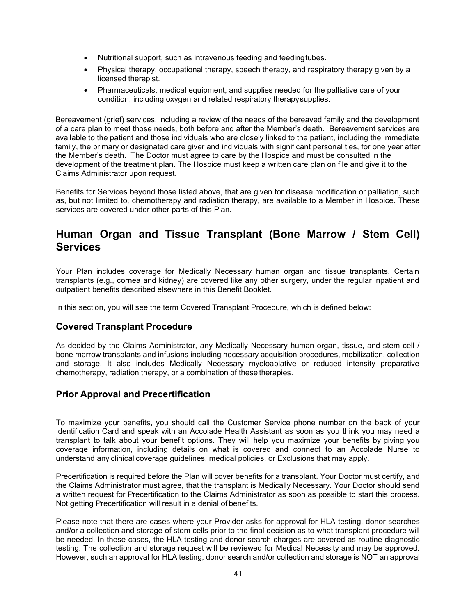- Nutritional support, such as intravenous feeding and feedingtubes.
- Physical therapy, occupational therapy, speech therapy, and respiratory therapy given by a licensed therapist.
- Pharmaceuticals, medical equipment, and supplies needed for the palliative care of your condition, including oxygen and related respiratory therapysupplies.

Bereavement (grief) services, including a review of the needs of the bereaved family and the development of a care plan to meet those needs, both before and after the Member's death. Bereavement services are available to the patient and those individuals who are closely linked to the patient, including the immediate family, the primary or designated care giver and individuals with significant personal ties, for one year after the Member's death. The Doctor must agree to care by the Hospice and must be consulted in the development of the treatment plan. The Hospice must keep a written care plan on file and give it to the Claims Administrator upon request.

Benefits for Services beyond those listed above, that are given for disease modification or palliation, such as, but not limited to, chemotherapy and radiation therapy, are available to a Member in Hospice. These services are covered under other parts of this Plan.

### **Human Organ and Tissue Transplant (Bone Marrow / Stem Cell) Services**

Your Plan includes coverage for Medically Necessary human organ and tissue transplants. Certain transplants (e.g., cornea and kidney) are covered like any other surgery, under the regular inpatient and outpatient benefits described elsewhere in this Benefit Booklet.

In this section, you will see the term Covered Transplant Procedure, which is defined below:

#### **Covered Transplant Procedure**

As decided by the Claims Administrator, any Medically Necessary human organ, tissue, and stem cell / bone marrow transplants and infusions including necessary acquisition procedures, mobilization, collection and storage. It also includes Medically Necessary myeloablative or reduced intensity preparative chemotherapy, radiation therapy, or a combination of these therapies.

#### **Prior Approval and Precertification**

To maximize your benefits, you should call the Customer Service phone number on the back of your Identification Card and speak with an Accolade Health Assistant as soon as you think you may need a transplant to talk about your benefit options. They will help you maximize your benefits by giving you coverage information, including details on what is covered and connect to an Accolade Nurse to understand any clinical coverage guidelines, medical policies, or Exclusions that may apply.

Precertification is required before the Plan will cover benefits for a transplant. Your Doctor must certify, and the Claims Administrator must agree, that the transplant is Medically Necessary. Your Doctor should send a written request for Precertification to the Claims Administrator as soon as possible to start this process. Not getting Precertification will result in a denial of benefits.

Please note that there are cases where your Provider asks for approval for HLA testing, donor searches and/or a collection and storage of stem cells prior to the final decision as to what transplant procedure will be needed. In these cases, the HLA testing and donor search charges are covered as routine diagnostic testing. The collection and storage request will be reviewed for Medical Necessity and may be approved. However, such an approval for HLA testing, donor search and/or collection and storage is NOT an approval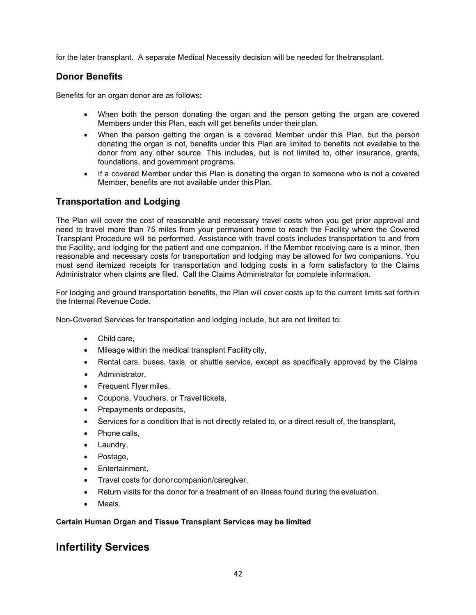for the later transplant. A separate Medical Necessity decision will be needed for thetransplant.

#### **Donor Benefits**

Benefits for an organ donor are as follows:

- When both the person donating the organ and the person getting the organ are covered Members under this Plan, each will get benefits under their plan.
- When the person getting the organ is a covered Member under this Plan, but the person donating the organ is not, benefits under this Plan are limited to benefits not available to the donor from any other source. This includes, but is not limited to, other insurance, grants, foundations, and government programs.
- If a covered Member under this Plan is donating the organ to someone who is not a covered Member, benefits are not available under thisPlan.

#### **Transportation and Lodging**

The Plan will cover the cost of reasonable and necessary travel costs when you get prior approval and need to travel more than 75 miles from your permanent home to reach the Facility where the Covered Transplant Procedure will be performed. Assistance with travel costs includes transportation to and from the Facility, and lodging for the patient and one companion. If the Member receiving care is a minor, then reasonable and necessary costs for transportation and lodging may be allowed for two companions. You must send itemized receipts for transportation and lodging costs in a form satisfactory to the Claims Administrator when claims are filed. Call the Claims Administrator for complete information.

For lodging and ground transportation benefits, the Plan will cover costs up to the current limits set forthin the Internal Revenue Code.

Non-Covered Services for transportation and lodging include, but are not limited to:

- Child care,
- Mileage within the medical transplant Facility city,
- Rental cars, buses, taxis, or shuttle service, except as specifically approved by the Claims
- Administrator,
- Frequent Flyer miles,
- Coupons, Vouchers, or Travel tickets,
- Prepayments or deposits,
- Services for a condition that is not directly related to, or a direct result of, the transplant,
- Phone calls,
- Laundry,
- Postage,
- Entertainment,
- Travel costs for donorcompanion/caregiver,
- Return visits for the donor for a treatment of an illness found during the evaluation.
- Meals.

#### **Certain Human Organ and Tissue Transplant Services may be limited**

### **Infertility Services**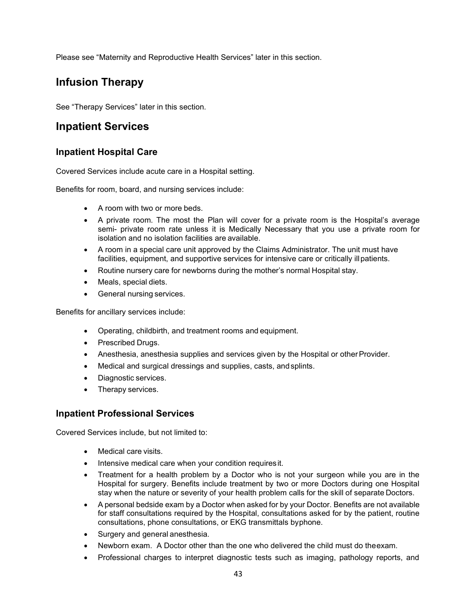Please see "Maternity and Reproductive Health Services" later in this section.

# **Infusion Therapy**

See "Therapy Services" later in this section.

### **Inpatient Services**

#### **Inpatient Hospital Care**

Covered Services include acute care in a Hospital setting.

Benefits for room, board, and nursing services include:

- A room with two or more beds.
- A private room. The most the Plan will cover for a private room is the Hospital's average semi- private room rate unless it is Medically Necessary that you use a private room for isolation and no isolation facilities are available.
- A room in a special care unit approved by the Claims Administrator. The unit must have facilities, equipment, and supportive services for intensive care or critically ill patients.
- Routine nursery care for newborns during the mother's normal Hospital stay.
- Meals, special diets.
- General nursing services.

Benefits for ancillary services include:

- Operating, childbirth, and treatment rooms and equipment.
- Prescribed Drugs.
- Anesthesia, anesthesia supplies and services given by the Hospital or other Provider.
- Medical and surgical dressings and supplies, casts, andsplints.
- Diagnostic services.
- Therapy services.

#### **Inpatient Professional Services**

Covered Services include, but not limited to:

- Medical care visits.
- Intensive medical care when your condition requires it.
- Treatment for a health problem by a Doctor who is not your surgeon while you are in the Hospital for surgery. Benefits include treatment by two or more Doctors during one Hospital stay when the nature or severity of your health problem calls for the skill of separate Doctors.
- A personal bedside exam by a Doctor when asked for by your Doctor. Benefits are not available for staff consultations required by the Hospital, consultations asked for by the patient, routine consultations, phone consultations, or EKG transmittals byphone.
- Surgery and general anesthesia.
- Newborn exam. A Doctor other than the one who delivered the child must do theexam.
- Professional charges to interpret diagnostic tests such as imaging, pathology reports, and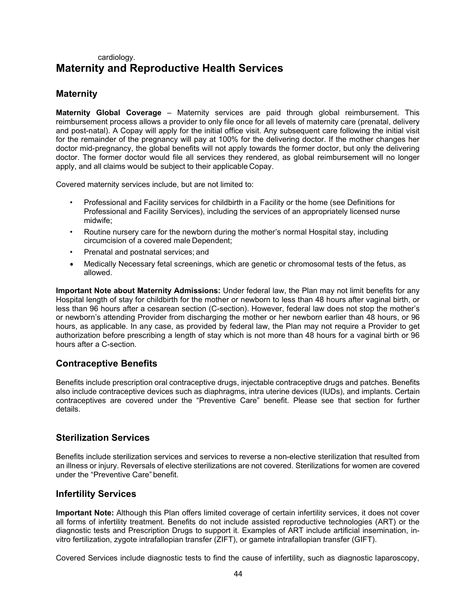### cardiology. **Maternity and Reproductive Health Services**

### **Maternity**

**Maternity Global Coverage** – Maternity services are paid through global reimbursement. This reimbursement process allows a provider to only file once for all levels of maternity care (prenatal, delivery and post-natal). A Copay will apply for the initial office visit. Any subsequent care following the initial visit for the remainder of the pregnancy will pay at 100% for the delivering doctor. If the mother changes her doctor mid-pregnancy, the global benefits will not apply towards the former doctor, but only the delivering doctor. The former doctor would file all services they rendered, as global reimbursement will no longer apply, and all claims would be subject to their applicable Copay.

Covered maternity services include, but are not limited to:

- Professional and Facility services for childbirth in a Facility or the home (see Definitions for Professional and Facility Services), including the services of an appropriately licensed nurse midwife;
- Routine nursery care for the newborn during the mother's normal Hospital stay, including circumcision of a covered male Dependent;
- Prenatal and postnatal services; and
- Medically Necessary fetal screenings, which are genetic or chromosomal tests of the fetus, as allowed.

**Important Note about Maternity Admissions:** Under federal law, the Plan may not limit benefits for any Hospital length of stay for childbirth for the mother or newborn to less than 48 hours after vaginal birth, or less than 96 hours after a cesarean section (C-section). However, federal law does not stop the mother's or newborn's attending Provider from discharging the mother or her newborn earlier than 48 hours, or 96 hours, as applicable. In any case, as provided by federal law, the Plan may not require a Provider to get authorization before prescribing a length of stay which is not more than 48 hours for a vaginal birth or 96 hours after a C-section.

#### **Contraceptive Benefits**

Benefits include prescription oral contraceptive drugs, injectable contraceptive drugs and patches. Benefits also include contraceptive devices such as diaphragms, intra uterine devices (IUDs), and implants. Certain contraceptives are covered under the "Preventive Care" benefit. Please see that section for further details.

#### **Sterilization Services**

Benefits include sterilization services and services to reverse a non-elective sterilization that resulted from an illness or injury. Reversals of elective sterilizations are not covered. Sterilizations for women are covered under the "Preventive Care" benefit.

#### **Infertility Services**

**Important Note:** Although this Plan offers limited coverage of certain infertility services, it does not cover all forms of infertility treatment. Benefits do not include assisted reproductive technologies (ART) or the diagnostic tests and Prescription Drugs to support it. Examples of ART include artificial insemination, invitro fertilization, zygote intrafallopian transfer (ZIFT), or gamete intrafallopian transfer (GIFT).

Covered Services include diagnostic tests to find the cause of infertility, such as diagnostic laparoscopy,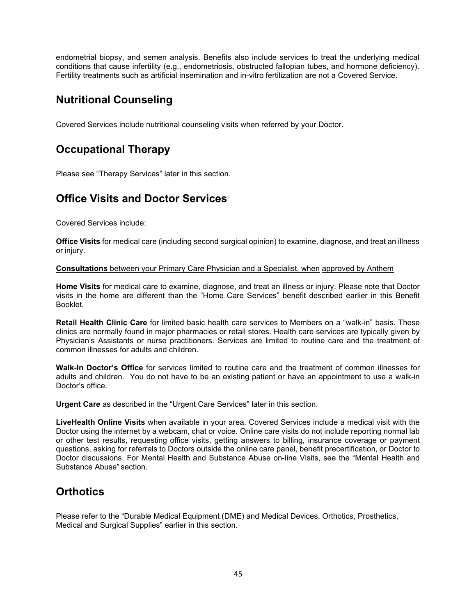endometrial biopsy, and semen analysis. Benefits also include services to treat the underlying medical conditions that cause infertility (e.g., endometriosis, obstructed fallopian tubes, and hormone deficiency). Fertility treatments such as artificial insemination and in-vitro fertilization are not a Covered Service.

# **Nutritional Counseling**

Covered Services include nutritional counseling visits when referred by your Doctor.

# **Occupational Therapy**

Please see "Therapy Services" later in this section.

# **Office Visits and Doctor Services**

Covered Services include:

**Office Visits** for medical care (including second surgical opinion) to examine, diagnose, and treat an illness or injury.

#### **Consultations** between your Primary Care Physician and a Specialist, when approved by Anthem

**Home Visits** for medical care to examine, diagnose, and treat an illness or injury. Please note that Doctor visits in the home are different than the "Home Care Services" benefit described earlier in this Benefit Booklet.

**Retail Health Clinic Care** for limited basic health care services to Members on a "walk-in" basis. These clinics are normally found in major pharmacies or retail stores. Health care services are typically given by Physician's Assistants or nurse practitioners. Services are limited to routine care and the treatment of common illnesses for adults and children.

**Walk-In Doctor's Office** for services limited to routine care and the treatment of common illnesses for adults and children. You do not have to be an existing patient or have an appointment to use a walk-in Doctor's office.

**Urgent Care** as described in the "Urgent Care Services" later in this section.

**LiveHealth Online Visits** when available in your area. Covered Services include a medical visit with the Doctor using the internet by a webcam, chat or voice. Online care visits do not include reporting normal lab or other test results, requesting office visits, getting answers to billing, insurance coverage or payment questions, asking for referrals to Doctors outside the online care panel, benefit precertification, or Doctor to Doctor discussions. For Mental Health and Substance Abuse on-line Visits, see the "Mental Health and Substance Abuse" section.

# **Orthotics**

Please refer to the "Durable Medical Equipment (DME) and Medical Devices, Orthotics, Prosthetics, Medical and Surgical Supplies" earlier in this section.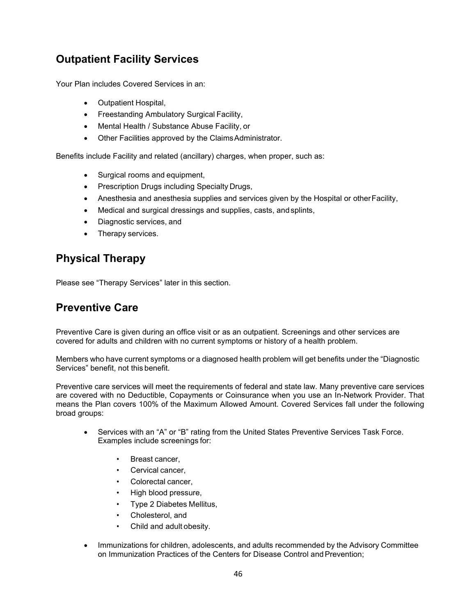# **Outpatient Facility Services**

Your Plan includes Covered Services in an:

- Outpatient Hospital,
- Freestanding Ambulatory Surgical Facility,
- Mental Health / Substance Abuse Facility, or
- Other Facilities approved by the ClaimsAdministrator.

Benefits include Facility and related (ancillary) charges, when proper, such as:

- Surgical rooms and equipment,
- Prescription Drugs including Specialty Drugs,
- Anesthesia and anesthesia supplies and services given by the Hospital or otherFacility,
- Medical and surgical dressings and supplies, casts, and splints,
- Diagnostic services, and
- Therapy services.

# **Physical Therapy**

Please see "Therapy Services" later in this section.

### **Preventive Care**

Preventive Care is given during an office visit or as an outpatient. Screenings and other services are covered for adults and children with no current symptoms or history of a health problem.

Members who have current symptoms or a diagnosed health problem will get benefits under the "Diagnostic Services" benefit, not this benefit.

Preventive care services will meet the requirements of federal and state law. Many preventive care services are covered with no Deductible, Copayments or Coinsurance when you use an In-Network Provider. That means the Plan covers 100% of the Maximum Allowed Amount. Covered Services fall under the following broad groups:

- Services with an "A" or "B" rating from the United States Preventive Services Task Force. Examples include screenings for:
	- Breast cancer.
	- Cervical cancer.
	- Colorectal cancer,
	- High blood pressure,
	- Type 2 Diabetes Mellitus,
	- Cholesterol, and
	- Child and adult obesity.
- Immunizations for children, adolescents, and adults recommended by the Advisory Committee on Immunization Practices of the Centers for Disease Control and Prevention;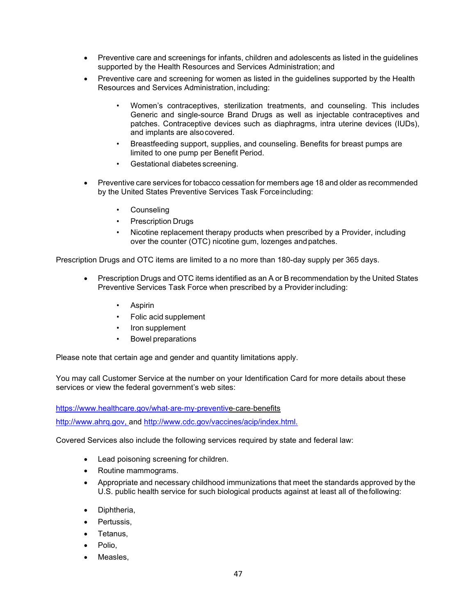- Preventive care and screenings for infants, children and adolescents as listed in the guidelines supported by the Health Resources and Services Administration; and
- Preventive care and screening for women as listed in the guidelines supported by the Health Resources and Services Administration, including:
	- Women's contraceptives, sterilization treatments, and counseling. This includes Generic and single-source Brand Drugs as well as injectable contraceptives and patches. Contraceptive devices such as diaphragms, intra uterine devices (IUDs), and implants are alsocovered.
	- Breastfeeding support, supplies, and counseling. Benefits for breast pumps are limited to one pump per Benefit Period.
	- Gestational diabetes screening.
- Preventive care services for tobacco cessation for members age 18 and older as recommended by the United States Preventive Services Task Forceincluding:
	- **Counseling**
	- **Prescription Drugs**
	- Nicotine replacement therapy products when prescribed by a Provider, including over the counter (OTC) nicotine gum, lozenges andpatches.

Prescription Drugs and OTC items are limited to a no more than 180-day supply per 365 days.

- Prescription Drugs and OTC items identified as an A or B recommendation by the United States Preventive Services Task Force when prescribed by a Provider including:
	- Aspirin
	- Folic acid supplement
	- Iron supplement
	- Bowel preparations

Please note that certain age and gender and quantity limitations apply.

You may call Customer Service at the number on your Identification Card for more details about these services or view the federal government's web sites:

[https://www.healthcare.gov/what](http://www.healthcare.gov/what)‐are‐my‐preventive‐care‐benefits

[http://www.ahrq.gov, a](http://www.ahrq.gov/)nd [http://www.cdc.gov/vaccines/acip/index.html.](http://www.cdc.gov/vaccines/acip/index.html)

Covered Services also include the following services required by state and federal law:

- Lead poisoning screening for children.
- Routine mammograms.
- Appropriate and necessary childhood immunizations that meet the standards approved by the U.S. public health service for such biological products against at least all of thefollowing:
- Diphtheria,
- Pertussis,
- Tetanus,
- Polio.
- Measles.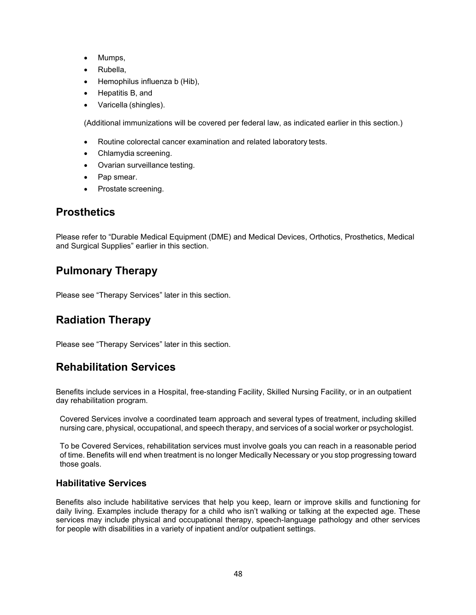- Mumps,
- Rubella,
- Hemophilus influenza b (Hib),
- Hepatitis B, and
- Varicella (shingles).

(Additional immunizations will be covered per federal law, as indicated earlier in this section.)

- Routine colorectal cancer examination and related laboratory tests.
- Chlamydia screening.
- Ovarian surveillance testing.
- Pap smear.
- Prostate screening.

# **Prosthetics**

Please refer to "Durable Medical Equipment (DME) and Medical Devices, Orthotics, Prosthetics, Medical and Surgical Supplies" earlier in this section.

# **Pulmonary Therapy**

Please see "Therapy Services" later in this section.

# **Radiation Therapy**

Please see "Therapy Services" later in this section.

# **Rehabilitation Services**

Benefits include services in a Hospital, free-standing Facility, Skilled Nursing Facility, or in an outpatient day rehabilitation program.

Covered Services involve a coordinated team approach and several types of treatment, including skilled nursing care, physical, occupational, and speech therapy, and services of a social worker or psychologist.

To be Covered Services, rehabilitation services must involve goals you can reach in a reasonable period of time. Benefits will end when treatment is no longer Medically Necessary or you stop progressing toward those goals.

#### **Habilitative Services**

Benefits also include habilitative services that help you keep, learn or improve skills and functioning for daily living. Examples include therapy for a child who isn't walking or talking at the expected age. These services may include physical and occupational therapy, speech-language pathology and other services for people with disabilities in a variety of inpatient and/or outpatient settings.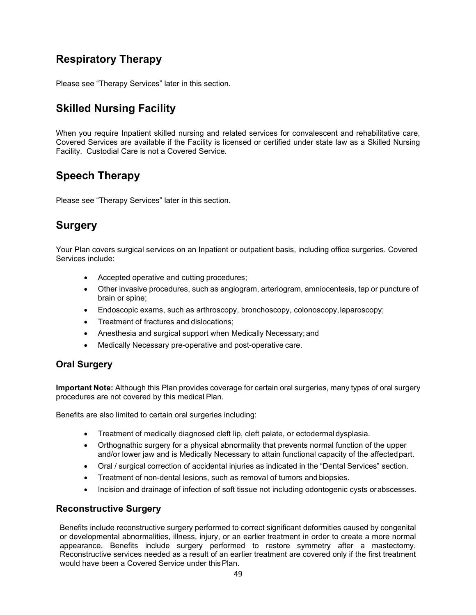# **Respiratory Therapy**

Please see "Therapy Services" later in this section.

# **Skilled Nursing Facility**

When you require Inpatient skilled nursing and related services for convalescent and rehabilitative care, Covered Services are available if the Facility is licensed or certified under state law as a Skilled Nursing Facility. Custodial Care is not a Covered Service.

# **Speech Therapy**

Please see "Therapy Services" later in this section.

# **Surgery**

Your Plan covers surgical services on an Inpatient or outpatient basis, including office surgeries. Covered Services include:

- Accepted operative and cutting procedures;
- Other invasive procedures, such as angiogram, arteriogram, amniocentesis, tap or puncture of brain or spine;
- Endoscopic exams, such as arthroscopy, bronchoscopy, colonoscopy, laparoscopy;
- Treatment of fractures and dislocations;
- Anesthesia and surgical support when Medically Necessary; and
- Medically Necessary pre-operative and post-operative care.

#### **Oral Surgery**

**Important Note:** Although this Plan provides coverage for certain oral surgeries, many types of oral surgery procedures are not covered by this medical Plan.

Benefits are also limited to certain oral surgeries including:

- Treatment of medically diagnosed cleft lip, cleft palate, or ectodermal dysplasia.
- Orthognathic surgery for a physical abnormality that prevents normal function of the upper and/or lower jaw and is Medically Necessary to attain functional capacity of the affectedpart.
- Oral / surgical correction of accidental injuries as indicated in the "Dental Services" section.
- Treatment of non-dental lesions, such as removal of tumors and biopsies.
- Incision and drainage of infection of soft tissue not including odontogenic cysts orabscesses.

#### **Reconstructive Surgery**

Benefits include reconstructive surgery performed to correct significant deformities caused by congenital or developmental abnormalities, illness, injury, or an earlier treatment in order to create a more normal appearance. Benefits include surgery performed to restore symmetry after a mastectomy. Reconstructive services needed as a result of an earlier treatment are covered only if the first treatment would have been a Covered Service under thisPlan.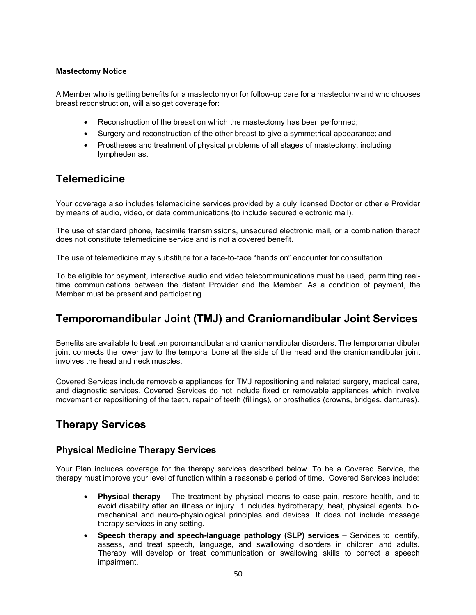#### **Mastectomy Notice**

A Member who is getting benefits for a mastectomy or for follow-up care for a mastectomy and who chooses breast reconstruction, will also get coverage for:

- Reconstruction of the breast on which the mastectomy has been performed;
- Surgery and reconstruction of the other breast to give a symmetrical appearance; and
- Prostheses and treatment of physical problems of all stages of mastectomy, including lymphedemas.

### **Telemedicine**

Your coverage also includes telemedicine services provided by a duly licensed Doctor or other e Provider by means of audio, video, or data communications (to include secured electronic mail).

The use of standard phone, facsimile transmissions, unsecured electronic mail, or a combination thereof does not constitute telemedicine service and is not a covered benefit.

The use of telemedicine may substitute for a face-to-face "hands on" encounter for consultation.

To be eligible for payment, interactive audio and video telecommunications must be used, permitting realtime communications between the distant Provider and the Member. As a condition of payment, the Member must be present and participating.

### **Temporomandibular Joint (TMJ) and Craniomandibular Joint Services**

Benefits are available to treat temporomandibular and craniomandibular disorders. The temporomandibular joint connects the lower jaw to the temporal bone at the side of the head and the craniomandibular joint involves the head and neck muscles.

Covered Services include removable appliances for TMJ repositioning and related surgery, medical care, and diagnostic services. Covered Services do not include fixed or removable appliances which involve movement or repositioning of the teeth, repair of teeth (fillings), or prosthetics (crowns, bridges, dentures).

### **Therapy Services**

#### **Physical Medicine Therapy Services**

Your Plan includes coverage for the therapy services described below. To be a Covered Service, the therapy must improve your level of function within a reasonable period of time. Covered Services include:

- **Physical therapy**  The treatment by physical means to ease pain, restore health, and to avoid disability after an illness or injury. It includes hydrotherapy, heat, physical agents, biomechanical and neuro-physiological principles and devices. It does not include massage therapy services in any setting.
- **Speech therapy and speech-language pathology (SLP) services** Services to identify, assess, and treat speech, language, and swallowing disorders in children and adults. Therapy will develop or treat communication or swallowing skills to correct a speech impairment.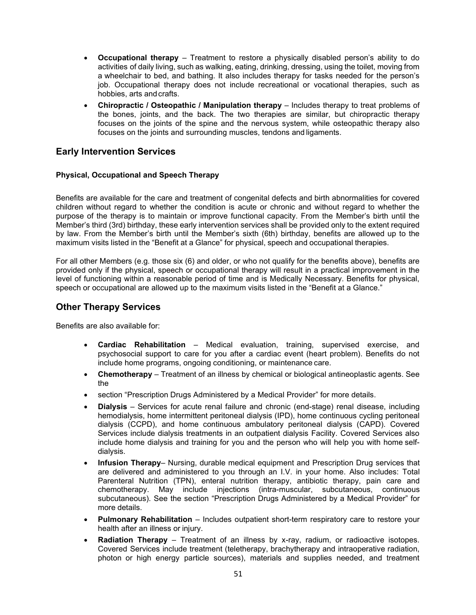- **Occupational therapy** Treatment to restore a physically disabled person's ability to do activities of daily living, such as walking, eating, drinking, dressing, using the toilet, moving from a wheelchair to bed, and bathing. It also includes therapy for tasks needed for the person's job. Occupational therapy does not include recreational or vocational therapies, such as hobbies, arts and crafts.
- **Chiropractic / Osteopathic / Manipulation therapy**  Includes therapy to treat problems of the bones, joints, and the back. The two therapies are similar, but chiropractic therapy focuses on the joints of the spine and the nervous system, while osteopathic therapy also focuses on the joints and surrounding muscles, tendons and ligaments.

#### **Early Intervention Services**

#### **Physical, Occupational and Speech Therapy**

Benefits are available for the care and treatment of congenital defects and birth abnormalities for covered children without regard to whether the condition is acute or chronic and without regard to whether the purpose of the therapy is to maintain or improve functional capacity. From the Member's birth until the Member's third (3rd) birthday, these early intervention services shall be provided only to the extent required by law. From the Member's birth until the Member's sixth (6th) birthday, benefits are allowed up to the maximum visits listed in the "Benefit at a Glance" for physical, speech and occupational therapies.

For all other Members (e.g. those six (6) and older, or who not qualify for the benefits above), benefits are provided only if the physical, speech or occupational therapy will result in a practical improvement in the level of functioning within a reasonable period of time and is Medically Necessary. Benefits for physical, speech or occupational are allowed up to the maximum visits listed in the "Benefit at a Glance."

#### **Other Therapy Services**

Benefits are also available for:

- **Cardiac Rehabilitation**  Medical evaluation, training, supervised exercise, and psychosocial support to care for you after a cardiac event (heart problem). Benefits do not include home programs, ongoing conditioning, or maintenance care.
- **Chemotherapy**  Treatment of an illness by chemical or biological antineoplastic agents. See the
- section "Prescription Drugs Administered by a Medical Provider" for more details.
- **Dialysis**  Services for acute renal failure and chronic (end-stage) renal disease, including hemodialysis, home intermittent peritoneal dialysis (IPD), home continuous cycling peritoneal dialysis (CCPD), and home continuous ambulatory peritoneal dialysis (CAPD). Covered Services include dialysis treatments in an outpatient dialysis Facility. Covered Services also include home dialysis and training for you and the person who will help you with home selfdialysis.
- **Infusion Therapy** Nursing, durable medical equipment and Prescription Drug services that are delivered and administered to you through an I.V. in your home. Also includes: Total Parenteral Nutrition (TPN), enteral nutrition therapy, antibiotic therapy, pain care and chemotherapy. May include injections (intra-muscular, subcutaneous, continuous subcutaneous). See the section "Prescription Drugs Administered by a Medical Provider" for more details.
- **Pulmonary Rehabilitation** Includes outpatient short-term respiratory care to restore your health after an illness or injury.
- **Radiation Therapy** Treatment of an illness by x-ray, radium, or radioactive isotopes. Covered Services include treatment (teletherapy, brachytherapy and intraoperative radiation, photon or high energy particle sources), materials and supplies needed, and treatment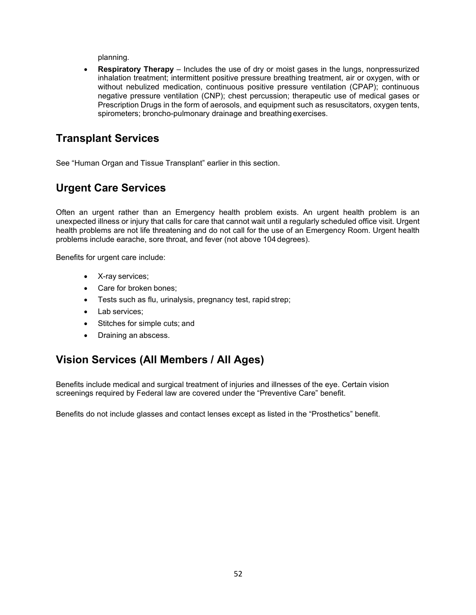planning.

• **Respiratory Therapy** – Includes the use of dry or moist gases in the lungs, nonpressurized inhalation treatment; intermittent positive pressure breathing treatment, air or oxygen, with or without nebulized medication, continuous positive pressure ventilation (CPAP); continuous negative pressure ventilation (CNP); chest percussion; therapeutic use of medical gases or Prescription Drugs in the form of aerosols, and equipment such as resuscitators, oxygen tents, spirometers; broncho-pulmonary drainage and breathing exercises.

### **Transplant Services**

See "Human Organ and Tissue Transplant" earlier in this section.

# **Urgent Care Services**

Often an urgent rather than an Emergency health problem exists. An urgent health problem is an unexpected illness or injury that calls for care that cannot wait until a regularly scheduled office visit. Urgent health problems are not life threatening and do not call for the use of an Emergency Room. Urgent health problems include earache, sore throat, and fever (not above 104 degrees).

Benefits for urgent care include:

- X-ray services;
- Care for broken bones;
- Tests such as flu, urinalysis, pregnancy test, rapid strep;
- Lab services;
- Stitches for simple cuts; and
- Draining an abscess.

# **Vision Services (All Members / All Ages)**

Benefits include medical and surgical treatment of injuries and illnesses of the eye. Certain vision screenings required by Federal law are covered under the "Preventive Care" benefit.

Benefits do not include glasses and contact lenses except as listed in the "Prosthetics" benefit.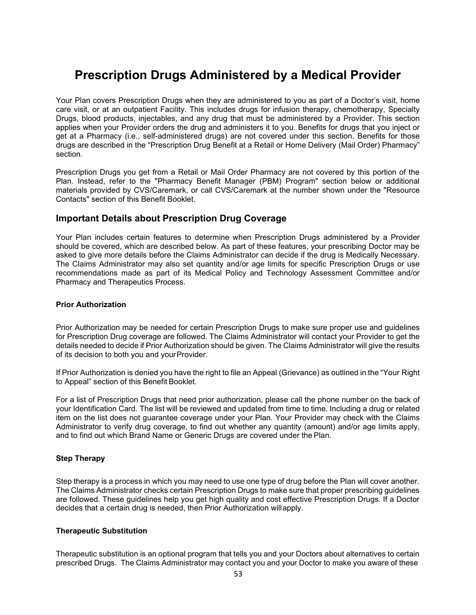# **Prescription Drugs Administered by a Medical Provider**

Your Plan covers Prescription Drugs when they are administered to you as part of a Doctor's visit, home care visit, or at an outpatient Facility. This includes drugs for infusion therapy, chemotherapy, Specialty Drugs, blood products, injectables, and any drug that must be administered by a Provider. This section applies when your Provider orders the drug and administers it to you. Benefits for drugs that you inject or get at a Pharmacy (i.e., self-administered drugs) are not covered under this section. Benefits for those drugs are described in the "Prescription Drug Benefit at a Retail or Home Delivery (Mail Order) Pharmacy" section.

Prescription Drugs you get from a Retail or Mail Order Pharmacy are not covered by this portion of the Plan. Instead, refer to the "Pharmacy Benefit Manager (PBM) Program" section below or additional materials provided by CVS/Caremark, or call CVS/Caremark at the number shown under the "Resource Contacts" section of this Benefit Booklet.

#### **Important Details about Prescription Drug Coverage**

Your Plan includes certain features to determine when Prescription Drugs administered by a Provider should be covered, which are described below. As part of these features, your prescribing Doctor may be asked to give more details before the Claims Administrator can decide if the drug is Medically Necessary. The Claims Administrator may also set quantity and/or age limits for specific Prescription Drugs or use recommendations made as part of its Medical Policy and Technology Assessment Committee and/or Pharmacy and Therapeutics Process.

#### **Prior Authorization**

Prior Authorization may be needed for certain Prescription Drugs to make sure proper use and guidelines for Prescription Drug coverage are followed. The Claims Administrator will contact your Provider to get the details needed to decide if Prior Authorization should be given. The Claims Administrator will give the results of its decision to both you and yourProvider.

If Prior Authorization is denied you have the right to file an Appeal (Grievance) as outlined in the "Your Right to Appeal" section of this Benefit Booklet.

For a list of Prescription Drugs that need prior authorization, please call the phone number on the back of your Identification Card. The list will be reviewed and updated from time to time. Including a drug or related item on the list does not guarantee coverage under your Plan. Your Provider may check with the Claims Administrator to verify drug coverage, to find out whether any quantity (amount) and/or age limits apply, and to find out which Brand Name or Generic Drugs are covered under the Plan.

#### **Step Therapy**

Step therapy is a process in which you may need to use one type of drug before the Plan will cover another. The Claims Administrator checks certain Prescription Drugs to make sure that proper prescribing guidelines are followed. These guidelines help you get high quality and cost effective Prescription Drugs. If a Doctor decides that a certain drug is needed, then Prior Authorization willapply.

#### **Therapeutic Substitution**

Therapeutic substitution is an optional program that tells you and your Doctors about alternatives to certain prescribed Drugs. The Claims Administrator may contact you and your Doctor to make you aware of these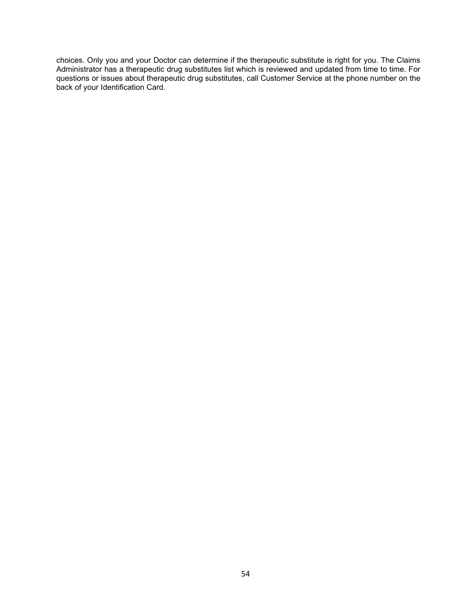choices. Only you and your Doctor can determine if the therapeutic substitute is right for you. The Claims Administrator has a therapeutic drug substitutes list which is reviewed and updated from time to time. For questions or issues about therapeutic drug substitutes, call Customer Service at the phone number on the back of your Identification Card.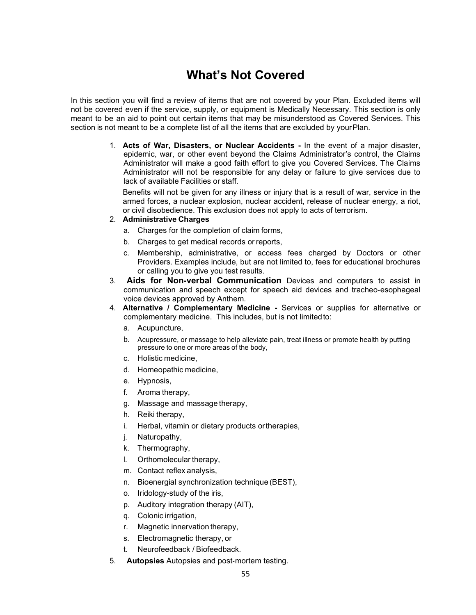# **What's Not Covered**

In this section you will find a review of items that are not covered by your Plan. Excluded items will not be covered even if the service, supply, or equipment is Medically Necessary. This section is only meant to be an aid to point out certain items that may be misunderstood as Covered Services. This section is not meant to be a complete list of all the items that are excluded by yourPlan.

> 1. **Acts of War, Disasters, or Nuclear Accidents -** In the event of a major disaster, epidemic, war, or other event beyond the Claims Administrator's control, the Claims Administrator will make a good faith effort to give you Covered Services. The Claims Administrator will not be responsible for any delay or failure to give services due to lack of available Facilities or staff.

Benefits will not be given for any illness or injury that is a result of war, service in the armed forces, a nuclear explosion, nuclear accident, release of nuclear energy, a riot, or civil disobedience. This exclusion does not apply to acts of terrorism.

#### 2. **Administrative Charges**

- a. Charges for the completion of claim forms,
- b. Charges to get medical records or reports,
- c. Membership, administrative, or access fees charged by Doctors or other Providers. Examples include, but are not limited to, fees for educational brochures or calling you to give you test results.
- 3. **Aids for Non**‐**verbal Communication** Devices and computers to assist in communication and speech except for speech aid devices and tracheo‐esophageal voice devices approved by Anthem.
- 4. **Alternative / Complementary Medicine -** Services or supplies for alternative or complementary medicine. This includes, but is not limitedto:
	- a. Acupuncture,
	- b. Acupressure, or massage to help alleviate pain, treat illness or promote health by putting pressure to one or more areas of the body,
	- c. Holistic medicine,
	- d. Homeopathic medicine,
	- e. Hypnosis,
	- f. Aroma therapy,
	- g. Massage and massage therapy,
	- h. Reiki therapy,
	- i. Herbal, vitamin or dietary products ortherapies,
	- j. Naturopathy,
	- k. Thermography,
	- l. Orthomolecular therapy,
	- m. Contact reflex analysis,
	- n. Bioenergial synchronization technique (BEST),
	- o. Iridology-study of the iris,
	- p. Auditory integration therapy (AIT),
	- q. Colonic irrigation,
	- r. Magnetic innervation therapy,
	- s. Electromagnetic therapy, or
	- t. Neurofeedback / Biofeedback.
- 5. **Autopsies** Autopsies and post‐mortem testing.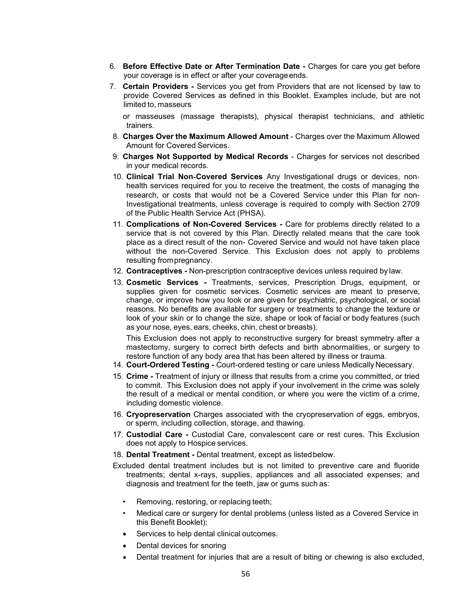- 6. **Before Effective Date or After Termination Date -** Charges for care you get before your coverage is in effect or after your coverage ends.
- 7. **Certain Providers -** Services you get from Providers that are not licensed by law to provide Covered Services as defined in this Booklet. Examples include, but are not limited to, masseurs

or masseuses (massage therapists), physical therapist technicians, and athletic trainers.

- 8. **Charges Over the Maximum Allowed Amount** Charges over the Maximum Allowed Amount for Covered Services.
- 9. **Charges Not Supported by Medical Records**  Charges for services not described in your medical records.
- 10. **Clinical Trial Non**‐**Covered Services** Any Investigational drugs or devices, non‐ health services required for you to receive the treatment, the costs of managing the research, or costs that would not be a Covered Service under this Plan for non‐ Investigational treatments, unless coverage is required to comply with Section 2709 of the Public Health Service Act (PHSA).
- 11. **Complications of Non-Covered Services -** Care for problems directly related to a service that is not covered by this Plan. Directly related means that the care took place as a direct result of the non- Covered Service and would not have taken place without the non-Covered Service. This Exclusion does not apply to problems resulting frompregnancy.
- 12. **Contraceptives -** Non-prescription contraceptive devices unless required by law.
- 13. **Cosmetic Services -** Treatments, services, Prescription Drugs, equipment, or supplies given for cosmetic services. Cosmetic services are meant to preserve, change, or improve how you look or are given for psychiatric, psychological, or social reasons. No benefits are available for surgery or treatments to change the texture or look of your skin or to change the size, shape or look of facial or body features (such as your nose, eyes, ears, cheeks, chin, chest or breasts).

This Exclusion does not apply to reconstructive surgery for breast symmetry after a mastectomy, surgery to correct birth defects and birth abnormalities, or surgery to restore function of any body area that has been altered by illness or trauma.

- 14. **Court-Ordered Testing** Court-ordered testing or care unless Medically Necessary.
- 15. **Crime -** Treatment of injury or illness that results from a crime you committed, or tried to commit. This Exclusion does not apply if your involvement in the crime was solely the result of a medical or mental condition, or where you were the victim of a crime, including domestic violence.
- 16. **Cryopreservation** Charges associated with the cryopreservation of eggs, embryos, or sperm, including collection, storage, and thawing.
- 17. **Custodial Care -** Custodial Care, convalescent care or rest cures. This Exclusion does not apply to Hospice services.
- 18. **Dental Treatment -** Dental treatment, except as listedbelow.
- Excluded dental treatment includes but is not limited to preventive care and fluoride treatments; dental x-rays, supplies, appliances and all associated expenses; and diagnosis and treatment for the teeth, jaw or gums such as:
	- Removing, restoring, or replacing teeth;
	- Medical care or surgery for dental problems (unless listed as a Covered Service in this Benefit Booklet);
	- Services to help dental clinical outcomes.
	- Dental devices for snoring
	- Dental treatment for injuries that are a result of biting or chewing is also excluded,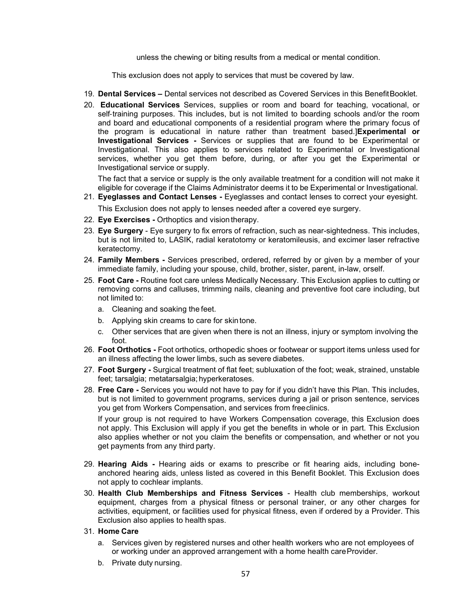unless the chewing or biting results from a medical or mental condition.

This exclusion does not apply to services that must be covered by law.

- 19. **Dental Services –** Dental services not described as Covered Services in this BenefitBooklet.
- 20. **Educational Services** Services, supplies or room and board for teaching, vocational, or self-training purposes. This includes, but is not limited to boarding schools and/or the room and board and educational components of a residential program where the primary focus of the program is educational in nature rather than treatment based.]**Experimental or Investigational Services -** Services or supplies that are found to be Experimental or Investigational. This also applies to services related to Experimental or Investigational services, whether you get them before, during, or after you get the Experimental or Investigational service or supply.

The fact that a service or supply is the only available treatment for a condition will not make it eligible for coverage if the Claims Administrator deems it to be Experimental or Investigational.

21. **Eyeglasses and Contact Lenses -** Eyeglasses and contact lenses to correct your eyesight.

This Exclusion does not apply to lenses needed after a covered eye surgery.

- 22. **Eye Exercises -** Orthoptics and vision therapy.
- 23. **Eye Surgery** Eye surgery to fix errors of refraction, such as near-sightedness. This includes, but is not limited to, LASIK, radial keratotomy or keratomileusis, and excimer laser refractive keratectomy.
- 24. **Family Members -** Services prescribed, ordered, referred by or given by a member of your immediate family, including your spouse, child, brother, sister, parent, in-law, orself.
- 25. **Foot Care -** Routine foot care unless Medically Necessary. This Exclusion applies to cutting or removing corns and calluses, trimming nails, cleaning and preventive foot care including, but not limited to:
	- a. Cleaning and soaking the feet.
	- b. Applying skin creams to care for skintone.
	- c. Other services that are given when there is not an illness, injury or symptom involving the foot.
- 26. **Foot Orthotics -** Foot orthotics, orthopedic shoes or footwear or support items unless used for an illness affecting the lower limbs, such as severe diabetes.
- 27. **Foot Surgery -** Surgical treatment of flat feet; subluxation of the foot; weak, strained, unstable feet; tarsalgia; metatarsalgia; hyperkeratoses.
- 28. **Free Care -** Services you would not have to pay for if you didn't have this Plan. This includes, but is not limited to government programs, services during a jail or prison sentence, services you get from Workers Compensation, and services from freeclinics.

If your group is not required to have Workers Compensation coverage, this Exclusion does not apply. This Exclusion will apply if you get the benefits in whole or in part. This Exclusion also applies whether or not you claim the benefits or compensation, and whether or not you get payments from any third party.

- 29. **Hearing Aids -** Hearing aids or exams to prescribe or fit hearing aids, including boneanchored hearing aids, unless listed as covered in this Benefit Booklet. This Exclusion does not apply to cochlear implants.
- 30. **Health Club Memberships and Fitness Services**  Health club memberships, workout equipment, charges from a physical fitness or personal trainer, or any other charges for activities, equipment, or facilities used for physical fitness, even if ordered by a Provider. This Exclusion also applies to health spas.
- 31. **Home Care**
	- a. Services given by registered nurses and other health workers who are not employees of or working under an approved arrangement with a home health careProvider.
	- b. Private duty nursing.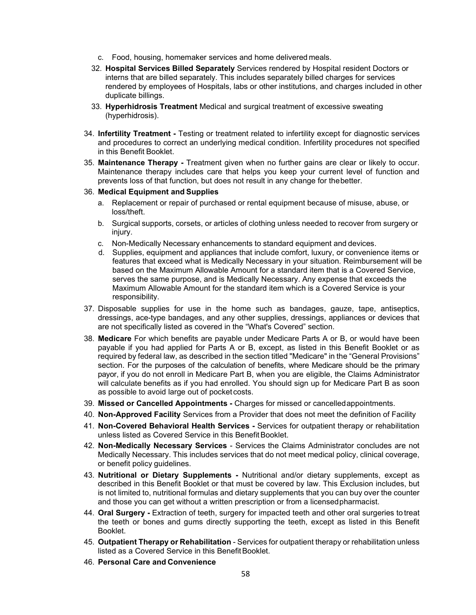- c. Food, housing, homemaker services and home delivered meals.
- 32. **Hospital Services Billed Separately** Services rendered by Hospital resident Doctors or interns that are billed separately. This includes separately billed charges for services rendered by employees of Hospitals, labs or other institutions, and charges included in other duplicate billings.
- 33. **Hyperhidrosis Treatment** Medical and surgical treatment of excessive sweating (hyperhidrosis).
- 34. **Infertility Treatment -** Testing or treatment related to infertility except for diagnostic services and procedures to correct an underlying medical condition. Infertility procedures not specified in this Benefit Booklet.
- 35. **Maintenance Therapy -** Treatment given when no further gains are clear or likely to occur. Maintenance therapy includes care that helps you keep your current level of function and prevents loss of that function, but does not result in any change for thebetter.

#### 36. **Medical Equipment and Supplies**

- a. Replacement or repair of purchased or rental equipment because of misuse, abuse, or loss/theft.
- b. Surgical supports, corsets, or articles of clothing unless needed to recover from surgery or injury.
- c. Non-Medically Necessary enhancements to standard equipment and devices.
- d. Supplies, equipment and appliances that include comfort, luxury, or convenience items or features that exceed what is Medically Necessary in your situation. Reimbursement will be based on the Maximum Allowable Amount for a standard item that is a Covered Service, serves the same purpose, and is Medically Necessary. Any expense that exceeds the Maximum Allowable Amount for the standard item which is a Covered Service is your responsibility.
- 37. Disposable supplies for use in the home such as bandages, gauze, tape, antiseptics, dressings, ace-type bandages, and any other supplies, dressings, appliances or devices that are not specifically listed as covered in the "What's Covered" section.
- 38. **Medicare** For which benefits are payable under Medicare Parts A or B, or would have been payable if you had applied for Parts A or B, except, as listed in this Benefit Booklet or as required by federal law, as described in the section titled "Medicare" in the "General Provisions" section. For the purposes of the calculation of benefits, where Medicare should be the primary payor, if you do not enroll in Medicare Part B, when you are eligible, the Claims Administrator will calculate benefits as if you had enrolled. You should sign up for Medicare Part B as soon as possible to avoid large out of pocket costs.
- 39. **Missed or Cancelled Appointments -** Charges for missed or cancelledappointments.
- 40. **Non-Approved Facility** Services from a Provider that does not meet the definition of Facility
- 41. **Non-Covered Behavioral Health Services -** Services for outpatient therapy or rehabilitation unless listed as Covered Service in this BenefitBooklet.
- 42. **Non-Medically Necessary Services**  Services the Claims Administrator concludes are not Medically Necessary. This includes services that do not meet medical policy, clinical coverage, or benefit policy guidelines.
- 43. **Nutritional or Dietary Supplements -** Nutritional and/or dietary supplements, except as described in this Benefit Booklet or that must be covered by law. This Exclusion includes, but is not limited to, nutritional formulas and dietary supplements that you can buy over the counter and those you can get without a written prescription or from a licensedpharmacist.
- 44. **Oral Surgery -** Extraction of teeth, surgery for impacted teeth and other oral surgeries totreat the teeth or bones and gums directly supporting the teeth, except as listed in this Benefit Booklet.
- 45. **Outpatient Therapy or Rehabilitation** Services for outpatient therapy or rehabilitation unless listed as a Covered Service in this Benefit Booklet.
- 46. **Personal Care and Convenience**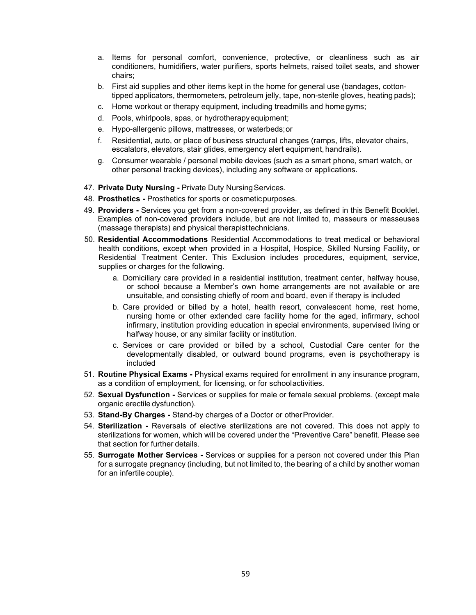- a. Items for personal comfort, convenience, protective, or cleanliness such as air conditioners, humidifiers, water purifiers, sports helmets, raised toilet seats, and shower chairs;
- b. First aid supplies and other items kept in the home for general use (bandages, cottontipped applicators, thermometers, petroleum jelly, tape, non-sterile gloves, heating pads);
- c. Home workout or therapy equipment, including treadmills and homegyms;
- d. Pools, whirlpools, spas, or hydrotherapyequipment;
- e. Hypo-allergenic pillows, mattresses, or waterbeds;or
- f. Residential, auto, or place of business structural changes (ramps, lifts, elevator chairs, escalators, elevators, stair glides, emergency alert equipment, handrails).
- g. Consumer wearable / personal mobile devices (such as a smart phone, smart watch, or other personal tracking devices), including any software or applications.
- 47. Private Duty Nursing Private Duty Nursing Services.
- 48. **Prosthetics -** Prosthetics for sports or cosmeticpurposes.
- 49. **Providers -** Services you get from a non-covered provider, as defined in this Benefit Booklet. Examples of non-covered providers include, but are not limited to, masseurs or masseuses (massage therapists) and physical therapisttechnicians.
- 50. **Residential Accommodations** Residential Accommodations to treat medical or behavioral health conditions, except when provided in a Hospital, Hospice, Skilled Nursing Facility, or Residential Treatment Center. This Exclusion includes procedures, equipment, service, supplies or charges for the following.
	- a. Domiciliary care provided in a residential institution, treatment center, halfway house, or school because a Member's own home arrangements are not available or are unsuitable, and consisting chiefly of room and board, even if therapy is included
	- b. Care provided or billed by a hotel, health resort, convalescent home, rest home, nursing home or other extended care facility home for the aged, infirmary, school infirmary, institution providing education in special environments, supervised living or halfway house, or any similar facility or institution.
	- c. Services or care provided or billed by a school, Custodial Care center for the developmentally disabled, or outward bound programs, even is psychotherapy is included
- 51. **Routine Physical Exams -** Physical exams required for enrollment in any insurance program, as a condition of employment, for licensing, or for schoolactivities.
- 52. **Sexual Dysfunction -** Services or supplies for male or female sexual problems. (except male organic erectile dysfunction).
- 53. **Stand-By Charges -** Stand-by charges of a Doctor or otherProvider.
- 54. **Sterilization -** Reversals of elective sterilizations are not covered. This does not apply to sterilizations for women, which will be covered under the "Preventive Care" benefit. Please see that section for further details.
- 55. **Surrogate Mother Services -** Services or supplies for a person not covered under this Plan for a surrogate pregnancy (including, but not limited to, the bearing of a child by another woman for an infertile couple).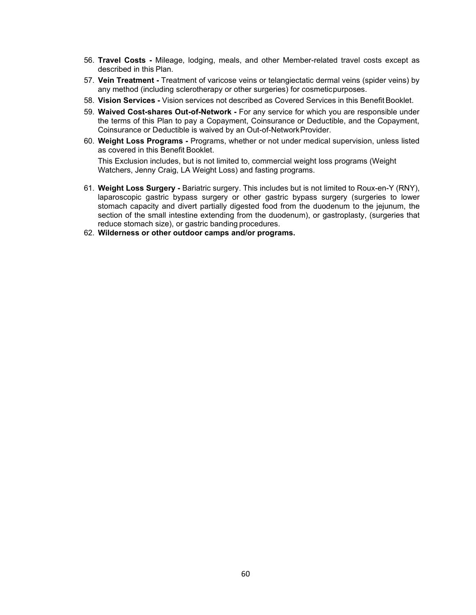- 56. **Travel Costs -** Mileage, lodging, meals, and other Member-related travel costs except as described in this Plan.
- 57. **Vein Treatment -** Treatment of varicose veins or telangiectatic dermal veins (spider veins) by any method (including sclerotherapy or other surgeries) for cosmeticpurposes.
- 58. **Vision Services -** Vision services not described as Covered Services in this Benefit Booklet.
- 59. **Waived Cost-shares Out-of-Network -** For any service for which you are responsible under the terms of this Plan to pay a Copayment, Coinsurance or Deductible, and the Copayment, Coinsurance or Deductible is waived by an Out-of-NetworkProvider.
- 60. **Weight Loss Programs -** Programs, whether or not under medical supervision, unless listed as covered in this Benefit Booklet.

This Exclusion includes, but is not limited to, commercial weight loss programs (Weight Watchers, Jenny Craig, LA Weight Loss) and fasting programs.

- 61. **Weight Loss Surgery -** Bariatric surgery. This includes but is not limited to Roux-en-Y (RNY), laparoscopic gastric bypass surgery or other gastric bypass surgery (surgeries to lower stomach capacity and divert partially digested food from the duodenum to the jejunum, the section of the small intestine extending from the duodenum), or gastroplasty, (surgeries that reduce stomach size), or gastric banding procedures.
- 62. **Wilderness or other outdoor camps and/or programs.**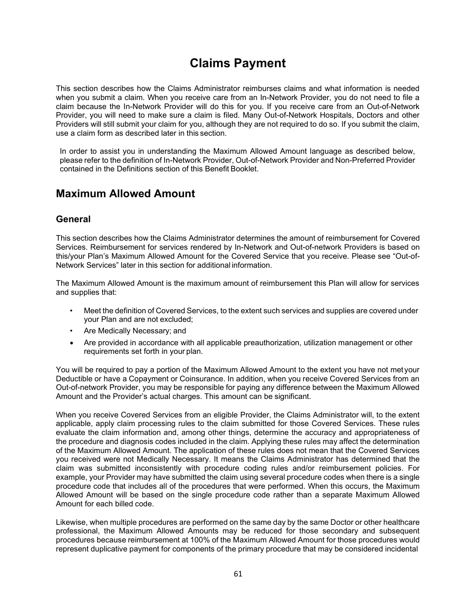# **Claims Payment**

This section describes how the Claims Administrator reimburses claims and what information is needed when you submit a claim. When you receive care from an In-Network Provider, you do not need to file a claim because the In-Network Provider will do this for you. If you receive care from an Out-of-Network Provider, you will need to make sure a claim is filed. Many Out-of-Network Hospitals, Doctors and other Providers will still submit your claim for you, although they are not required to do so. If you submit the claim, use a claim form as described later in this section.

In order to assist you in understanding the Maximum Allowed Amount language as described below, please refer to the definition of In-Network Provider, Out-of-Network Provider and Non-Preferred Provider contained in the Definitions section of this Benefit Booklet.

### **Maximum Allowed Amount**

#### **General**

This section describes how the Claims Administrator determines the amount of reimbursement for Covered Services. Reimbursement for services rendered by In-Network and Out-of-network Providers is based on this/your Plan's Maximum Allowed Amount for the Covered Service that you receive. Please see "Out-of-Network Services" later in this section for additional information.

The Maximum Allowed Amount is the maximum amount of reimbursement this Plan will allow for services and supplies that:

- Meet the definition of Covered Services, to the extent such services and supplies are covered under your Plan and are not excluded;
- Are Medically Necessary; and
- Are provided in accordance with all applicable preauthorization, utilization management or other requirements set forth in your plan.

You will be required to pay a portion of the Maximum Allowed Amount to the extent you have not met your Deductible or have a Copayment or Coinsurance. In addition, when you receive Covered Services from an Out-of-network Provider, you may be responsible for paying any difference between the Maximum Allowed Amount and the Provider's actual charges. This amount can be significant.

When you receive Covered Services from an eligible Provider, the Claims Administrator will, to the extent applicable, apply claim processing rules to the claim submitted for those Covered Services. These rules evaluate the claim information and, among other things, determine the accuracy and appropriateness of the procedure and diagnosis codes included in the claim. Applying these rules may affect the determination of the Maximum Allowed Amount. The application of these rules does not mean that the Covered Services you received were not Medically Necessary. It means the Claims Administrator has determined that the claim was submitted inconsistently with procedure coding rules and/or reimbursement policies. For example, your Provider may have submitted the claim using several procedure codes when there is a single procedure code that includes all of the procedures that were performed. When this occurs, the Maximum Allowed Amount will be based on the single procedure code rather than a separate Maximum Allowed Amount for each billed code.

Likewise, when multiple procedures are performed on the same day by the same Doctor or other healthcare professional, the Maximum Allowed Amounts may be reduced for those secondary and subsequent procedures because reimbursement at 100% of the Maximum Allowed Amount for those procedures would represent duplicative payment for components of the primary procedure that may be considered incidental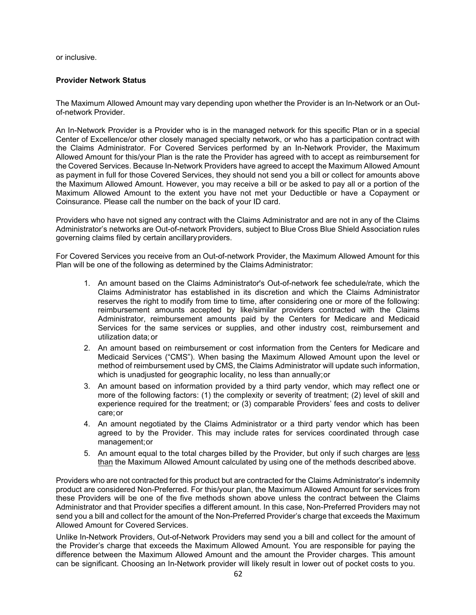or inclusive.

#### **Provider Network Status**

The Maximum Allowed Amount may vary depending upon whether the Provider is an In-Network or an Outof-network Provider.

An In-Network Provider is a Provider who is in the managed network for this specific Plan or in a special Center of Excellence/or other closely managed specialty network, or who has a participation contract with the Claims Administrator. For Covered Services performed by an In-Network Provider, the Maximum Allowed Amount for this/your Plan is the rate the Provider has agreed with to accept as reimbursement for the Covered Services. Because In-Network Providers have agreed to accept the Maximum Allowed Amount as payment in full for those Covered Services, they should not send you a bill or collect for amounts above the Maximum Allowed Amount. However, you may receive a bill or be asked to pay all or a portion of the Maximum Allowed Amount to the extent you have not met your Deductible or have a Copayment or Coinsurance. Please call the number on the back of your ID card.

Providers who have not signed any contract with the Claims Administrator and are not in any of the Claims Administrator's networks are Out-of-network Providers, subject to Blue Cross Blue Shield Association rules governing claims filed by certain ancillaryproviders.

For Covered Services you receive from an Out-of-network Provider, the Maximum Allowed Amount for this Plan will be one of the following as determined by the Claims Administrator:

- 1. An amount based on the Claims Administrator's Out-of-network fee schedule/rate, which the Claims Administrator has established in its discretion and which the Claims Administrator reserves the right to modify from time to time, after considering one or more of the following: reimbursement amounts accepted by like/similar providers contracted with the Claims Administrator, reimbursement amounts paid by the Centers for Medicare and Medicaid Services for the same services or supplies, and other industry cost, reimbursement and utilization data; or
- 2. An amount based on reimbursement or cost information from the Centers for Medicare and Medicaid Services ("CMS"). When basing the Maximum Allowed Amount upon the level or method of reimbursement used by CMS, the Claims Administrator will update such information, which is unadjusted for geographic locality, no less than annually;or
- 3. An amount based on information provided by a third party vendor, which may reflect one or more of the following factors: (1) the complexity or severity of treatment; (2) level of skill and experience required for the treatment; or (3) comparable Providers' fees and costs to deliver care;or
- 4. An amount negotiated by the Claims Administrator or a third party vendor which has been agreed to by the Provider. This may include rates for services coordinated through case management;or
- 5. An amount equal to the total charges billed by the Provider, but only if such charges are less than the Maximum Allowed Amount calculated by using one of the methods described above.

Providers who are not contracted for this product but are contracted for the Claims Administrator's indemnity product are considered Non-Preferred. For this/your plan, the Maximum Allowed Amount for services from these Providers will be one of the five methods shown above unless the contract between the Claims Administrator and that Provider specifies a different amount. In this case, Non-Preferred Providers may not send you a bill and collect for the amount of the Non-Preferred Provider's charge that exceeds the Maximum Allowed Amount for Covered Services.

Unlike In-Network Providers, Out-of-Network Providers may send you a bill and collect for the amount of the Provider's charge that exceeds the Maximum Allowed Amount. You are responsible for paying the difference between the Maximum Allowed Amount and the amount the Provider charges. This amount can be significant. Choosing an In-Network provider will likely result in lower out of pocket costs to you.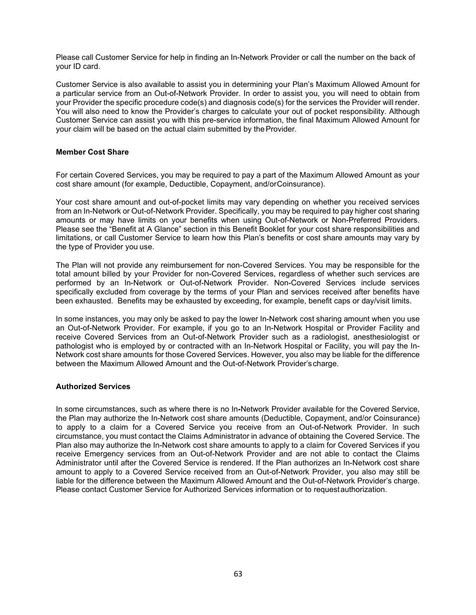Please call Customer Service for help in finding an In-Network Provider or call the number on the back of your ID card.

Customer Service is also available to assist you in determining your Plan's Maximum Allowed Amount for a particular service from an Out-of-Network Provider. In order to assist you, you will need to obtain from your Provider the specific procedure code(s) and diagnosis code(s) for the services the Provider will render. You will also need to know the Provider's charges to calculate your out of pocket responsibility. Although Customer Service can assist you with this pre-service information, the final Maximum Allowed Amount for your claim will be based on the actual claim submitted by the Provider.

#### **Member Cost Share**

For certain Covered Services, you may be required to pay a part of the Maximum Allowed Amount as your cost share amount (for example, Deductible, Copayment, and/orCoinsurance).

Your cost share amount and out-of-pocket limits may vary depending on whether you received services from an In-Network or Out-of-Network Provider. Specifically, you may be required to pay higher cost sharing amounts or may have limits on your benefits when using Out-of-Network or Non-Preferred Providers. Please see the "Benefit at A Glance" section in this Benefit Booklet for your cost share responsibilities and limitations, or call Customer Service to learn how this Plan's benefits or cost share amounts may vary by the type of Provider you use.

The Plan will not provide any reimbursement for non-Covered Services. You may be responsible for the total amount billed by your Provider for non-Covered Services, regardless of whether such services are performed by an In-Network or Out-of-Network Provider. Non-Covered Services include services specifically excluded from coverage by the terms of your Plan and services received after benefits have been exhausted. Benefits may be exhausted by exceeding, for example, benefit caps or day/visit limits.

In some instances, you may only be asked to pay the lower In-Network cost sharing amount when you use an Out-of-Network Provider. For example, if you go to an In-Network Hospital or Provider Facility and receive Covered Services from an Out-of-Network Provider such as a radiologist, anesthesiologist or pathologist who is employed by or contracted with an In-Network Hospital or Facility, you will pay the In-Network cost share amounts for those Covered Services. However, you also may be liable for the difference between the Maximum Allowed Amount and the Out-of-Network Provider's charge.

#### **Authorized Services**

In some circumstances, such as where there is no In**-**Network Provider available for the Covered Service, the Plan may authorize the In-Network cost share amounts (Deductible, Copayment, and/or Coinsurance) to apply to a claim for a Covered Service you receive from an Out-of-Network Provider. In such circumstance, you must contact the Claims Administrator in advance of obtaining the Covered Service. The Plan also may authorize the In-Network cost share amounts to apply to a claim for Covered Services if you receive Emergency services from an Out-of-Network Provider and are not able to contact the Claims Administrator until after the Covered Service is rendered. If the Plan authorizes an In-Network cost share amount to apply to a Covered Service received from an Out-of-Network Provider, you also may still be liable for the difference between the Maximum Allowed Amount and the Out-of-Network Provider's charge. Please contact Customer Service for Authorized Services information or to requestauthorization.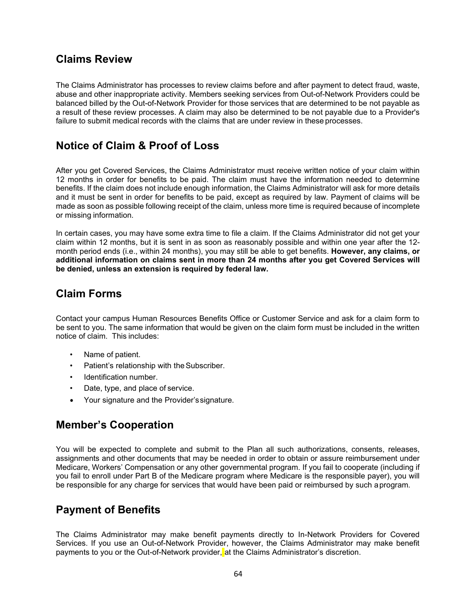### **Claims Review**

The Claims Administrator has processes to review claims before and after payment to detect fraud, waste, abuse and other inappropriate activity. Members seeking services from Out-of-Network Providers could be balanced billed by the Out-of-Network Provider for those services that are determined to be not payable as a result of these review processes. A claim may also be determined to be not payable due to a Provider's failure to submit medical records with the claims that are under review in these processes.

# **Notice of Claim & Proof of Loss**

After you get Covered Services, the Claims Administrator must receive written notice of your claim within 12 months in order for benefits to be paid. The claim must have the information needed to determine benefits. If the claim does not include enough information, the Claims Administrator will ask for more details and it must be sent in order for benefits to be paid, except as required by law. Payment of claims will be made as soon as possible following receipt of the claim, unless more time is required because of incomplete or missing information.

In certain cases, you may have some extra time to file a claim. If the Claims Administrator did not get your claim within 12 months, but it is sent in as soon as reasonably possible and within one year after the 12 month period ends (i.e., within 24 months), you may still be able to get benefits. **However, any claims, or additional information on claims sent in more than 24 months after you get Covered Services will be denied, unless an extension is required by federal law.**

# **Claim Forms**

Contact your campus Human Resources Benefits Office or Customer Service and ask for a claim form to be sent to you. The same information that would be given on the claim form must be included in the written notice of claim. This includes:

- Name of patient.
- Patient's relationship with theSubscriber.
- Identification number.
- Date, type, and place of service.
- Your signature and the Provider'ssignature.

### **Member's Cooperation**

You will be expected to complete and submit to the Plan all such authorizations, consents, releases, assignments and other documents that may be needed in order to obtain or assure reimbursement under Medicare, Workers' Compensation or any other governmental program. If you fail to cooperate (including if you fail to enroll under Part B of the Medicare program where Medicare is the responsible payer), you will be responsible for any charge for services that would have been paid or reimbursed by such aprogram.

# **Payment of Benefits**

The Claims Administrator may make benefit payments directly to In-Network Providers for Covered Services. If you use an Out-of-Network Provider, however, the Claims Administrator may make benefit payments to you or the Out-of-Network provider, at the Claims Administrator's discretion.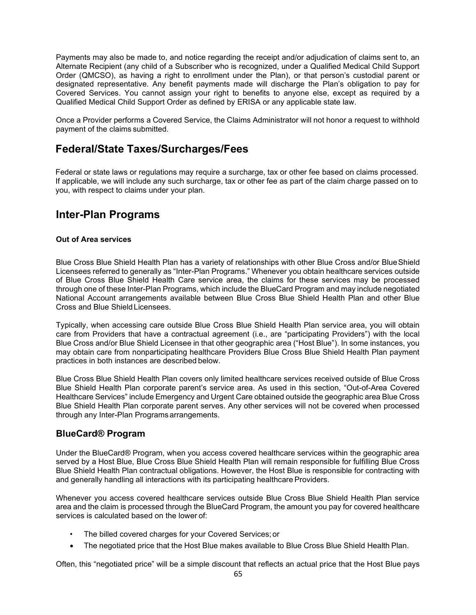Payments may also be made to, and notice regarding the receipt and/or adjudication of claims sent to, an Alternate Recipient (any child of a Subscriber who is recognized, under a Qualified Medical Child Support Order (QMCSO), as having a right to enrollment under the Plan), or that person's custodial parent or designated representative. Any benefit payments made will discharge the Plan's obligation to pay for Covered Services. You cannot assign your right to benefits to anyone else, except as required by a Qualified Medical Child Support Order as defined by ERISA or any applicable state law.

Once a Provider performs a Covered Service, the Claims Administrator will not honor a request to withhold payment of the claims submitted.

# **Federal/State Taxes/Surcharges/Fees**

Federal or state laws or regulations may require a surcharge, tax or other fee based on claims processed. If applicable, we will include any such surcharge, tax or other fee as part of the claim charge passed on to you, with respect to claims under your plan.

# **Inter-Plan Programs**

#### **Out of Area services**

Blue Cross Blue Shield Health Plan has a variety of relationships with other Blue Cross and/or BlueShield Licensees referred to generally as "Inter-Plan Programs." Whenever you obtain healthcare services outside of Blue Cross Blue Shield Health Care service area, the claims for these services may be processed through one of these Inter-Plan Programs, which include the BlueCard Program and may include negotiated National Account arrangements available between Blue Cross Blue Shield Health Plan and other Blue Cross and Blue ShieldLicensees.

Typically, when accessing care outside Blue Cross Blue Shield Health Plan service area, you will obtain care from Providers that have a contractual agreement (i.e., are "participating Providers") with the local Blue Cross and/or Blue Shield Licensee in that other geographic area ("Host Blue"). In some instances, you may obtain care from nonparticipating healthcare Providers Blue Cross Blue Shield Health Plan payment practices in both instances are described below.

Blue Cross Blue Shield Health Plan covers only limited healthcare services received outside of Blue Cross Blue Shield Health Plan corporate parent's service area. As used in this section, "Out-of-Area Covered Healthcare Services" include Emergency and Urgent Care obtained outside the geographic area Blue Cross Blue Shield Health Plan corporate parent serves. Any other services will not be covered when processed through any Inter-Plan Programs arrangements.

#### **BlueCard® Program**

Under the BlueCard® Program, when you access covered healthcare services within the geographic area served by a Host Blue, Blue Cross Blue Shield Health Plan will remain responsible for fulfilling Blue Cross Blue Shield Health Plan contractual obligations. However, the Host Blue is responsible for contracting with and generally handling all interactions with its participating healthcare Providers.

Whenever you access covered healthcare services outside Blue Cross Blue Shield Health Plan service area and the claim is processed through the BlueCard Program, the amount you pay for covered healthcare services is calculated based on the lower of:

- The billed covered charges for your Covered Services; or
- The negotiated price that the Host Blue makes available to Blue Cross Blue Shield Health Plan.

Often, this "negotiated price" will be a simple discount that reflects an actual price that the Host Blue pays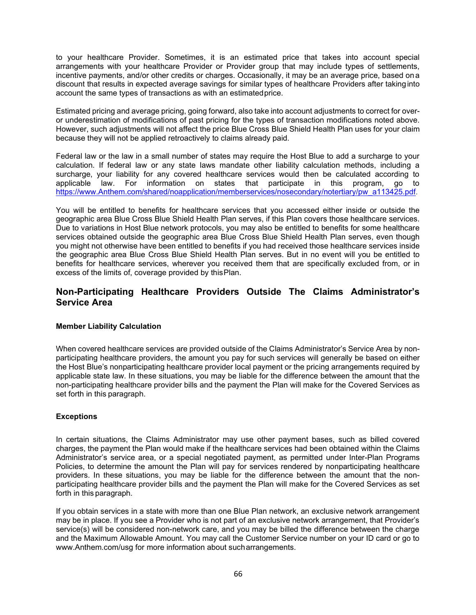to your healthcare Provider. Sometimes, it is an estimated price that takes into account special arrangements with your healthcare Provider or Provider group that may include types of settlements, incentive payments, and/or other credits or charges. Occasionally, it may be an average price, based ona discount that results in expected average savings for similar types of healthcare Providers after takinginto account the same types of transactions as with an estimatedprice.

Estimated pricing and average pricing, going forward, also take into account adjustments to correct for overor underestimation of modifications of past pricing for the types of transaction modifications noted above. However, such adjustments will not affect the price Blue Cross Blue Shield Health Plan uses for your claim because they will not be applied retroactively to claims already paid.

Federal law or the law in a small number of states may require the Host Blue to add a surcharge to your calculation. If federal law or any state laws mandate other liability calculation methods, including a surcharge, your liability for any covered healthcare services would then be calculated according to applicable law. For information on states that participate in this program, go to [https://www.Anthem.com/shared/noapplication/memberservices/nosecondary/notertiary/pw\\_a113425.pdf.](https://www.bcbsga.com/shared/noapplication/memberservices/nosecondary/notertiary/pw_a113425.pdf)

You will be entitled to benefits for healthcare services that you accessed either inside or outside the geographic area Blue Cross Blue Shield Health Plan serves, if this Plan covers those healthcare services. Due to variations in Host Blue network protocols, you may also be entitled to benefits for some healthcare services obtained outside the geographic area Blue Cross Blue Shield Health Plan serves, even though you might not otherwise have been entitled to benefits if you had received those healthcare services inside the geographic area Blue Cross Blue Shield Health Plan serves. But in no event will you be entitled to benefits for healthcare services, wherever you received them that are specifically excluded from, or in excess of the limits of, coverage provided by thisPlan.

#### **Non-Participating Healthcare Providers Outside The Claims Administrator's Service Area**

#### **Member Liability Calculation**

When covered healthcare services are provided outside of the Claims Administrator's Service Area by nonparticipating healthcare providers, the amount you pay for such services will generally be based on either the Host Blue's nonparticipating healthcare provider local payment or the pricing arrangements required by applicable state law. In these situations, you may be liable for the difference between the amount that the non-participating healthcare provider bills and the payment the Plan will make for the Covered Services as set forth in this paragraph.

#### **Exceptions**

In certain situations, the Claims Administrator may use other payment bases, such as billed covered charges, the payment the Plan would make if the healthcare services had been obtained within the Claims Administrator's service area, or a special negotiated payment, as permitted under Inter-Plan Programs Policies, to determine the amount the Plan will pay for services rendered by nonparticipating healthcare providers. In these situations, you may be liable for the difference between the amount that the nonparticipating healthcare provider bills and the payment the Plan will make for the Covered Services as set forth in this paragraph.

If you obtain services in a state with more than one Blue Plan network, an exclusive network arrangement may be in place. If you see a Provider who is not part of an exclusive network arrangement, that Provider's service(s) will be considered non-network care, and you may be billed the difference between the charge and the Maximum Allowable Amount. You may call the Customer Service number on your ID card or go to [www.Anthem.com/usg f](http://www.bcbsga.com/usg)or more information about sucharrangements.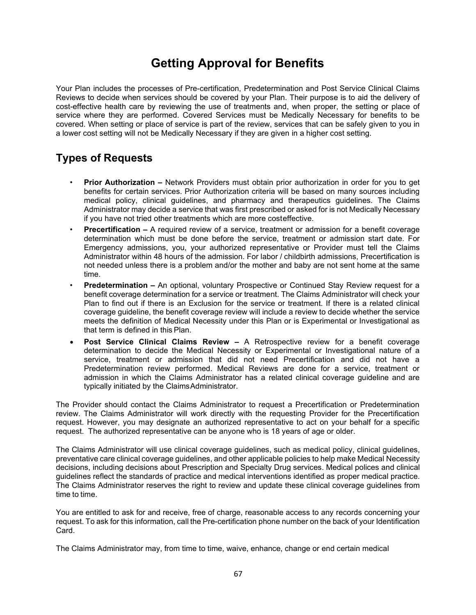# **Getting Approval for Benefits**

Your Plan includes the processes of Pre-certification, Predetermination and Post Service Clinical Claims Reviews to decide when services should be covered by your Plan. Their purpose is to aid the delivery of cost-effective health care by reviewing the use of treatments and, when proper, the setting or place of service where they are performed. Covered Services must be Medically Necessary for benefits to be covered. When setting or place of service is part of the review, services that can be safely given to you in a lower cost setting will not be Medically Necessary if they are given in a higher cost setting.

# **Types of Requests**

- **Prior Authorization –** Network Providers must obtain prior authorization in order for you to get benefits for certain services. Prior Authorization criteria will be based on many sources including medical policy, clinical guidelines, and pharmacy and therapeutics guidelines. The Claims Administrator may decide a service that was first prescribed or asked for is not Medically Necessary if you have not tried other treatments which are more costeffective.
- **Precertification –** A required review of a service, treatment or admission for a benefit coverage determination which must be done before the service, treatment or admission start date. For Emergency admissions, you, your authorized representative or Provider must tell the Claims Administrator within 48 hours of the admission. For labor / childbirth admissions, Precertification is not needed unless there is a problem and/or the mother and baby are not sent home at the same time.
- **Predetermination –** An optional, voluntary Prospective or Continued Stay Review request for a benefit coverage determination for a service or treatment. The Claims Administrator will check your Plan to find out if there is an Exclusion for the service or treatment. If there is a related clinical coverage guideline, the benefit coverage review will include a review to decide whether the service meets the definition of Medical Necessity under this Plan or is Experimental or Investigational as that term is defined in this Plan.
- **Post Service Clinical Claims Review –** A Retrospective review for a benefit coverage determination to decide the Medical Necessity or Experimental or Investigational nature of a service, treatment or admission that did not need Precertification and did not have a Predetermination review performed. Medical Reviews are done for a service, treatment or admission in which the Claims Administrator has a related clinical coverage guideline and are typically initiated by the ClaimsAdministrator.

The Provider should contact the Claims Administrator to request a Precertification or Predetermination review. The Claims Administrator will work directly with the requesting Provider for the Precertification request. However, you may designate an authorized representative to act on your behalf for a specific request. The authorized representative can be anyone who is 18 years of age or older.

The Claims Administrator will use clinical coverage guidelines, such as medical policy, clinical guidelines, preventative care clinical coverage guidelines, and other applicable policies to help make Medical Necessity decisions, including decisions about Prescription and Specialty Drug services. Medical polices and clinical guidelines reflect the standards of practice and medical interventions identified as proper medical practice. The Claims Administrator reserves the right to review and update these clinical coverage guidelines from time to time.

You are entitled to ask for and receive, free of charge, reasonable access to any records concerning your request. To ask for this information, call the Pre-certification phone number on the back of your Identification Card.

The Claims Administrator may, from time to time, waive, enhance, change or end certain medical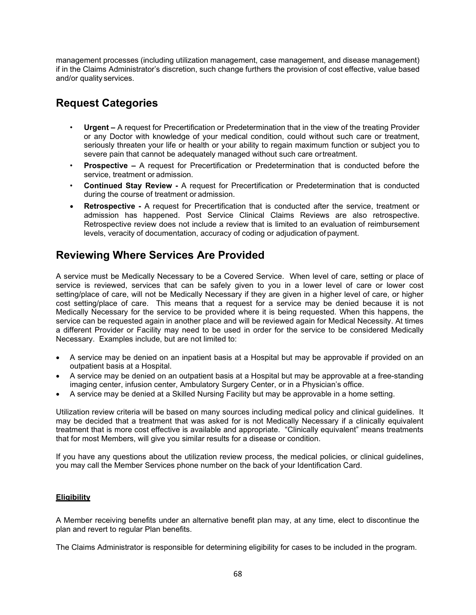management processes (including utilization management, case management, and disease management) if in the Claims Administrator's discretion, such change furthers the provision of cost effective, value based and/or quality services.

# **Request Categories**

- **Urgent –** A request for Precertification or Predetermination that in the view of the treating Provider or any Doctor with knowledge of your medical condition, could without such care or treatment, seriously threaten your life or health or your ability to regain maximum function or subject you to severe pain that cannot be adequately managed without such care ortreatment.
- **Prospective –** A request for Precertification or Predetermination that is conducted before the service, treatment or admission.
- **Continued Stay Review -** A request for Precertification or Predetermination that is conducted during the course of treatment or admission.
- **Retrospective -** A request for Precertification that is conducted after the service, treatment or admission has happened. Post Service Clinical Claims Reviews are also retrospective. Retrospective review does not include a review that is limited to an evaluation of reimbursement levels, veracity of documentation, accuracy of coding or adjudication of payment.

# **Reviewing Where Services Are Provided**

A service must be Medically Necessary to be a Covered Service. When level of care, setting or place of service is reviewed, services that can be safely given to you in a lower level of care or lower cost setting/place of care, will not be Medically Necessary if they are given in a higher level of care, or higher cost setting/place of care. This means that a request for a service may be denied because it is not Medically Necessary for the service to be provided where it is being requested. When this happens, the service can be requested again in another place and will be reviewed again for Medical Necessity. At times a different Provider or Facility may need to be used in order for the service to be considered Medically Necessary. Examples include, but are not limited to:

- A service may be denied on an inpatient basis at a Hospital but may be approvable if provided on an outpatient basis at a Hospital.
- A service may be denied on an outpatient basis at a Hospital but may be approvable at a free-standing imaging center, infusion center, Ambulatory Surgery Center, or in a Physician's office.
- A service may be denied at a Skilled Nursing Facility but may be approvable in a home setting.

Utilization review criteria will be based on many sources including medical policy and clinical guidelines. It may be decided that a treatment that was asked for is not Medically Necessary if a clinically equivalent treatment that is more cost effective is available and appropriate. "Clinically equivalent" means treatments that for most Members, will give you similar results for a disease or condition.

If you have any questions about the utilization review process, the medical policies, or clinical guidelines, you may call the Member Services phone number on the back of your Identification Card.

#### **Eligibility**

A Member receiving benefits under an alternative benefit plan may, at any time, elect to discontinue the plan and revert to regular Plan benefits.

The Claims Administrator is responsible for determining eligibility for cases to be included in the program.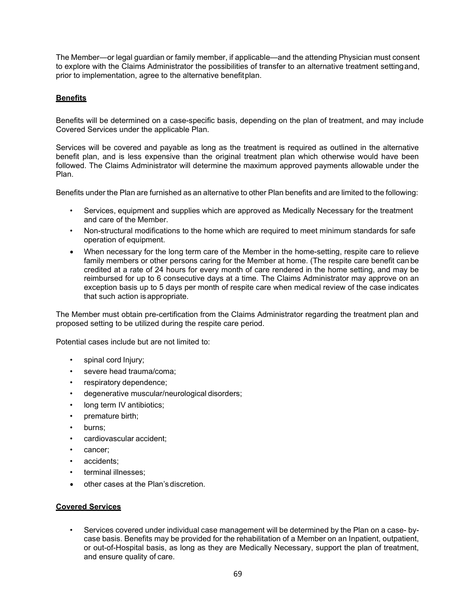The Member—or legal guardian or family member, if applicable—and the attending Physician must consent to explore with the Claims Administrator the possibilities of transfer to an alternative treatment settingand, prior to implementation, agree to the alternative benefitplan.

#### **Benefits**

Benefits will be determined on a case-specific basis, depending on the plan of treatment, and may include Covered Services under the applicable Plan.

Services will be covered and payable as long as the treatment is required as outlined in the alternative benefit plan, and is less expensive than the original treatment plan which otherwise would have been followed. The Claims Administrator will determine the maximum approved payments allowable under the Plan.

Benefits under the Plan are furnished as an alternative to other Plan benefits and are limited to the following:

- Services, equipment and supplies which are approved as Medically Necessary for the treatment and care of the Member.
- Non-structural modifications to the home which are required to meet minimum standards for safe operation of equipment.
- When necessary for the long term care of the Member in the home-setting, respite care to relieve family members or other persons caring for the Member at home. (The respite care benefit can be credited at a rate of 24 hours for every month of care rendered in the home setting, and may be reimbursed for up to 6 consecutive days at a time. The Claims Administrator may approve on an exception basis up to 5 days per month of respite care when medical review of the case indicates that such action is appropriate.

The Member must obtain pre-certification from the Claims Administrator regarding the treatment plan and proposed setting to be utilized during the respite care period.

Potential cases include but are not limited to:

- spinal cord Injury;
- severe head trauma/coma;
- respiratory dependence;
- degenerative muscular/neurological disorders;
- long term IV antibiotics;
- premature birth;
- burns;
- cardiovascular accident;
- cancer;
- accidents:
- terminal illnesses;
- other cases at the Plan's discretion.

#### **Covered Services**

• Services covered under individual case management will be determined by the Plan on a case- bycase basis. Benefits may be provided for the rehabilitation of a Member on an Inpatient, outpatient, or out-of-Hospital basis, as long as they are Medically Necessary, support the plan of treatment, and ensure quality of care.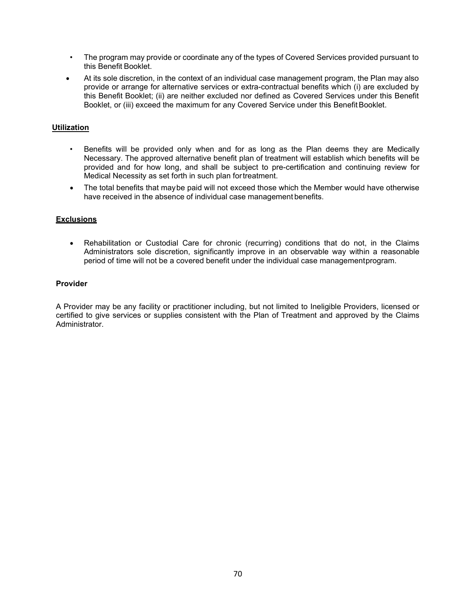- The program may provide or coordinate any of the types of Covered Services provided pursuant to this Benefit Booklet.
- At its sole discretion, in the context of an individual case management program, the Plan may also provide or arrange for alternative services or extra-contractual benefits which (i) are excluded by this Benefit Booklet; (ii) are neither excluded nor defined as Covered Services under this Benefit Booklet, or (iii) exceed the maximum for any Covered Service under this BenefitBooklet.

#### **Utilization**

- Benefits will be provided only when and for as long as the Plan deems they are Medically Necessary. The approved alternative benefit plan of treatment will establish which benefits will be provided and for how long, and shall be subject to pre-certification and continuing review for Medical Necessity as set forth in such plan fortreatment.
- The total benefits that maybe paid will not exceed those which the Member would have otherwise have received in the absence of individual case management benefits.

#### **Exclusions**

• Rehabilitation or Custodial Care for chronic (recurring) conditions that do not, in the Claims Administrators sole discretion, significantly improve in an observable way within a reasonable period of time will not be a covered benefit under the individual case managementprogram.

#### **Provider**

A Provider may be any facility or practitioner including, but not limited to Ineligible Providers, licensed or certified to give services or supplies consistent with the Plan of Treatment and approved by the Claims Administrator.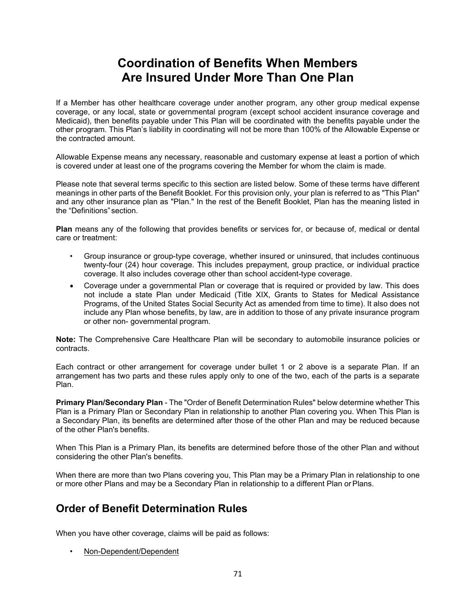# **Coordination of Benefits When Members Are Insured Under More Than One Plan**

If a Member has other healthcare coverage under another program, any other group medical expense coverage, or any local, state or governmental program (except school accident insurance coverage and Medicaid), then benefits payable under This Plan will be coordinated with the benefits payable under the other program. This Plan's liability in coordinating will not be more than 100% of the Allowable Expense or the contracted amount.

Allowable Expense means any necessary, reasonable and customary expense at least a portion of which is covered under at least one of the programs covering the Member for whom the claim is made.

Please note that several terms specific to this section are listed below. Some of these terms have different meanings in other parts of the Benefit Booklet. For this provision only, your plan is referred to as "This Plan" and any other insurance plan as "Plan." In the rest of the Benefit Booklet, Plan has the meaning listed in the "Definitions" section.

**Plan** means any of the following that provides benefits or services for, or because of, medical or dental care or treatment:

- Group insurance or group-type coverage, whether insured or uninsured, that includes continuous twenty-four (24) hour coverage. This includes prepayment, group practice, or individual practice coverage. It also includes coverage other than school accident-type coverage.
- Coverage under a governmental Plan or coverage that is required or provided by law. This does not include a state Plan under Medicaid (Title XIX, Grants to States for Medical Assistance Programs, of the United States Social Security Act as amended from time to time). It also does not include any Plan whose benefits, by law, are in addition to those of any private insurance program or other non- governmental program.

**Note:** The Comprehensive Care Healthcare Plan will be secondary to automobile insurance policies or contracts.

Each contract or other arrangement for coverage under bullet 1 or 2 above is a separate Plan. If an arrangement has two parts and these rules apply only to one of the two, each of the parts is a separate Plan.

**Primary Plan/Secondary Plan** - The "Order of Benefit Determination Rules" below determine whether This Plan is a Primary Plan or Secondary Plan in relationship to another Plan covering you. When This Plan is a Secondary Plan, its benefits are determined after those of the other Plan and may be reduced because of the other Plan's benefits.

When This Plan is a Primary Plan, its benefits are determined before those of the other Plan and without considering the other Plan's benefits.

When there are more than two Plans covering you, This Plan may be a Primary Plan in relationship to one or more other Plans and may be a Secondary Plan in relationship to a different Plan orPlans.

# **Order of Benefit Determination Rules**

When you have other coverage, claims will be paid as follows:

• Non-Dependent/Dependent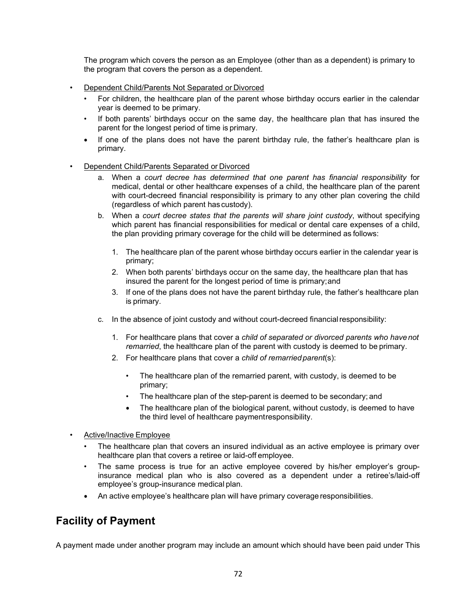The program which covers the person as an Employee (other than as a dependent) is primary to the program that covers the person as a dependent.

- Dependent Child/Parents Not Separated or Divorced
	- For children, the healthcare plan of the parent whose birthday occurs earlier in the calendar year is deemed to be primary.
	- If both parents' birthdays occur on the same day, the healthcare plan that has insured the parent for the longest period of time is primary.
	- If one of the plans does not have the parent birthday rule, the father's healthcare plan is primary.
- Dependent Child/Parents Separated or Divorced
	- a. When a *court decree has determined that one parent has financial responsibility* for medical, dental or other healthcare expenses of a child, the healthcare plan of the parent with court-decreed financial responsibility is primary to any other plan covering the child (regardless of which parent has custody).
	- b. When a *court decree states that the parents will share joint custody*, without specifying which parent has financial responsibilities for medical or dental care expenses of a child, the plan providing primary coverage for the child will be determined as follows:
		- 1. The healthcare plan of the parent whose birthday occurs earlier in the calendar year is primary;
		- 2. When both parents' birthdays occur on the same day, the healthcare plan that has insured the parent for the longest period of time is primary;and
		- 3. If one of the plans does not have the parent birthday rule, the father's healthcare plan is primary.
	- c. In the absence of joint custody and without court-decreed financialresponsibility:
		- 1. For healthcare plans that cover a *child of separated or divorced parents who havenot remarried*, the healthcare plan of the parent with custody is deemed to be primary.
		- 2. For healthcare plans that cover a *child of remarriedparent*(s):
			- The healthcare plan of the remarried parent, with custody, is deemed to be primary;
			- The healthcare plan of the step-parent is deemed to be secondary; and
			- The healthcare plan of the biological parent, without custody, is deemed to have the third level of healthcare paymentresponsibility.
- Active/Inactive Employee
	- The healthcare plan that covers an insured individual as an active employee is primary over healthcare plan that covers a retiree or laid-off employee.
	- The same process is true for an active employee covered by his/her employer's groupinsurance medical plan who is also covered as a dependent under a retiree's/laid-off employee's group-insurance medical plan.
	- An active employee's healthcare plan will have primary coverage responsibilities.

# **Facility of Payment**

A payment made under another program may include an amount which should have been paid under This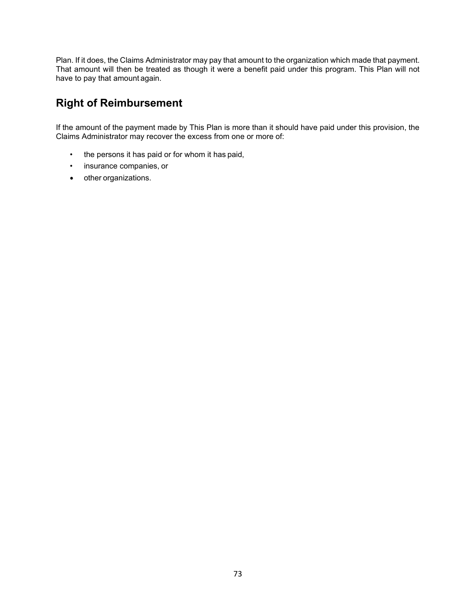Plan. If it does, the Claims Administrator may pay that amount to the organization which made that payment. That amount will then be treated as though it were a benefit paid under this program. This Plan will not have to pay that amount again.

# **Right of Reimbursement**

If the amount of the payment made by This Plan is more than it should have paid under this provision, the Claims Administrator may recover the excess from one or more of:

- the persons it has paid or for whom it has paid,
- insurance companies, or
- other organizations.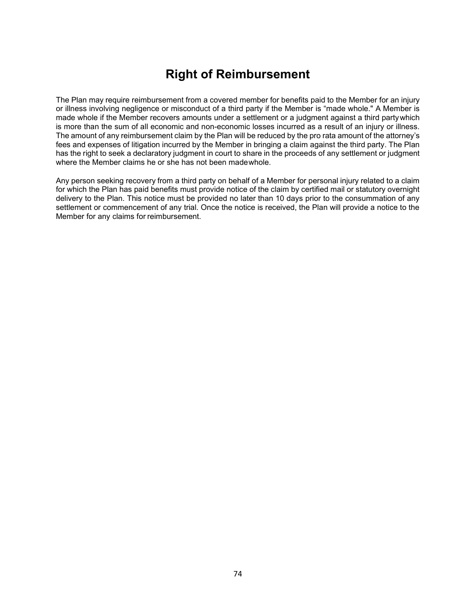# **Right of Reimbursement**

The Plan may require reimbursement from a covered member for benefits paid to the Member for an injury or illness involving negligence or misconduct of a third party if the Member is "made whole." A Member is made whole if the Member recovers amounts under a settlement or a judgment against a third partywhich is more than the sum of all economic and non-economic losses incurred as a result of an injury or illness. The amount of any reimbursement claim by the Plan will be reduced by the pro rata amount of the attorney's fees and expenses of litigation incurred by the Member in bringing a claim against the third party. The Plan has the right to seek a declaratory judgment in court to share in the proceeds of any settlement or judgment where the Member claims he or she has not been madewhole.

Any person seeking recovery from a third party on behalf of a Member for personal injury related to a claim for which the Plan has paid benefits must provide notice of the claim by certified mail or statutory overnight delivery to the Plan. This notice must be provided no later than 10 days prior to the consummation of any settlement or commencement of any trial. Once the notice is received, the Plan will provide a notice to the Member for any claims for reimbursement.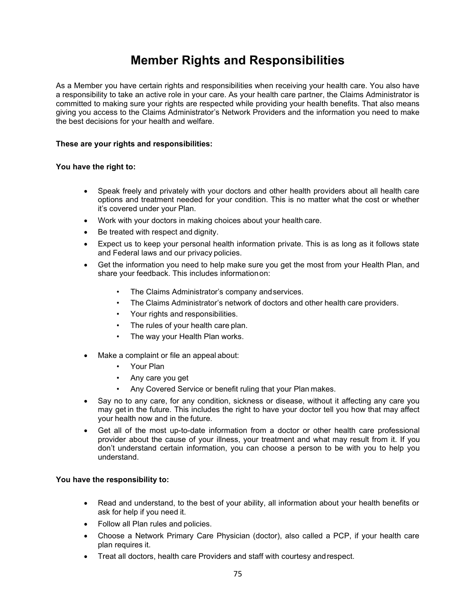# **Member Rights and Responsibilities**

As a Member you have certain rights and responsibilities when receiving your health care. You also have a responsibility to take an active role in your care. As your health care partner, the Claims Administrator is committed to making sure your rights are respected while providing your health benefits. That also means giving you access to the Claims Administrator's Network Providers and the information you need to make the best decisions for your health and welfare.

#### **These are your rights and responsibilities:**

#### **You have the right to:**

- Speak freely and privately with your doctors and other health providers about all health care options and treatment needed for your condition. This is no matter what the cost or whether it's covered under your Plan.
- Work with your doctors in making choices about your health care.
- Be treated with respect and dignity.
- Expect us to keep your personal health information private. This is as long as it follows state and Federal laws and our privacy policies.
- Get the information you need to help make sure you get the most from your Health Plan, and share your feedback. This includes informationon:
	- The Claims Administrator's company and services.
	- The Claims Administrator's network of doctors and other health care providers.
	- Your rights and responsibilities.
	- The rules of your health care plan.
	- The way your Health Plan works.
- Make a complaint or file an appeal about:
	- Your Plan
	- Any care you get
	- Any Covered Service or benefit ruling that your Plan makes.
- Say no to any care, for any condition, sickness or disease, without it affecting any care you may get in the future. This includes the right to have your doctor tell you how that may affect your health now and in the future.
- Get all of the most up-to-date information from a doctor or other health care professional provider about the cause of your illness, your treatment and what may result from it. If you don't understand certain information, you can choose a person to be with you to help you understand.

#### **You have the responsibility to:**

- Read and understand, to the best of your ability, all information about your health benefits or ask for help if you need it.
- Follow all Plan rules and policies.
- Choose a Network Primary Care Physician (doctor), also called a PCP, if your health care plan requires it.
- Treat all doctors, health care Providers and staff with courtesy andrespect.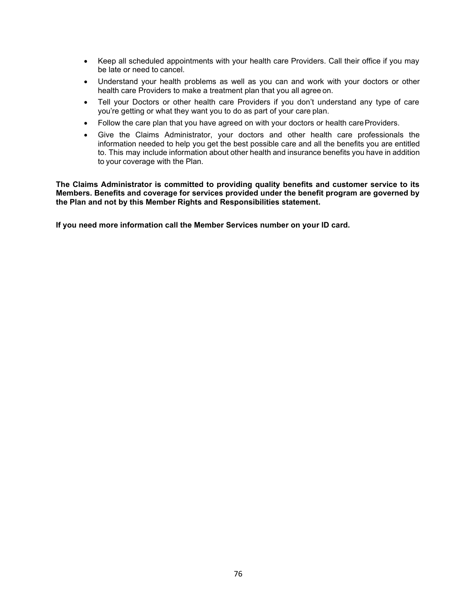- Keep all scheduled appointments with your health care Providers. Call their office if you may be late or need to cancel.
- Understand your health problems as well as you can and work with your doctors or other health care Providers to make a treatment plan that you all agree on.
- Tell your Doctors or other health care Providers if you don't understand any type of care you're getting or what they want you to do as part of your care plan.
- Follow the care plan that you have agreed on with your doctors or health care Providers.
- Give the Claims Administrator, your doctors and other health care professionals the information needed to help you get the best possible care and all the benefits you are entitled to. This may include information about other health and insurance benefits you have in addition to your coverage with the Plan.

**The Claims Administrator is committed to providing quality benefits and customer service to its Members. Benefits and coverage for services provided under the benefit program are governed by the Plan and not by this Member Rights and Responsibilities statement.**

**If you need more information call the Member Services number on your ID card.**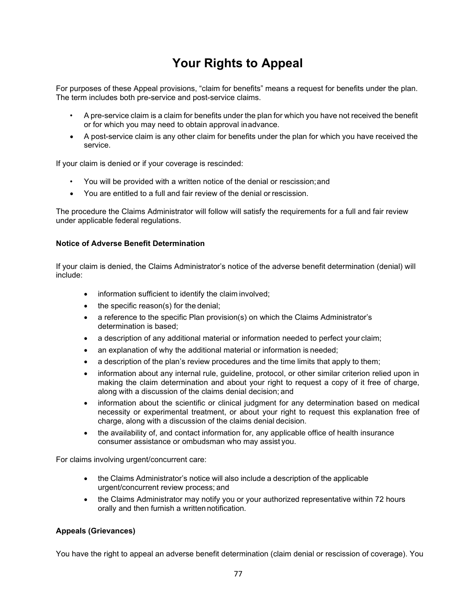# **Your Rights to Appeal**

For purposes of these Appeal provisions, "claim for benefits" means a request for benefits under the plan. The term includes both pre-service and post-service claims.

- A pre-service claim is a claim for benefits under the plan for which you have not received the benefit or for which you may need to obtain approval inadvance.
- A post-service claim is any other claim for benefits under the plan for which you have received the service.

If your claim is denied or if your coverage is rescinded:

- You will be provided with a written notice of the denial or rescission;and
- You are entitled to a full and fair review of the denial or rescission.

The procedure the Claims Administrator will follow will satisfy the requirements for a full and fair review under applicable federal regulations.

#### **Notice of Adverse Benefit Determination**

If your claim is denied, the Claims Administrator's notice of the adverse benefit determination (denial) will include:

- information sufficient to identify the claim involved;
- the specific reason(s) for the denial;
- a reference to the specific Plan provision(s) on which the Claims Administrator's determination is based;
- a description of any additional material or information needed to perfect your claim;
- an explanation of why the additional material or information is needed;
- a description of the plan's review procedures and the time limits that apply to them;
- information about any internal rule, guideline, protocol, or other similar criterion relied upon in making the claim determination and about your right to request a copy of it free of charge, along with a discussion of the claims denial decision; and
- information about the scientific or clinical judgment for any determination based on medical necessity or experimental treatment, or about your right to request this explanation free of charge, along with a discussion of the claims denial decision.
- the availability of, and contact information for, any applicable office of health insurance consumer assistance or ombudsman who may assist you.

For claims involving urgent/concurrent care:

- the Claims Administrator's notice will also include a description of the applicable urgent/concurrent review process; and
- the Claims Administrator may notify you or your authorized representative within 72 hours orally and then furnish a written notification.

#### **Appeals (Grievances)**

You have the right to appeal an adverse benefit determination (claim denial or rescission of coverage). You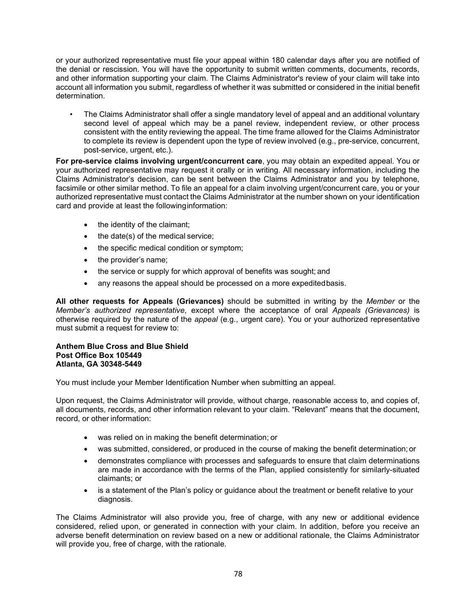or your authorized representative must file your appeal within 180 calendar days after you are notified of the denial or rescission. You will have the opportunity to submit written comments, documents, records, and other information supporting your claim. The Claims Administrator's review of your claim will take into account all information you submit, regardless of whether it was submitted or considered in the initial benefit determination.

• The Claims Administrator shall offer a single mandatory level of appeal and an additional voluntary second level of appeal which may be a panel review, independent review, or other process consistent with the entity reviewing the appeal. The time frame allowed for the Claims Administrator to complete its review is dependent upon the type of review involved (e.g., pre-service, concurrent, post-service, urgent, etc.).

**For pre-service claims involving urgent/concurrent care**, you may obtain an expedited appeal. You or your authorized representative may request it orally or in writing. All necessary information, including the Claims Administrator's decision, can be sent between the Claims Administrator and you by telephone, facsimile or other similar method. To file an appeal for a claim involving urgent/concurrent care, you or your authorized representative must contact the Claims Administrator at the number shown on your identification card and provide at least the followinginformation:

- the identity of the claimant;
- the date(s) of the medical service:
- the specific medical condition or symptom;
- the provider's name;
- the service or supply for which approval of benefits was sought; and
- any reasons the appeal should be processed on a more expedited basis.

**All other requests for Appeals (Grievances)** should be submitted in writing by the *Member* or the *Member's authorized representative*, except where the acceptance of oral *Appeals (Grievances)* is otherwise required by the nature of the *appeal* (e.g., urgent care). You or your authorized representative must submit a request for review to:

#### **Anthem Blue Cross and Blue Shield Post Office Box 105449 Atlanta, GA 30348-5449**

You must include your Member Identification Number when submitting an appeal.

Upon request, the Claims Administrator will provide, without charge, reasonable access to, and copies of, all documents, records, and other information relevant to your claim. "Relevant" means that the document, record, or other information:

- was relied on in making the benefit determination; or
- was submitted, considered, or produced in the course of making the benefit determination; or
- demonstrates compliance with processes and safeguards to ensure that claim determinations are made in accordance with the terms of the Plan, applied consistently for similarly-situated claimants; or
- is a statement of the Plan's policy or guidance about the treatment or benefit relative to your diagnosis.

The Claims Administrator will also provide you, free of charge, with any new or additional evidence considered, relied upon, or generated in connection with your claim. In addition, before you receive an adverse benefit determination on review based on a new or additional rationale, the Claims Administrator will provide you, free of charge, with the rationale.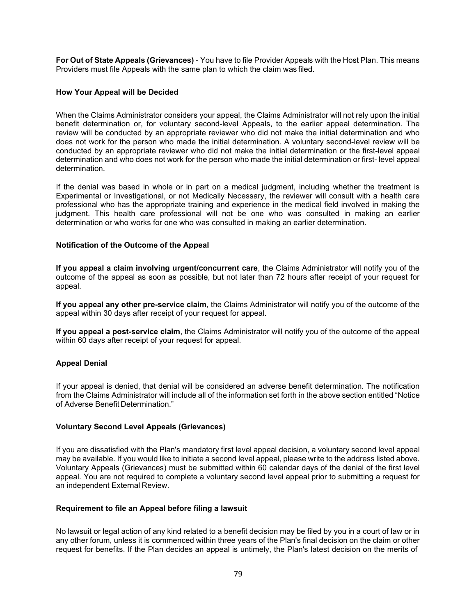**For Out of State Appeals (Grievances)** - You have to file Provider Appeals with the Host Plan. This means Providers must file Appeals with the same plan to which the claim was filed.

#### **How Your Appeal will be Decided**

When the Claims Administrator considers your appeal, the Claims Administrator will not rely upon the initial benefit determination or, for voluntary second-level Appeals, to the earlier appeal determination. The review will be conducted by an appropriate reviewer who did not make the initial determination and who does not work for the person who made the initial determination. A voluntary second-level review will be conducted by an appropriate reviewer who did not make the initial determination or the first-level appeal determination and who does not work for the person who made the initial determination or first- level appeal determination.

If the denial was based in whole or in part on a medical judgment, including whether the treatment is Experimental or Investigational, or not Medically Necessary, the reviewer will consult with a health care professional who has the appropriate training and experience in the medical field involved in making the judgment. This health care professional will not be one who was consulted in making an earlier determination or who works for one who was consulted in making an earlier determination.

#### **Notification of the Outcome of the Appeal**

**If you appeal a claim involving urgent/concurrent care**, the Claims Administrator will notify you of the outcome of the appeal as soon as possible, but not later than 72 hours after receipt of your request for appeal.

**If you appeal any other pre-service claim**, the Claims Administrator will notify you of the outcome of the appeal within 30 days after receipt of your request for appeal.

**If you appeal a post-service claim**, the Claims Administrator will notify you of the outcome of the appeal within 60 days after receipt of your request for appeal.

#### **Appeal Denial**

If your appeal is denied, that denial will be considered an adverse benefit determination. The notification from the Claims Administrator will include all of the information set forth in the above section entitled "Notice of Adverse Benefit Determination."

#### **Voluntary Second Level Appeals (Grievances)**

If you are dissatisfied with the Plan's mandatory first level appeal decision, a voluntary second level appeal may be available. If you would like to initiate a second level appeal, please write to the address listed above. Voluntary Appeals (Grievances) must be submitted within 60 calendar days of the denial of the first level appeal. You are not required to complete a voluntary second level appeal prior to submitting a request for an independent External Review.

#### **Requirement to file an Appeal before filing a lawsuit**

No lawsuit or legal action of any kind related to a benefit decision may be filed by you in a court of law or in any other forum, unless it is commenced within three years of the Plan's final decision on the claim or other request for benefits. If the Plan decides an appeal is untimely, the Plan's latest decision on the merits of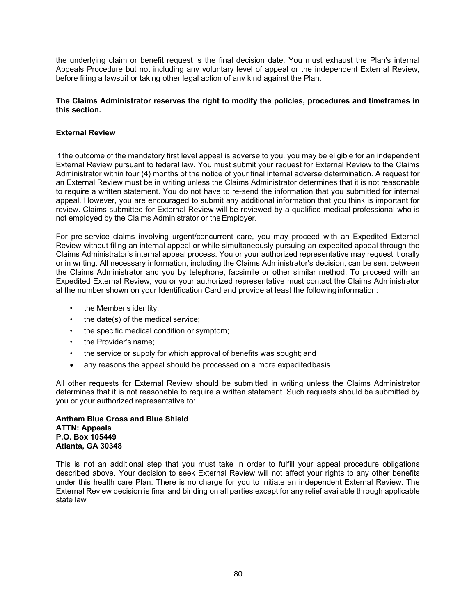the underlying claim or benefit request is the final decision date. You must exhaust the Plan's internal Appeals Procedure but not including any voluntary level of appeal or the independent External Review, before filing a lawsuit or taking other legal action of any kind against the Plan.

#### **The Claims Administrator reserves the right to modify the policies, procedures and timeframes in this section.**

#### **External Review**

If the outcome of the mandatory first level appeal is adverse to you, you may be eligible for an independent External Review pursuant to federal law. You must submit your request for External Review to the Claims Administrator within four (4) months of the notice of your final internal adverse determination. A request for an External Review must be in writing unless the Claims Administrator determines that it is not reasonable to require a written statement. You do not have to re-send the information that you submitted for internal appeal. However, you are encouraged to submit any additional information that you think is important for review. Claims submitted for External Review will be reviewed by a qualified medical professional who is not employed by the Claims Administrator or theEmployer.

For pre-service claims involving urgent/concurrent care, you may proceed with an Expedited External Review without filing an internal appeal or while simultaneously pursuing an expedited appeal through the Claims Administrator's internal appeal process. You or your authorized representative may request it orally or in writing. All necessary information, including the Claims Administrator's decision, can be sent between the Claims Administrator and you by telephone, facsimile or other similar method. To proceed with an Expedited External Review, you or your authorized representative must contact the Claims Administrator at the number shown on your Identification Card and provide at least the followinginformation:

- the Member's identity;
- the date(s) of the medical service;
- the specific medical condition or symptom;
- the Provider's name;
- the service or supply for which approval of benefits was sought; and
- any reasons the appeal should be processed on a more expedited basis.

All other requests for External Review should be submitted in writing unless the Claims Administrator determines that it is not reasonable to require a written statement. Such requests should be submitted by you or your authorized representative to:

#### **Anthem Blue Cross and Blue Shield ATTN: Appeals P.O. Box 105449 Atlanta, GA 30348**

This is not an additional step that you must take in order to fulfill your appeal procedure obligations described above. Your decision to seek External Review will not affect your rights to any other benefits under this health care Plan. There is no charge for you to initiate an independent External Review. The External Review decision is final and binding on all parties except for any relief available through applicable state law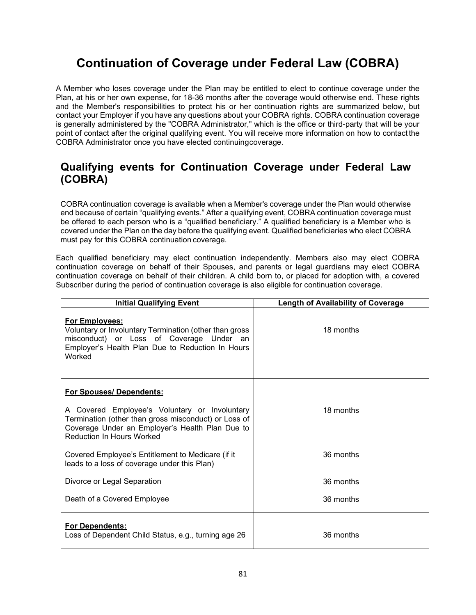# **Continuation of Coverage under Federal Law (COBRA)**

A Member who loses coverage under the Plan may be entitled to elect to continue coverage under the Plan, at his or her own expense, for 18-36 months after the coverage would otherwise end. These rights and the Member's responsibilities to protect his or her continuation rights are summarized below, but contact your Employer if you have any questions about your COBRA rights. COBRA continuation coverage is generally administered by the "COBRA Administrator," which is the office or third-party that will be your point of contact after the original qualifying event. You will receive more information on how to contact the COBRA Administrator once you have elected continuingcoverage.

## **Qualifying events for Continuation Coverage under Federal Law (COBRA)**

COBRA continuation coverage is available when a Member's coverage under the Plan would otherwise end because of certain "qualifying events." After a qualifying event, COBRA continuation coverage must be offered to each person who is a "qualified beneficiary." A qualified beneficiary is a Member who is covered under the Plan on the day before the qualifying event. Qualified beneficiaries who elect COBRA must pay for this COBRA continuation coverage.

Each qualified beneficiary may elect continuation independently. Members also may elect COBRA continuation coverage on behalf of their Spouses, and parents or legal guardians may elect COBRA continuation coverage on behalf of their children. A child born to, or placed for adoption with, a covered Subscriber during the period of continuation coverage is also eligible for continuation coverage.

| <b>Initial Qualifying Event</b>                                                                                                                                                              | <b>Length of Availability of Coverage</b> |
|----------------------------------------------------------------------------------------------------------------------------------------------------------------------------------------------|-------------------------------------------|
| <b>For Employees:</b><br>Voluntary or Involuntary Termination (other than gross<br>misconduct) or Loss of Coverage Under an<br>Employer's Health Plan Due to Reduction In Hours<br>Worked    | 18 months                                 |
| For Spouses/Dependents:                                                                                                                                                                      |                                           |
| A Covered Employee's Voluntary or Involuntary<br>Termination (other than gross misconduct) or Loss of<br>Coverage Under an Employer's Health Plan Due to<br><b>Reduction In Hours Worked</b> | 18 months                                 |
| Covered Employee's Entitlement to Medicare (if it<br>leads to a loss of coverage under this Plan)                                                                                            | 36 months                                 |
| Divorce or Legal Separation                                                                                                                                                                  | 36 months                                 |
| Death of a Covered Employee                                                                                                                                                                  | 36 months                                 |
| <b>For Dependents:</b><br>Loss of Dependent Child Status, e.g., turning age 26                                                                                                               | 36 months                                 |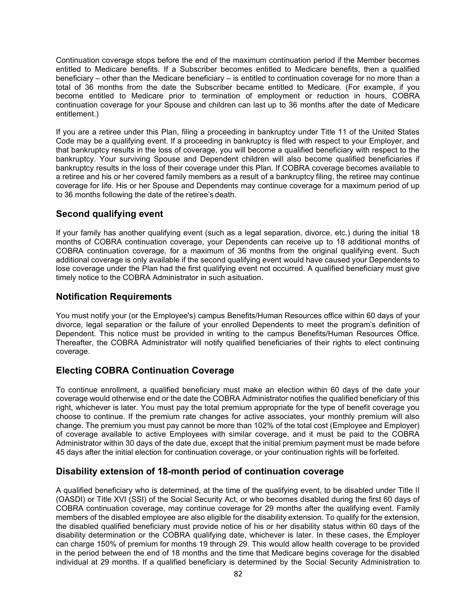Continuation coverage stops before the end of the maximum continuation period if the Member becomes entitled to Medicare benefits. If a Subscriber becomes entitled to Medicare benefits, then a qualified beneficiary – other than the Medicare beneficiary – is entitled to continuation coverage for no more than a total of 36 months from the date the Subscriber became entitled to Medicare. (For example, if you become entitled to Medicare prior to termination of employment or reduction in hours, COBRA continuation coverage for your Spouse and children can last up to 36 months after the date of Medicare entitlement.)

If you are a retiree under this Plan, filing a proceeding in bankruptcy under Title 11 of the United States Code may be a qualifying event. If a proceeding in bankruptcy is filed with respect to your Employer, and that bankruptcy results in the loss of coverage, you will become a qualified beneficiary with respect to the bankruptcy. Your surviving Spouse and Dependent children will also become qualified beneficiaries if bankruptcy results in the loss of their coverage under this Plan. If COBRA coverage becomes available to a retiree and his or her covered family members as a result of a bankruptcy filing, the retiree may continue coverage for life. His or her Spouse and Dependents may continue coverage for a maximum period of up to 36 months following the date of the retiree's death.

### **Second qualifying event**

If your family has another qualifying event (such as a legal separation, divorce, etc.) during the initial 18 months of COBRA continuation coverage, your Dependents can receive up to 18 additional months of COBRA continuation coverage, for a maximum of 36 months from the original qualifying event. Such additional coverage is only available if the second qualifying event would have caused your Dependents to lose coverage under the Plan had the first qualifying event not occurred. A qualified beneficiary must give timely notice to the COBRA Administrator in such asituation.

#### **Notification Requirements**

You must notify your (or the Employee's) campus Benefits/Human Resources office within 60 days of your divorce, legal separation or the failure of your enrolled Dependents to meet the program's definition of Dependent. This notice must be provided in writing to the campus Benefits/Human Resources Office. Thereafter, the COBRA Administrator will notify qualified beneficiaries of their rights to elect continuing coverage.

### **Electing COBRA Continuation Coverage**

To continue enrollment, a qualified beneficiary must make an election within 60 days of the date your coverage would otherwise end or the date the COBRA Administrator notifies the qualified beneficiary of this right, whichever is later. You must pay the total premium appropriate for the type of benefit coverage you choose to continue. If the premium rate changes for active associates, your monthly premium will also change. The premium you must pay cannot be more than 102% of the total cost (Employee and Employer) of coverage available to active Employees with similar coverage, and it must be paid to the COBRA Administrator within 30 days of the date due, except that the initial premium payment must be made before 45 days after the initial election for continuation coverage, or your continuation rights will be forfeited.

#### **Disability extension of 18-month period of continuation coverage**

A qualified beneficiary who is determined, at the time of the qualifying event, to be disabled under Title II (OASDI) or Title XVI (SSI) of the Social Security Act, or who becomes disabled during the first 60 days of COBRA continuation coverage, may continue coverage for 29 months after the qualifying event. Family members of the disabled employee are also eligible for the disability extension. To qualify for the extension, the disabled qualified beneficiary must provide notice of his or her disability status within 60 days of the disability determination or the COBRA qualifying date, whichever is later. In these cases, the Employer can charge 150% of premium for months 19 through 29. This would allow health coverage to be provided in the period between the end of 18 months and the time that Medicare begins coverage for the disabled individual at 29 months. If a qualified beneficiary is determined by the Social Security Administration to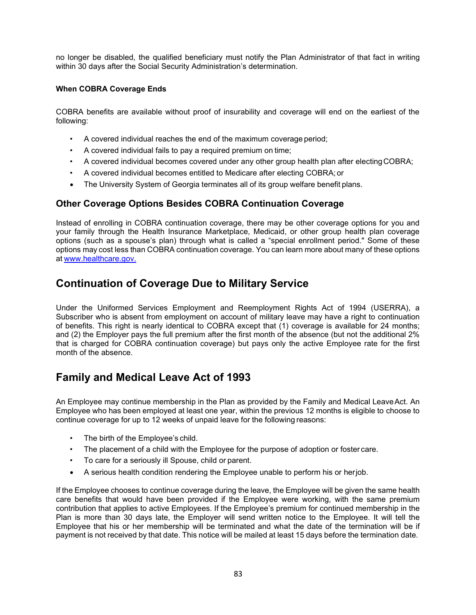no longer be disabled, the qualified beneficiary must notify the Plan Administrator of that fact in writing within 30 days after the Social Security Administration's determination.

#### **When COBRA Coverage Ends**

COBRA benefits are available without proof of insurability and coverage will end on the earliest of the following:

- A covered individual reaches the end of the maximum coverage period;
- A covered individual fails to pay a required premium on time;
- A covered individual becomes covered under any other group health plan after electing COBRA;
- A covered individual becomes entitled to Medicare after electing COBRA; or
- The University System of Georgia terminates all of its group welfare benefit plans.

#### **Other Coverage Options Besides COBRA Continuation Coverage**

Instead of enrolling in COBRA continuation coverage, there may be other coverage options for you and your family through the Health Insurance Marketplace, Medicaid, or other group health plan coverage options (such as a spouse's plan) through what is called a "special enrollment period." Some of these options may cost less than COBRA continuation coverage. You can learn more about many of these options at [www.healthcare.gov.](http://www.healthcare.gov/)

## **Continuation of Coverage Due to Military Service**

Under the Uniformed Services Employment and Reemployment Rights Act of 1994 (USERRA), a Subscriber who is absent from employment on account of military leave may have a right to continuation of benefits. This right is nearly identical to COBRA except that (1) coverage is available for 24 months; and (2) the Employer pays the full premium after the first month of the absence (but not the additional 2% that is charged for COBRA continuation coverage) but pays only the active Employee rate for the first month of the absence.

## **Family and Medical Leave Act of 1993**

An Employee may continue membership in the Plan as provided by the Family and Medical LeaveAct. An Employee who has been employed at least one year, within the previous 12 months is eligible to choose to continue coverage for up to 12 weeks of unpaid leave for the following reasons:

- The birth of the Employee's child.
- The placement of a child with the Employee for the purpose of adoption or foster care.
- To care for a seriously ill Spouse, child or parent.
- A serious health condition rendering the Employee unable to perform his or herjob.

If the Employee chooses to continue coverage during the leave, the Employee will be given the same health care benefits that would have been provided if the Employee were working, with the same premium contribution that applies to active Employees. If the Employee's premium for continued membership in the Plan is more than 30 days late, the Employer will send written notice to the Employee. It will tell the Employee that his or her membership will be terminated and what the date of the termination will be if payment is not received by that date. This notice will be mailed at least 15 days before the termination date.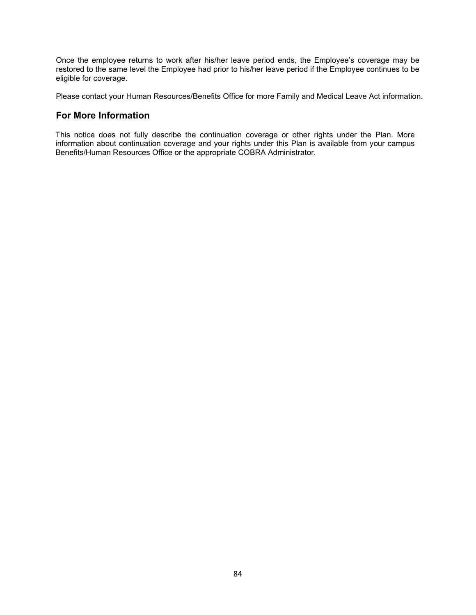Once the employee returns to work after his/her leave period ends, the Employee's coverage may be restored to the same level the Employee had prior to his/her leave period if the Employee continues to be eligible for coverage.

Please contact your Human Resources/Benefits Office for more Family and Medical Leave Act information.

#### **For More Information**

This notice does not fully describe the continuation coverage or other rights under the Plan. More information about continuation coverage and your rights under this Plan is available from your campus Benefits/Human Resources Office or the appropriate COBRA Administrator.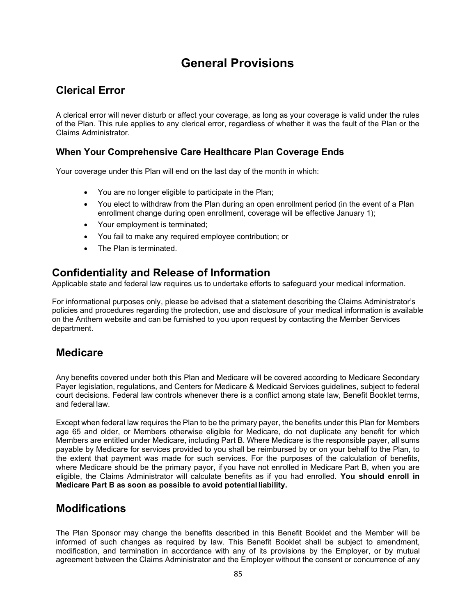# **General Provisions**

## **Clerical Error**

A clerical error will never disturb or affect your coverage, as long as your coverage is valid under the rules of the Plan. This rule applies to any clerical error, regardless of whether it was the fault of the Plan or the Claims Administrator.

#### **When Your Comprehensive Care Healthcare Plan Coverage Ends**

Your coverage under this Plan will end on the last day of the month in which:

- You are no longer eligible to participate in the Plan;
- You elect to withdraw from the Plan during an open enrollment period (in the event of a Plan enrollment change during open enrollment, coverage will be effective January 1);
- Your employment is terminated;
- You fail to make any required employee contribution; or
- The Plan is terminated.

## **Confidentiality and Release of Information**

Applicable state and federal law requires us to undertake efforts to safeguard your medical information.

For informational purposes only, please be advised that a statement describing the Claims Administrator's policies and procedures regarding the protection, use and disclosure of your medical information is available on the Anthem website and can be furnished to you upon request by contacting the Member Services department.

## **Medicare**

Any benefits covered under both this Plan and Medicare will be covered according to Medicare Secondary Payer legislation, regulations, and Centers for Medicare & Medicaid Services guidelines, subject to federal court decisions. Federal law controls whenever there is a conflict among state law, Benefit Booklet terms, and federal law.

Except when federal law requires the Plan to be the primary payer, the benefits under this Plan for Members age 65 and older, or Members otherwise eligible for Medicare, do not duplicate any benefit for which Members are entitled under Medicare, including Part B. Where Medicare is the responsible payer, all sums payable by Medicare for services provided to you shall be reimbursed by or on your behalf to the Plan, to the extent that payment was made for such services. For the purposes of the calculation of benefits, where Medicare should be the primary payor, if you have not enrolled in Medicare Part B, when you are eligible, the Claims Administrator will calculate benefits as if you had enrolled. **You should enroll in Medicare Part B as soon as possible to avoid potential liability.**

## **Modifications**

The Plan Sponsor may change the benefits described in this Benefit Booklet and the Member will be informed of such changes as required by law. This Benefit Booklet shall be subject to amendment, modification, and termination in accordance with any of its provisions by the Employer, or by mutual agreement between the Claims Administrator and the Employer without the consent or concurrence of any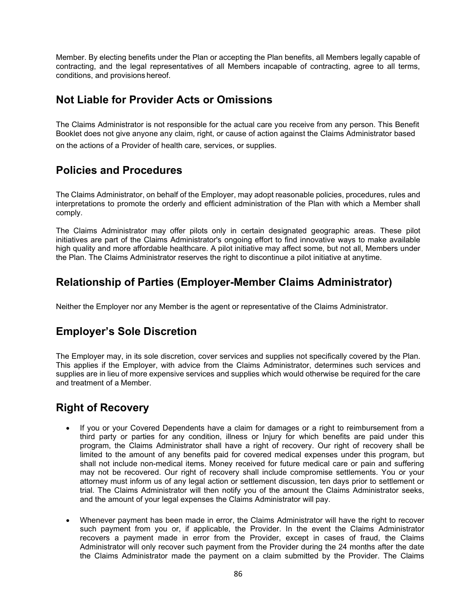Member. By electing benefits under the Plan or accepting the Plan benefits, all Members legally capable of contracting, and the legal representatives of all Members incapable of contracting, agree to all terms, conditions, and provisions hereof.

## **Not Liable for Provider Acts or Omissions**

The Claims Administrator is not responsible for the actual care you receive from any person. This Benefit Booklet does not give anyone any claim, right, or cause of action against the Claims Administrator based on the actions of a Provider of health care, services, or supplies.

## **Policies and Procedures**

The Claims Administrator, on behalf of the Employer, may adopt reasonable policies, procedures, rules and interpretations to promote the orderly and efficient administration of the Plan with which a Member shall comply.

The Claims Administrator may offer pilots only in certain designated geographic areas. These pilot initiatives are part of the Claims Administrator's ongoing effort to find innovative ways to make available high quality and more affordable healthcare. A pilot initiative may affect some, but not all, Members under the Plan. The Claims Administrator reserves the right to discontinue a pilot initiative at anytime.

## **Relationship of Parties (Employer-Member Claims Administrator)**

Neither the Employer nor any Member is the agent or representative of the Claims Administrator.

## **Employer's Sole Discretion**

The Employer may, in its sole discretion, cover services and supplies not specifically covered by the Plan. This applies if the Employer, with advice from the Claims Administrator, determines such services and supplies are in lieu of more expensive services and supplies which would otherwise be required for the care and treatment of a Member.

## **Right of Recovery**

- If you or your Covered Dependents have a claim for damages or a right to reimbursement from a third party or parties for any condition, illness or Injury for which benefits are paid under this program, the Claims Administrator shall have a right of recovery. Our right of recovery shall be limited to the amount of any benefits paid for covered medical expenses under this program, but shall not include non-medical items. Money received for future medical care or pain and suffering may not be recovered. Our right of recovery shall include compromise settlements. You or your attorney must inform us of any legal action or settlement discussion, ten days prior to settlement or trial. The Claims Administrator will then notify you of the amount the Claims Administrator seeks, and the amount of your legal expenses the Claims Administrator will pay.
- Whenever payment has been made in error, the Claims Administrator will have the right to recover such payment from you or, if applicable, the Provider. In the event the Claims Administrator recovers a payment made in error from the Provider, except in cases of fraud, the Claims Administrator will only recover such payment from the Provider during the 24 months after the date the Claims Administrator made the payment on a claim submitted by the Provider. The Claims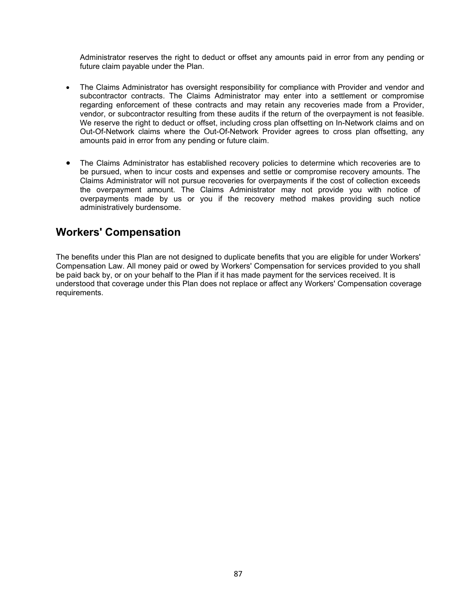Administrator reserves the right to deduct or offset any amounts paid in error from any pending or future claim payable under the Plan.

- The Claims Administrator has oversight responsibility for compliance with Provider and vendor and subcontractor contracts. The Claims Administrator may enter into a settlement or compromise regarding enforcement of these contracts and may retain any recoveries made from a Provider, vendor, or subcontractor resulting from these audits if the return of the overpayment is not feasible. We reserve the right to deduct or offset, including cross plan offsetting on In-Network claims and on Out-Of-Network claims where the Out-Of-Network Provider agrees to cross plan offsetting, any amounts paid in error from any pending or future claim.
- The Claims Administrator has established recovery policies to determine which recoveries are to be pursued, when to incur costs and expenses and settle or compromise recovery amounts. The Claims Administrator will not pursue recoveries for overpayments if the cost of collection exceeds the overpayment amount. The Claims Administrator may not provide you with notice of overpayments made by us or you if the recovery method makes providing such notice administratively burdensome.

## **Workers' Compensation**

The benefits under this Plan are not designed to duplicate benefits that you are eligible for under Workers' Compensation Law. All money paid or owed by Workers' Compensation for services provided to you shall be paid back by, or on your behalf to the Plan if it has made payment for the services received. It is understood that coverage under this Plan does not replace or affect any Workers' Compensation coverage requirements.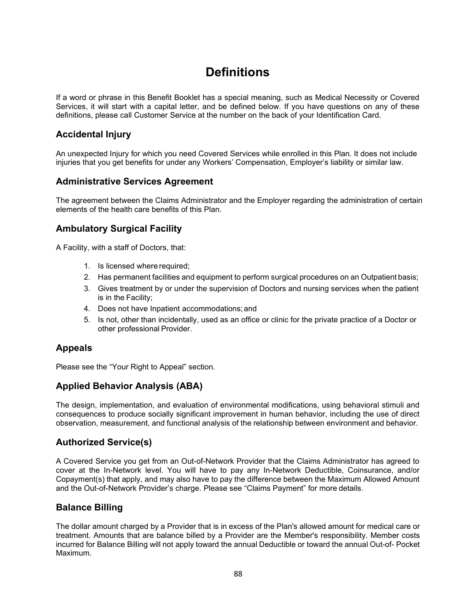# **Definitions**

If a word or phrase in this Benefit Booklet has a special meaning, such as Medical Necessity or Covered Services, it will start with a capital letter, and be defined below. If you have questions on any of these definitions, please call Customer Service at the number on the back of your Identification Card.

### **Accidental Injury**

An unexpected Injury for which you need Covered Services while enrolled in this Plan. It does not include injuries that you get benefits for under any Workers' Compensation, Employer's liability or similar law.

#### **Administrative Services Agreement**

The agreement between the Claims Administrator and the Employer regarding the administration of certain elements of the health care benefits of this Plan.

#### **Ambulatory Surgical Facility**

A Facility, with a staff of Doctors, that:

- 1. Is licensed where required;
- 2. Has permanent facilities and equipment to perform surgical procedures on an Outpatient basis;
- 3. Gives treatment by or under the supervision of Doctors and nursing services when the patient is in the Facility;
- 4. Does not have Inpatient accommodations;and
- 5. Is not, other than incidentally, used as an office or clinic for the private practice of a Doctor or other professional Provider.

#### **Appeals**

Please see the "Your Right to Appeal" section.

#### **Applied Behavior Analysis (ABA)**

The design, implementation, and evaluation of environmental modifications, using behavioral stimuli and consequences to produce socially significant improvement in human behavior, including the use of direct observation, measurement, and functional analysis of the relationship between environment and behavior.

#### **Authorized Service(s)**

A Covered Service you get from an Out-of-Network Provider that the Claims Administrator has agreed to cover at the In-Network level. You will have to pay any In-Network Deductible, Coinsurance, and/or Copayment(s) that apply, and may also have to pay the difference between the Maximum Allowed Amount and the Out-of-Network Provider's charge. Please see "Claims Payment" for more details.

#### **Balance Billing**

The dollar amount charged by a Provider that is in excess of the Plan's allowed amount for medical care or treatment. Amounts that are balance billed by a Provider are the Member's responsibility. Member costs incurred for Balance Billing will not apply toward the annual Deductible or toward the annual Out-of- Pocket Maximum.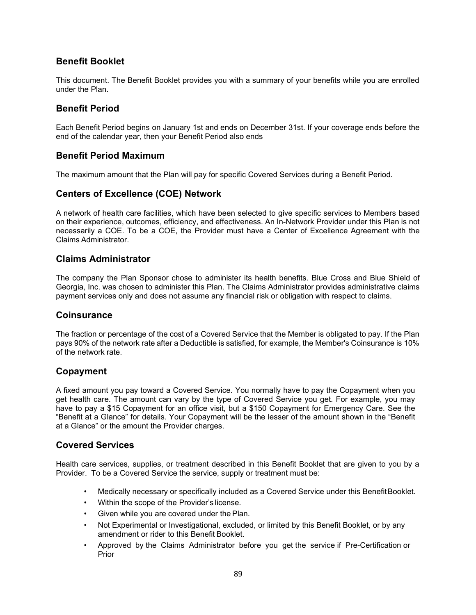#### **Benefit Booklet**

This document. The Benefit Booklet provides you with a summary of your benefits while you are enrolled under the Plan.

### **Benefit Period**

Each Benefit Period begins on January 1st and ends on December 31st. If your coverage ends before the end of the calendar year, then your Benefit Period also ends

#### **Benefit Period Maximum**

The maximum amount that the Plan will pay for specific Covered Services during a Benefit Period.

#### **Centers of Excellence (COE) Network**

A network of health care facilities, which have been selected to give specific services to Members based on their experience, outcomes, efficiency, and effectiveness. An In-Network Provider under this Plan is not necessarily a COE. To be a COE, the Provider must have a Center of Excellence Agreement with the Claims Administrator.

#### **Claims Administrator**

The company the Plan Sponsor chose to administer its health benefits. Blue Cross and Blue Shield of Georgia, Inc. was chosen to administer this Plan. The Claims Administrator provides administrative claims payment services only and does not assume any financial risk or obligation with respect to claims.

#### **Coinsurance**

The fraction or percentage of the cost of a Covered Service that the Member is obligated to pay. If the Plan pays 90% of the network rate after a Deductible is satisfied, for example, the Member's Coinsurance is 10% of the network rate.

#### **Copayment**

A fixed amount you pay toward a Covered Service. You normally have to pay the Copayment when you get health care. The amount can vary by the type of Covered Service you get. For example, you may have to pay a \$15 Copayment for an office visit, but a \$150 Copayment for Emergency Care. See the "Benefit at a Glance" for details. Your Copayment will be the lesser of the amount shown in the "Benefit at a Glance" or the amount the Provider charges.

#### **Covered Services**

Health care services, supplies, or treatment described in this Benefit Booklet that are given to you by a Provider. To be a Covered Service the service, supply or treatment must be:

- Medically necessary or specifically included as a Covered Service under this Benefit Booklet.
- Within the scope of the Provider's license.
- Given while you are covered under the Plan.
- Not Experimental or Investigational, excluded, or limited by this Benefit Booklet, or by any amendment or rider to this Benefit Booklet.
- Approved by the Claims Administrator before you get the service if Pre-Certification or Prior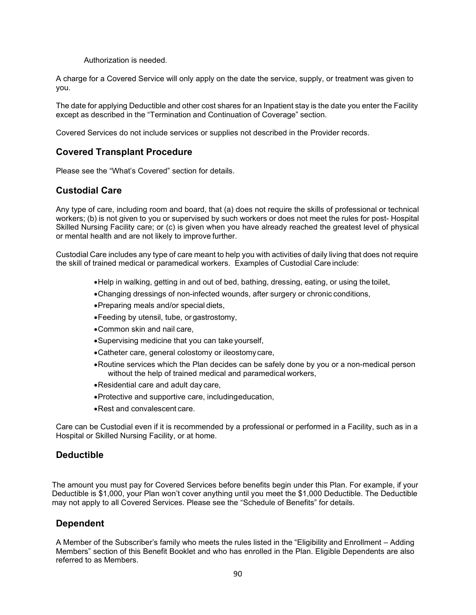Authorization is needed.

A charge for a Covered Service will only apply on the date the service, supply, or treatment was given to you.

The date for applying Deductible and other cost shares for an Inpatient stay is the date you enter the Facility except as described in the "Termination and Continuation of Coverage" section.

Covered Services do not include services or supplies not described in the Provider records.

#### **Covered Transplant Procedure**

Please see the "What's Covered" section for details.

#### **Custodial Care**

Any type of care, including room and board, that (a) does not require the skills of professional or technical workers; (b) is not given to you or supervised by such workers or does not meet the rules for post- Hospital Skilled Nursing Facility care; or (c) is given when you have already reached the greatest level of physical or mental health and are not likely to improve further.

Custodial Care includes any type of care meant to help you with activities of daily living that does not require the skill of trained medical or paramedical workers. Examples of Custodial Care include:

- •Help in walking, getting in and out of bed, bathing, dressing, eating, or using the toilet,
- •Changing dressings of non-infected wounds, after surgery or chronic conditions,
- •Preparing meals and/or special diets,
- •Feeding by utensil, tube, or gastrostomy,
- •Common skin and nail care,
- •Supervising medicine that you can take yourself,
- •Catheter care, general colostomy or ileostomycare,
- •Routine services which the Plan decides can be safely done by you or a non-medical person without the help of trained medical and paramedical workers,
- •Residential care and adult day care,
- •Protective and supportive care, includingeducation,
- •Rest and convalescent care.

Care can be Custodial even if it is recommended by a professional or performed in a Facility, such as in a Hospital or Skilled Nursing Facility, or at home.

#### **Deductible**

The amount you must pay for Covered Services before benefits begin under this Plan. For example, if your Deductible is \$1,000, your Plan won't cover anything until you meet the \$1,000 Deductible. The Deductible may not apply to all Covered Services. Please see the "Schedule of Benefits" for details.

#### **Dependent**

A Member of the Subscriber's family who meets the rules listed in the "Eligibility and Enrollment – Adding Members" section of this Benefit Booklet and who has enrolled in the Plan. Eligible Dependents are also referred to as Members.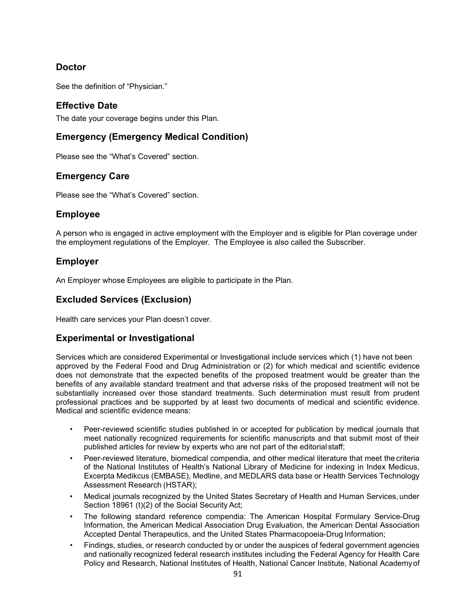### **Doctor**

See the definition of "Physician."

### **Effective Date**

The date your coverage begins under this Plan.

### **Emergency (Emergency Medical Condition)**

Please see the "What's Covered" section.

### **Emergency Care**

Please see the "What's Covered" section.

#### **Employee**

A person who is engaged in active employment with the Employer and is eligible for Plan coverage under the employment regulations of the Employer. The Employee is also called the Subscriber.

### **Employer**

An Employer whose Employees are eligible to participate in the Plan.

### **Excluded Services (Exclusion)**

Health care services your Plan doesn't cover.

#### **Experimental or Investigational**

Services which are considered Experimental or Investigational include services which (1) have not been approved by the Federal Food and Drug Administration or (2) for which medical and scientific evidence does not demonstrate that the expected benefits of the proposed treatment would be greater than the benefits of any available standard treatment and that adverse risks of the proposed treatment will not be substantially increased over those standard treatments. Such determination must result from prudent professional practices and be supported by at least two documents of medical and scientific evidence. Medical and scientific evidence means:

- Peer-reviewed scientific studies published in or accepted for publication by medical journals that meet nationally recognized requirements for scientific manuscripts and that submit most of their published articles for review by experts who are not part of the editorial staff;
- Peer-reviewed literature, biomedical compendia, and other medical literature that meet the criteria of the National Institutes of Health's National Library of Medicine for indexing in Index Medicus, Excerpta Medikcus (EMBASE), Medline, and MEDLARS data base or Health Services Technology Assessment Research (HSTAR);
- Medical journals recognized by the United States Secretary of Health and Human Services, under Section 18961 (t)(2) of the Social Security Act;
- The following standard reference compendia: The American Hospital Formulary Service-Drug Information, the American Medical Association Drug Evaluation, the American Dental Association Accepted Dental Therapeutics, and the United States Pharmacopoeia-Drug Information;
- Findings, studies, or research conducted by or under the auspices of federal government agencies and nationally recognized federal research institutes including the Federal Agency for Health Care Policy and Research, National Institutes of Health, National Cancer Institute, National Academyof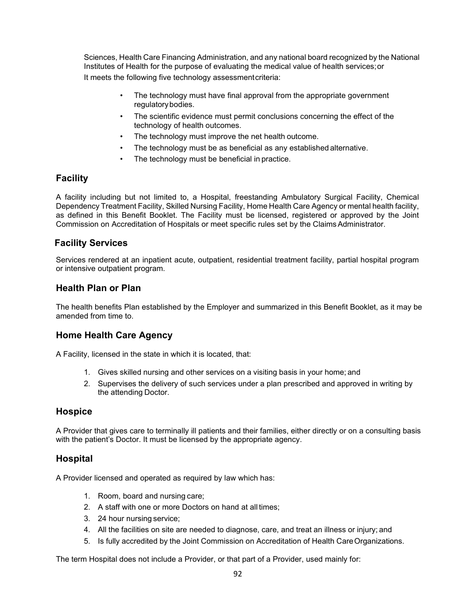Sciences, Health Care Financing Administration, and any national board recognized by the National Institutes of Health for the purpose of evaluating the medical value of health services;or It meets the following five technology assessmentcriteria:

- The technology must have final approval from the appropriate government regulatorybodies.
- The scientific evidence must permit conclusions concerning the effect of the technology of health outcomes.
- The technology must improve the net health outcome.
- The technology must be as beneficial as any established alternative.
- The technology must be beneficial in practice.

#### **Facility**

A facility including but not limited to, a Hospital, freestanding Ambulatory Surgical Facility, Chemical Dependency Treatment Facility, Skilled Nursing Facility, Home Health Care Agency or mental health facility, as defined in this Benefit Booklet. The Facility must be licensed, registered or approved by the Joint Commission on Accreditation of Hospitals or meet specific rules set by the ClaimsAdministrator.

#### **Facility Services**

Services rendered at an inpatient acute, outpatient, residential treatment facility, partial hospital program or intensive outpatient program.

#### **Health Plan or Plan**

The health benefits Plan established by the Employer and summarized in this Benefit Booklet, as it may be amended from time to.

#### **Home Health Care Agency**

A Facility, licensed in the state in which it is located, that:

- 1. Gives skilled nursing and other services on a visiting basis in your home; and
- 2. Supervises the delivery of such services under a plan prescribed and approved in writing by the attending Doctor.

#### **Hospice**

A Provider that gives care to terminally ill patients and their families, either directly or on a consulting basis with the patient's Doctor. It must be licensed by the appropriate agency.

#### **Hospital**

A Provider licensed and operated as required by law which has:

- 1. Room, board and nursing care;
- 2. A staff with one or more Doctors on hand at all times;
- 3. 24 hour nursing service;
- 4. All the facilities on site are needed to diagnose, care, and treat an illness or injury; and
- 5. Is fully accredited by the Joint Commission on Accreditation of Health CareOrganizations.

The term Hospital does not include a Provider, or that part of a Provider, used mainly for: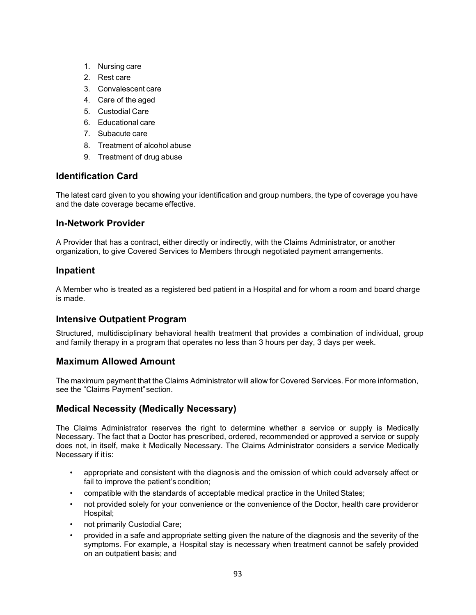- 1. Nursing care
- 2. Rest care
- 3. Convalescent care
- 4. Care of the aged
- 5. Custodial Care
- 6. Educational care
- 7. Subacute care
- 8. Treatment of alcohol abuse
- 9. Treatment of drug abuse

#### **Identification Card**

The latest card given to you showing your identification and group numbers, the type of coverage you have and the date coverage became effective.

#### **In-Network Provider**

A Provider that has a contract, either directly or indirectly, with the Claims Administrator, or another organization, to give Covered Services to Members through negotiated payment arrangements.

#### **Inpatient**

A Member who is treated as a registered bed patient in a Hospital and for whom a room and board charge is made.

#### **Intensive Outpatient Program**

Structured, multidisciplinary behavioral health treatment that provides a combination of individual, group and family therapy in a program that operates no less than 3 hours per day, 3 days per week.

#### **Maximum Allowed Amount**

The maximum payment that the Claims Administrator will allow for Covered Services. For more information, see the "Claims Payment"section.

#### **Medical Necessity (Medically Necessary)**

The Claims Administrator reserves the right to determine whether a service or supply is Medically Necessary. The fact that a Doctor has prescribed, ordered, recommended or approved a service or supply does not, in itself, make it Medically Necessary. The Claims Administrator considers a service Medically Necessary if it is:

- appropriate and consistent with the diagnosis and the omission of which could adversely affect or fail to improve the patient's condition;
- compatible with the standards of acceptable medical practice in the United States;
- not provided solely for your convenience or the convenience of the Doctor, health care provideror Hospital;
- not primarily Custodial Care;
- provided in a safe and appropriate setting given the nature of the diagnosis and the severity of the symptoms. For example, a Hospital stay is necessary when treatment cannot be safely provided on an outpatient basis; and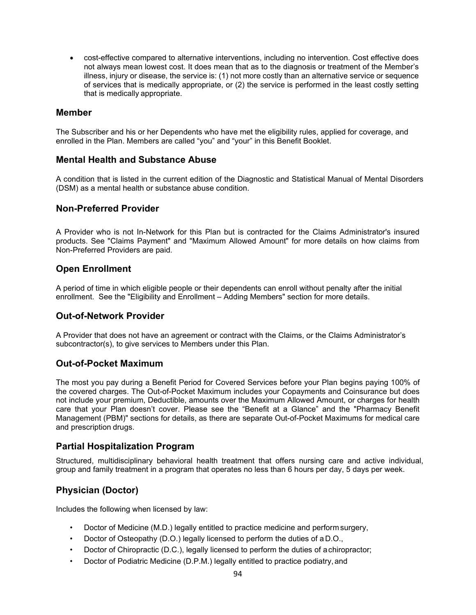• cost-effective compared to alternative interventions, including no intervention. Cost effective does not always mean lowest cost. It does mean that as to the diagnosis or treatment of the Member's illness, injury or disease, the service is: (1) not more costly than an alternative service or sequence of services that is medically appropriate, or (2) the service is performed in the least costly setting that is medically appropriate.

#### **Member**

The Subscriber and his or her Dependents who have met the eligibility rules, applied for coverage, and enrolled in the Plan. Members are called "you" and "your" in this Benefit Booklet.

#### **Mental Health and Substance Abuse**

A condition that is listed in the current edition of the Diagnostic and Statistical Manual of Mental Disorders (DSM) as a mental health or substance abuse condition.

#### **Non-Preferred Provider**

A Provider who is not In-Network for this Plan but is contracted for the Claims Administrator's insured products. See "Claims Payment" and "Maximum Allowed Amount" for more details on how claims from Non-Preferred Providers are paid.

#### **Open Enrollment**

A period of time in which eligible people or their dependents can enroll without penalty after the initial enrollment. See the "Eligibility and Enrollment – Adding Members" section for more details.

#### **Out-of-Network Provider**

A Provider that does not have an agreement or contract with the Claims, or the Claims Administrator's subcontractor(s), to give services to Members under this Plan.

#### **Out-of-Pocket Maximum**

The most you pay during a Benefit Period for Covered Services before your Plan begins paying 100% of the covered charges. The Out-of-Pocket Maximum includes your Copayments and Coinsurance but does not include your premium, Deductible, amounts over the Maximum Allowed Amount, or charges for health care that your Plan doesn't cover. Please see the "Benefit at a Glance" and the "Pharmacy Benefit Management (PBM)" sections for details, as there are separate Out-of-Pocket Maximums for medical care and prescription drugs.

#### **Partial Hospitalization Program**

Structured, multidisciplinary behavioral health treatment that offers nursing care and active individual, group and family treatment in a program that operates no less than 6 hours per day, 5 days per week.

### **Physician (Doctor)**

Includes the following when licensed by law:

- Doctor of Medicine (M.D.) legally entitled to practice medicine and performsurgery,
- Doctor of Osteopathy (D.O.) legally licensed to perform the duties of aD.O.,
- Doctor of Chiropractic (D.C.), legally licensed to perform the duties of achiropractor;
- Doctor of Podiatric Medicine (D.P.M.) legally entitled to practice podiatry, and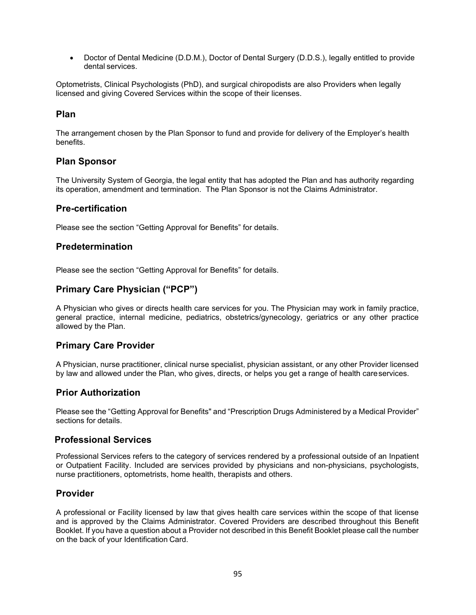• Doctor of Dental Medicine (D.D.M.), Doctor of Dental Surgery (D.D.S.), legally entitled to provide dental services.

Optometrists, Clinical Psychologists (PhD), and surgical chiropodists are also Providers when legally licensed and giving Covered Services within the scope of their licenses.

#### **Plan**

The arrangement chosen by the Plan Sponsor to fund and provide for delivery of the Employer's health benefits.

#### **Plan Sponsor**

The University System of Georgia, the legal entity that has adopted the Plan and has authority regarding its operation, amendment and termination. The Plan Sponsor is not the Claims Administrator.

#### **Pre-certification**

Please see the section "Getting Approval for Benefits" for details.

#### **Predetermination**

Please see the section "Getting Approval for Benefits" for details.

#### **Primary Care Physician ("PCP")**

A Physician who gives or directs health care services for you. The Physician may work in family practice, general practice, internal medicine, pediatrics, obstetrics/gynecology, geriatrics or any other practice allowed by the Plan.

#### **Primary Care Provider**

A Physician, nurse practitioner, clinical nurse specialist, physician assistant, or any other Provider licensed by law and allowed under the Plan, who gives, directs, or helps you get a range of health careservices.

#### **Prior Authorization**

Please see the "Getting Approval for Benefits" and "Prescription Drugs Administered by a Medical Provider" sections for details.

#### **Professional Services**

Professional Services refers to the category of services rendered by a professional outside of an Inpatient or Outpatient Facility. Included are services provided by physicians and non-physicians, psychologists, nurse practitioners, optometrists, home health, therapists and others.

#### **Provider**

A professional or Facility licensed by law that gives health care services within the scope of that license and is approved by the Claims Administrator. Covered Providers are described throughout this Benefit Booklet. If you have a question about a Provider not described in this Benefit Booklet please call the number on the back of your Identification Card.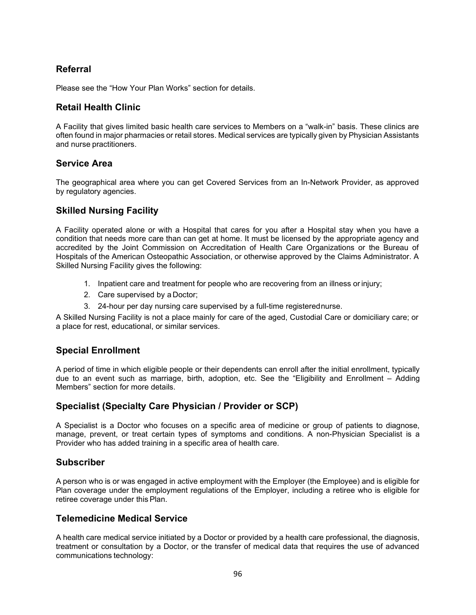### **Referral**

Please see the "How Your Plan Works" section for details.

#### **Retail Health Clinic**

A Facility that gives limited basic health care services to Members on a "walk-in" basis. These clinics are often found in major pharmacies or retail stores. Medical services are typically given by Physician Assistants and nurse practitioners.

#### **Service Area**

The geographical area where you can get Covered Services from an In-Network Provider, as approved by regulatory agencies.

#### **Skilled Nursing Facility**

A Facility operated alone or with a Hospital that cares for you after a Hospital stay when you have a condition that needs more care than can get at home. It must be licensed by the appropriate agency and accredited by the Joint Commission on Accreditation of Health Care Organizations or the Bureau of Hospitals of the American Osteopathic Association, or otherwise approved by the Claims Administrator. A Skilled Nursing Facility gives the following:

- 1. Inpatient care and treatment for people who are recovering from an illness or injury;
- 2. Care supervised by a Doctor;
- 3. 24-hour per day nursing care supervised by a full-time registerednurse.

A Skilled Nursing Facility is not a place mainly for care of the aged, Custodial Care or domiciliary care; or a place for rest, educational, or similar services.

#### **Special Enrollment**

A period of time in which eligible people or their dependents can enroll after the initial enrollment, typically due to an event such as marriage, birth, adoption, etc. See the "Eligibility and Enrollment – Adding Members" section for more details.

#### **Specialist (Specialty Care Physician / Provider or SCP)**

A Specialist is a Doctor who focuses on a specific area of medicine or group of patients to diagnose, manage, prevent, or treat certain types of symptoms and conditions. A non-Physician Specialist is a Provider who has added training in a specific area of health care.

#### **Subscriber**

A person who is or was engaged in active employment with the Employer (the Employee) and is eligible for Plan coverage under the employment regulations of the Employer, including a retiree who is eligible for retiree coverage under this Plan.

#### **Telemedicine Medical Service**

A health care medical service initiated by a Doctor or provided by a health care professional, the diagnosis, treatment or consultation by a Doctor, or the transfer of medical data that requires the use of advanced communications technology: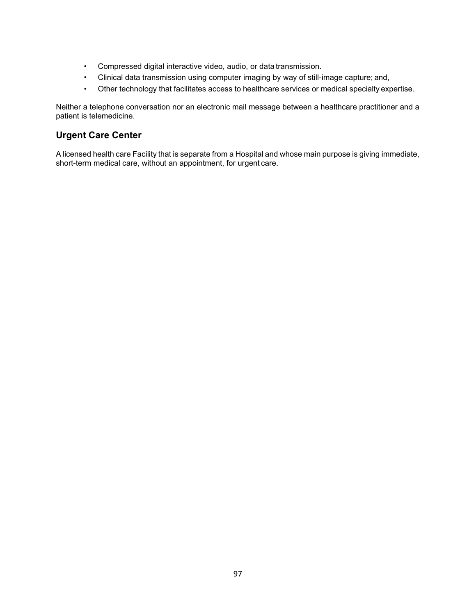- Compressed digital interactive video, audio, or data transmission.
- Clinical data transmission using computer imaging by way of still-image capture; and,
- Other technology that facilitates access to healthcare services or medical specialty expertise.

Neither a telephone conversation nor an electronic mail message between a healthcare practitioner and a patient is telemedicine.

#### **Urgent Care Center**

A licensed health care Facility that is separate from a Hospital and whose main purpose is giving immediate, short-term medical care, without an appointment, for urgent care.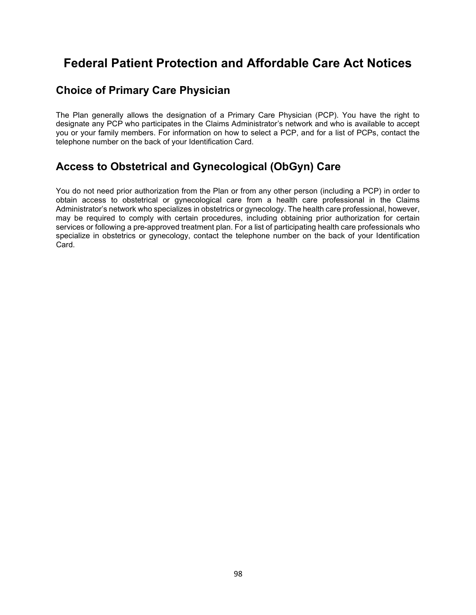# **Federal Patient Protection and Affordable Care Act Notices**

## **Choice of Primary Care Physician**

The Plan generally allows the designation of a Primary Care Physician (PCP). You have the right to designate any PCP who participates in the Claims Administrator's network and who is available to accept you or your family members. For information on how to select a PCP, and for a list of PCPs, contact the telephone number on the back of your Identification Card.

## **Access to Obstetrical and Gynecological (ObGyn) Care**

You do not need prior authorization from the Plan or from any other person (including a PCP) in order to obtain access to obstetrical or gynecological care from a health care professional in the Claims Administrator's network who specializes in obstetrics or gynecology. The health care professional, however, may be required to comply with certain procedures, including obtaining prior authorization for certain services or following a pre-approved treatment plan. For a list of participating health care professionals who specialize in obstetrics or gynecology, contact the telephone number on the back of your Identification Card.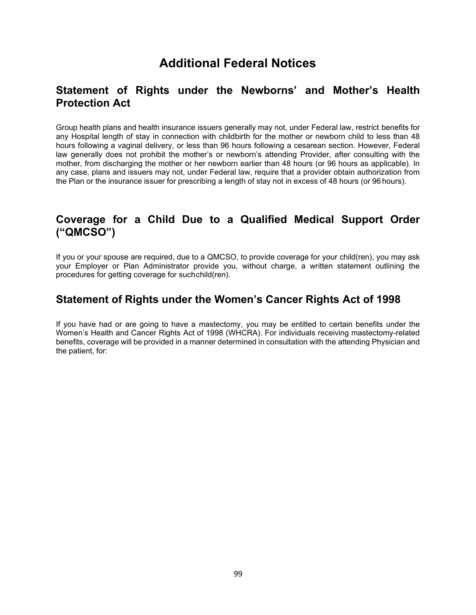# **Additional Federal Notices**

## **Statement of Rights under the Newborns' and Mother's Health Protection Act**

Group health plans and health insurance issuers generally may not, under Federal law, restrict benefits for any Hospital length of stay in connection with childbirth for the mother or newborn child to less than 48 hours following a vaginal delivery, or less than 96 hours following a cesarean section. However, Federal law generally does not prohibit the mother's or newborn's attending Provider, after consulting with the mother, from discharging the mother or her newborn earlier than 48 hours (or 96 hours as applicable). In any case, plans and issuers may not, under Federal law, require that a provider obtain authorization from the Plan or the insurance issuer for prescribing a length of stay not in excess of 48 hours (or 96 hours).

## **Coverage for a Child Due to a Qualified Medical Support Order ("QMCSO")**

If you or your spouse are required, due to a QMCSO, to provide coverage for your child(ren), you may ask your Employer or Plan Administrator provide you, without charge, a written statement outlining the procedures for getting coverage for suchchild(ren).

## **Statement of Rights under the Women's Cancer Rights Act of 1998**

If you have had or are going to have a mastectomy, you may be entitled to certain benefits under the Women's Health and Cancer Rights Act of 1998 (WHCRA). For individuals receiving mastectomy-related benefits, coverage will be provided in a manner determined in consultation with the attending Physician and the patient, for: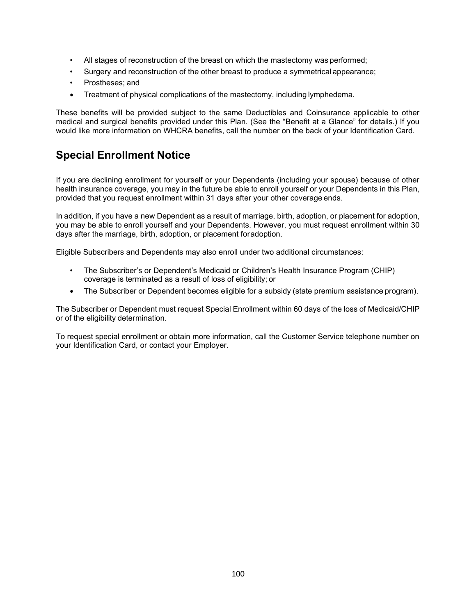- All stages of reconstruction of the breast on which the mastectomy was performed;
- Surgery and reconstruction of the other breast to produce a symmetrical appearance;
- Prostheses; and
- Treatment of physical complications of the mastectomy, including lymphedema.

These benefits will be provided subject to the same Deductibles and Coinsurance applicable to other medical and surgical benefits provided under this Plan. (See the "Benefit at a Glance" for details.) If you would like more information on WHCRA benefits, call the number on the back of your Identification Card.

## **Special Enrollment Notice**

If you are declining enrollment for yourself or your Dependents (including your spouse) because of other health insurance coverage, you may in the future be able to enroll yourself or your Dependents in this Plan, provided that you request enrollment within 31 days after your other coverage ends.

In addition, if you have a new Dependent as a result of marriage, birth, adoption, or placement for adoption, you may be able to enroll yourself and your Dependents. However, you must request enrollment within 30 days after the marriage, birth, adoption, or placement foradoption.

Eligible Subscribers and Dependents may also enroll under two additional circumstances:

- The Subscriber's or Dependent's Medicaid or Children's Health Insurance Program (CHIP) coverage is terminated as a result of loss of eligibility; or
- The Subscriber or Dependent becomes eligible for a subsidy (state premium assistance program).

The Subscriber or Dependent must request Special Enrollment within 60 days of the loss of Medicaid/CHIP or of the eligibility determination.

To request special enrollment or obtain more information, call the Customer Service telephone number on your Identification Card, or contact your Employer.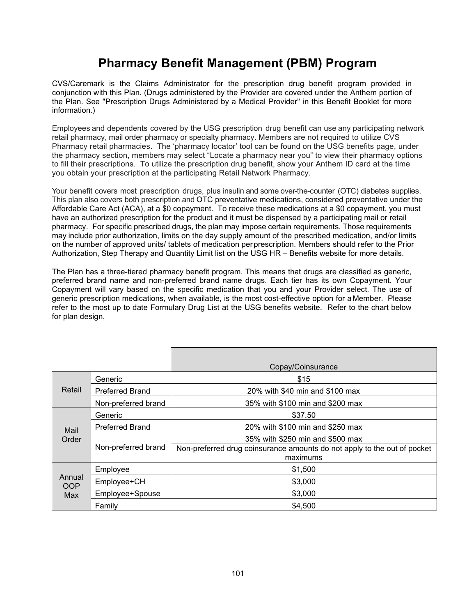# **Pharmacy Benefit Management (PBM) Program**

CVS/Caremark is the Claims Administrator for the prescription drug benefit program provided in conjunction with this Plan. (Drugs administered by the Provider are covered under the Anthem portion of the Plan. See "Prescription Drugs Administered by a Medical Provider" in this Benefit Booklet for more information.)

Employees and dependents covered by the USG prescription drug benefit can use any participating network retail pharmacy, mail order pharmacy or specialty pharmacy. Members are not required to utilize CVS Pharmacy retail pharmacies. The 'pharmacy locator' tool can be found on the USG benefits page, under the pharmacy section, members may select "Locate a pharmacy near you" to view their pharmacy options to fill their prescriptions. To utilize the prescription drug benefit, show your Anthem ID card at the time you obtain your prescription at the participating Retail Network Pharmacy.

Your benefit covers most prescription drugs, plus insulin and some over-the-counter (OTC) diabetes supplies. This plan also covers both prescription and OTC preventative medications, considered preventative under the Affordable Care Act (ACA), at a \$0 copayment. To receive these medications at a \$0 copayment, you must have an authorized prescription for the product and it must be dispensed by a participating mail or retail pharmacy. For specific prescribed drugs, the plan may impose certain requirements. Those requirements may include prior authorization, limits on the day supply amount of the prescribed medication, and/or limits on the number of approved units/ tablets of medication perprescription. Members should refer to the Prior Authorization, Step Therapy and Quantity Limit list on the USG HR – Benefits website for more details.

The Plan has a three-tiered pharmacy benefit program. This means that drugs are classified as generic, preferred brand name and non-preferred brand name drugs. Each tier has its own Copayment. Your Copayment will vary based on the specific medication that you and your Provider select. The use of generic prescription medications, when available, is the most cost-effective option for aMember. Please refer to the most up to date Formulary Drug List at the USG benefits website. Refer to the chart below for plan design.

|                             |                        | Copay/Coinsurance                                                                    |
|-----------------------------|------------------------|--------------------------------------------------------------------------------------|
| Retail                      | Generic                | \$15                                                                                 |
|                             | <b>Preferred Brand</b> | 20% with \$40 min and \$100 max                                                      |
|                             | Non-preferred brand    | 35% with \$100 min and \$200 max                                                     |
| Mail<br>Order               | Generic                | \$37.50                                                                              |
|                             | <b>Preferred Brand</b> | 20% with \$100 min and \$250 max                                                     |
|                             |                        | 35% with \$250 min and \$500 max                                                     |
|                             | Non-preferred brand    | Non-preferred drug coinsurance amounts do not apply to the out of pocket<br>maximums |
| Annual<br><b>OOP</b><br>Max | Employee               | \$1,500                                                                              |
|                             | Employee+CH            | \$3,000                                                                              |
|                             | Employee+Spouse        | \$3,000                                                                              |
|                             | Family                 | \$4,500                                                                              |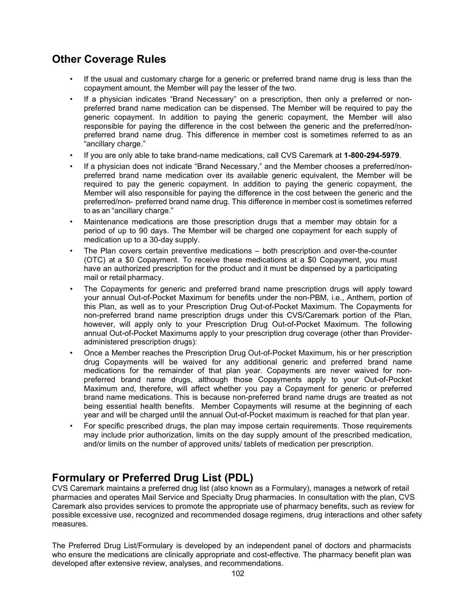## **Other Coverage Rules**

- If the usual and customary charge for a generic or preferred brand name drug is less than the copayment amount, the Member will pay the lesser of the two.
- If a physician indicates "Brand Necessary" on a prescription, then only a preferred or nonpreferred brand name medication can be dispensed. The Member will be required to pay the generic copayment. In addition to paying the generic copayment, the Member will also responsible for paying the difference in the cost between the generic and the preferred/nonpreferred brand name drug. This difference in member cost is sometimes referred to as an "ancillary charge."
- If you are only able to take brand-name medications, call CVS Caremark at **1-800-294-5979**.
- If a physician does not indicate "Brand Necessary," and the Member chooses a preferred/nonpreferred brand name medication over its available generic equivalent, the Member will be required to pay the generic copayment. In addition to paying the generic copayment, the Member will also responsible for paying the difference in the cost between the generic and the preferred/non- preferred brand name drug. This difference in member cost is sometimes referred to as an "ancillary charge."
- Maintenance medications are those prescription drugs that a member may obtain for a period of up to 90 days. The Member will be charged one copayment for each supply of medication up to a 30-day supply.
- The Plan covers certain preventive medications both prescription and over-the-counter (OTC) at a \$0 Copayment. To receive these medications at a \$0 Copayment, you must have an authorized prescription for the product and it must be dispensed by a participating mail or retail pharmacy.
- The Copayments for generic and preferred brand name prescription drugs will apply toward your annual Out-of-Pocket Maximum for benefits under the non-PBM, i.e., Anthem, portion of this Plan, as well as to your Prescription Drug Out-of-Pocket Maximum. The Copayments for non-preferred brand name prescription drugs under this CVS/Caremark portion of the Plan, however, will apply only to your Prescription Drug Out-of-Pocket Maximum. The following annual Out-of-Pocket Maximums apply to your prescription drug coverage (other than Provideradministered prescription drugs):
- Once a Member reaches the Prescription Drug Out-of-Pocket Maximum, his or her prescription drug Copayments will be waived for any additional generic and preferred brand name medications for the remainder of that plan year. Copayments are never waived for nonpreferred brand name drugs, although those Copayments apply to your Out-of-Pocket Maximum and, therefore, will affect whether you pay a Copayment for generic or preferred brand name medications. This is because non-preferred brand name drugs are treated as not being essential health benefits. Member Copayments will resume at the beginning of each year and will be charged until the annual Out-of-Pocket maximum is reached for that plan year.
- For specific prescribed drugs, the plan may impose certain requirements. Those requirements may include prior authorization, limits on the day supply amount of the prescribed medication, and/or limits on the number of approved units/ tablets of medication per prescription.

## **Formulary or Preferred Drug List (PDL)**

CVS Caremark maintains a preferred drug list (also known as a Formulary), manages a network of retail pharmacies and operates Mail Service and Specialty Drug pharmacies. In consultation with the plan, CVS Caremark also provides services to promote the appropriate use of pharmacy benefits, such as review for possible excessive use, recognized and recommended dosage regimens, drug interactions and other safety measures.

The Preferred Drug List/Formulary is developed by an independent panel of doctors and pharmacists who ensure the medications are clinically appropriate and cost-effective. The pharmacy benefit plan was developed after extensive review, analyses, and recommendations.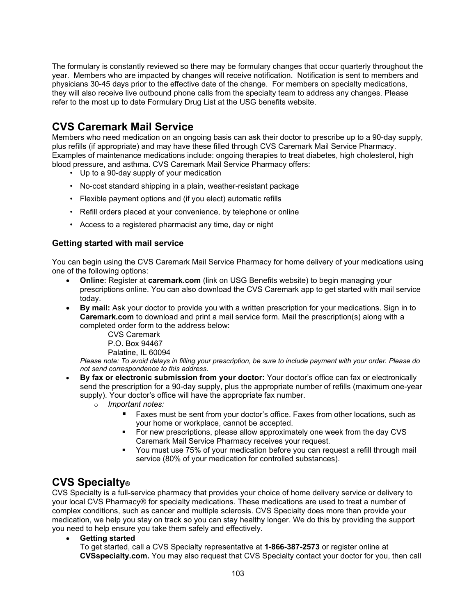The formulary is constantly reviewed so there may be formulary changes that occur quarterly throughout the year. Members who are impacted by changes will receive notification. Notification is sent to members and physicians 30-45 days prior to the effective date of the change. For members on specialty medications, they will also receive live outbound phone calls from the specialty team to address any changes. Please refer to the most up to date Formulary Drug List at the USG benefits website.

## **CVS Caremark Mail Service**

Members who need medication on an ongoing basis can ask their doctor to prescribe up to a 90-day supply, plus refills (if appropriate) and may have these filled through CVS Caremark Mail Service Pharmacy. Examples of maintenance medications include: ongoing therapies to treat diabetes, high cholesterol, high blood pressure, and asthma. CVS Caremark Mail Service Pharmacy offers:

- Up to a 90-day supply of your medication
- No-cost standard shipping in a plain, weather-resistant package
- Flexible payment options and (if you elect) automatic refills
- Refill orders placed at your convenience, by telephone or online
- Access to a registered pharmacist any time, day or night

#### **Getting started with mail service**

You can begin using the CVS Caremark Mail Service Pharmacy for home delivery of your medications using one of the following options:

- **Online**: Register at **caremark.com** (link on USG Benefits website) to begin managing your prescriptions online. You can also download the CVS Caremark app to get started with mail service today.
- **By mail:** Ask your doctor to provide you with a written prescription for your medications. Sign in to **Caremark.com** to download and print a mail service form. Mail the prescription(s) along with a completed order form to the address below:
	- CVS Caremark P.O. Box 94467
	- Palatine, IL 60094

*Please note: To avoid delays in filling your prescription, be sure to include payment with your order. Please do not send correspondence to this address.* 

- **By fax or electronic submission from your doctor:** Your doctor's office can fax or electronically send the prescription for a 90-day supply, plus the appropriate number of refills (maximum one-year supply). Your doctor's office will have the appropriate fax number.
	- o *Important notes:* 
		- Faxes must be sent from your doctor's office. Faxes from other locations, such as your home or workplace, cannot be accepted.
		- For new prescriptions, please allow approximately one week from the day CVS Caremark Mail Service Pharmacy receives your request.
		- You must use 75% of your medication before you can request a refill through mail service (80% of your medication for controlled substances).

## **CVS Specialty®**

CVS Specialty is a full-service pharmacy that provides your choice of home delivery service or delivery to your local CVS Pharmacy® for specialty medications. These medications are used to treat a number of complex conditions, such as cancer and multiple sclerosis. CVS Specialty does more than provide your medication, we help you stay on track so you can stay healthy longer. We do this by providing the support you need to help ensure you take them safely and effectively.

• **Getting started** 

To get started, call a CVS Specialty representative at **1-866-387-2573** or register online at **CVSspecialty.com.** You may also request that CVS Specialty contact your doctor for you, then call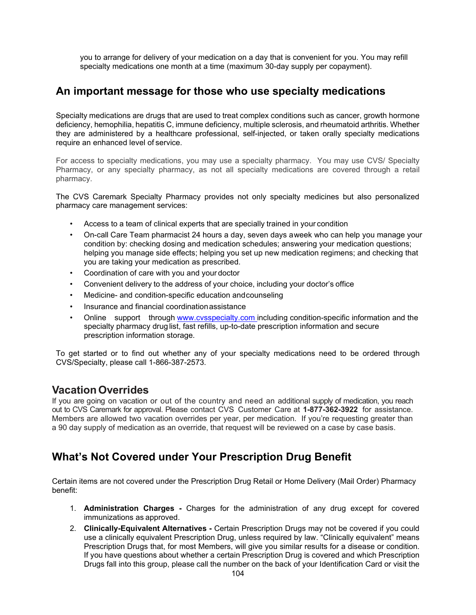you to arrange for delivery of your medication on a day that is convenient for you. You may refill specialty medications one month at a time (maximum 30-day supply per copayment).

## **An important message for those who use specialty medications**

Specialty medications are drugs that are used to treat complex conditions such as cancer, growth hormone deficiency, hemophilia, hepatitis C, immune deficiency, multiple sclerosis, and rheumatoid arthritis. Whether they are administered by a healthcare professional, self-injected, or taken orally specialty medications require an enhanced level of service.

For access to specialty medications, you may use a specialty pharmacy. You may use CVS/ Specialty Pharmacy, or any specialty pharmacy, as not all specialty medications are covered through a retail pharmacy.

The CVS Caremark Specialty Pharmacy provides not only specialty medicines but also personalized pharmacy care management services:

- Access to a team of clinical experts that are specially trained in your condition
- On-call Care Team pharmacist 24 hours a day, seven days aweek who can help you manage your condition by: checking dosing and medication schedules; answering your medication questions; helping you manage side effects; helping you set up new medication regimens; and checking that you are taking your medication as prescribed.
- Coordination of care with you and your doctor
- Convenient delivery to the address of your choice, including your doctor's office
- Medicine- and condition-specific education and counseling
- Insurance and financial coordinationassistance
- Online support through [www.cvsspecialty.com](http://www.cvsspecialty.com/) including condition-specific information and the specialty pharmacy drug list, fast refills, up-to-date prescription information and secure prescription information storage.

To get started or to find out whether any of your specialty medications need to be ordered through CVS/Specialty, please call 1-866-387-2573.

### **VacationOverrides**

If you are going on vacation or out of the country and need an additional supply of medication, you reach out to CVS Caremark for approval. Please contact CVS Customer Care at **1-877-362-3922** for assistance. Members are allowed two vacation overrides per year, per medication. If you're requesting greater than a 90 day supply of medication as an override, that request will be reviewed on a case by case basis.

## **What's Not Covered under Your Prescription Drug Benefit**

Certain items are not covered under the Prescription Drug Retail or Home Delivery (Mail Order) Pharmacy benefit:

- 1. **Administration Charges -** Charges for the administration of any drug except for covered immunizations as approved.
- 2. **Clinically-Equivalent Alternatives -** Certain Prescription Drugs may not be covered if you could use a clinically equivalent Prescription Drug, unless required by law. "Clinically equivalent" means Prescription Drugs that, for most Members, will give you similar results for a disease or condition. If you have questions about whether a certain Prescription Drug is covered and which Prescription Drugs fall into this group, please call the number on the back of your Identification Card or visit the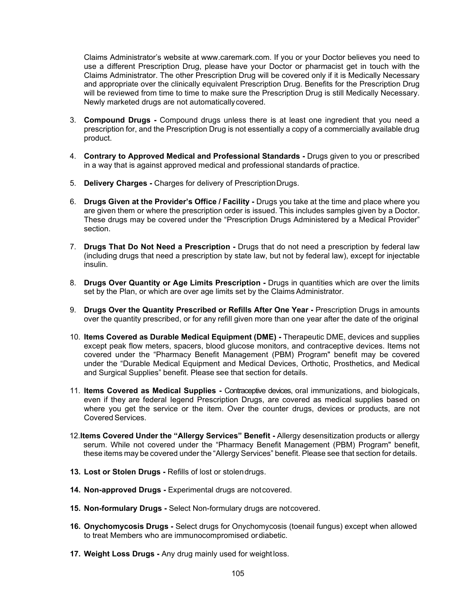Claims Administrator's website at [www.caremark.com. I](http://www.caremark.com/)f you or your Doctor believes you need to use a different Prescription Drug, please have your Doctor or pharmacist get in touch with the Claims Administrator. The other Prescription Drug will be covered only if it is Medically Necessary and appropriate over the clinically equivalent Prescription Drug. Benefits for the Prescription Drug will be reviewed from time to time to make sure the Prescription Drug is still Medically Necessary. Newly marketed drugs are not automaticallycovered.

- 3. **Compound Drugs -** Compound drugs unless there is at least one ingredient that you need a prescription for, and the Prescription Drug is not essentially a copy of a commercially available drug product.
- 4. **Contrary to Approved Medical and Professional Standards -** Drugs given to you or prescribed in a way that is against approved medical and professional standards of practice.
- 5. **Delivery Charges -** Charges for delivery of PrescriptionDrugs.
- 6. **Drugs Given at the Provider's Office / Facility -** Drugs you take at the time and place where you are given them or where the prescription order is issued. This includes samples given by a Doctor. These drugs may be covered under the "Prescription Drugs Administered by a Medical Provider" section.
- 7. **Drugs That Do Not Need a Prescription -** Drugs that do not need a prescription by federal law (including drugs that need a prescription by state law, but not by federal law), except for injectable insulin.
- 8. **Drugs Over Quantity or Age Limits Prescription -** Drugs in quantities which are over the limits set by the Plan, or which are over age limits set by the Claims Administrator.
- 9. **Drugs Over the Quantity Prescribed or Refills After One Year -** Prescription Drugs in amounts over the quantity prescribed, or for any refill given more than one year after the date of the original
- 10. **Items Covered as Durable Medical Equipment (DME) -** Therapeutic DME, devices and supplies except peak flow meters, spacers, blood glucose monitors, and contraceptive devices. Items not covered under the "Pharmacy Benefit Management (PBM) Program" benefit may be covered under the "Durable Medical Equipment and Medical Devices, Orthotic, Prosthetics, and Medical and Surgical Supplies" benefit. Please see that section for details.
- 11. **Items Covered as Medical Supplies -** Contraceptive devices, oral immunizations, and biologicals, even if they are federal legend Prescription Drugs, are covered as medical supplies based on where you get the service or the item. Over the counter drugs, devices or products, are not Covered Services.
- 12.**Items Covered Under the "Allergy Services" Benefit -** Allergy desensitization products or allergy serum. While not covered under the "Pharmacy Benefit Management (PBM) Program" benefit, these items may be covered under the "Allergy Services" benefit. Please see that section for details.
- **13. Lost or Stolen Drugs -** Refills of lost or stolendrugs.
- **14. Non-approved Drugs -** Experimental drugs are notcovered.
- **15. Non-formulary Drugs -** Select Non-formulary drugs are notcovered.
- **16. Onychomycosis Drugs -** Select drugs for Onychomycosis (toenail fungus) except when allowed to treat Members who are immunocompromised ordiabetic.
- **17. Weight Loss Drugs -** Any drug mainly used for weightloss.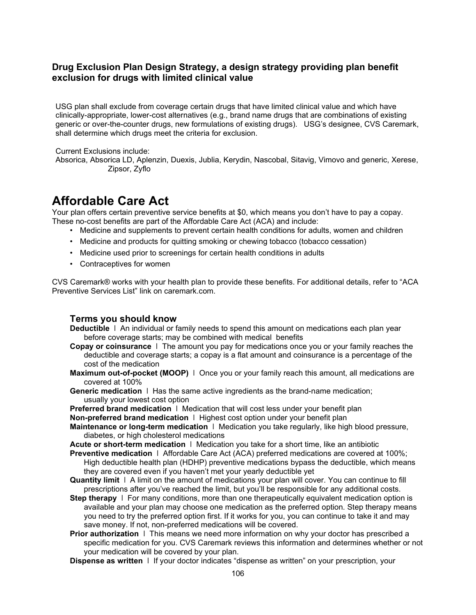#### **Drug Exclusion Plan Design Strategy, a design strategy providing plan benefit exclusion for drugs with limited clinical value**

USG plan shall exclude from coverage certain drugs that have limited clinical value and which have clinically-appropriate, lower-cost alternatives (e.g., brand name drugs that are combinations of existing generic or over-the-counter drugs, new formulations of existing drugs). USG's designee, CVS Caremark, shall determine which drugs meet the criteria for exclusion.

Current Exclusions include:

Absorica, Absorica LD, Aplenzin, Duexis, Jublia, Kerydin, Nascobal, Sitavig, Vimovo and generic, Xerese, Zipsor, Zyflo

## **Affordable Care Act**

Your plan offers certain preventive service benefits at \$0, which means you don't have to pay a copay. These no-cost benefits are part of the Affordable Care Act (ACA) and include:

- Medicine and supplements to prevent certain health conditions for adults, women and children
- Medicine and products for quitting smoking or chewing tobacco (tobacco cessation)
- Medicine used prior to screenings for certain health conditions in adults
- Contraceptives for women

CVS Caremark® works with your health plan to provide these benefits. For additional details, refer to "ACA Preventive Services List" link on caremark.com.

#### **Terms you should know**

- **Deductible** ǀ An individual or family needs to spend this amount on medications each plan year before coverage starts; may be combined with medical benefits
- **Copay or coinsurance** ǀ The amount you pay for medications once you or your family reaches the deductible and coverage starts; a copay is a flat amount and coinsurance is a percentage of the cost of the medication
- **Maximum out-of-pocket (MOOP)**  $\vdash$  Once you or your family reach this amount, all medications are covered at 100%
- **Generic medication**  $\vert \vert$  Has the same active ingredients as the brand-name medication; usually your lowest cost option

**Preferred brand medication** ǀ Medication that will cost less under your benefit plan

- **Non-preferred brand medication** | Highest cost option under your benefit plan
- **Maintenance or long-term medication** ǀ Medication you take regularly, like high blood pressure, diabetes, or high cholesterol medications
- **Acute or short-term medication** ǀ Medication you take for a short time, like an antibiotic
- **Preventive medication** ǀ Affordable Care Act (ACA) preferred medications are covered at 100%; High deductible health plan (HDHP) preventive medications bypass the deductible, which means they are covered even if you haven't met your yearly deductible yet
- **Quantity limit** ǀ A limit on the amount of medications your plan will cover. You can continue to fill prescriptions after you've reached the limit, but you'll be responsible for any additional costs.
- **Step therapy**  $\vert$  For many conditions, more than one therapeutically equivalent medication option is available and your plan may choose one medication as the preferred option. Step therapy means you need to try the preferred option first. If it works for you, you can continue to take it and may save money. If not, non-preferred medications will be covered.
- **Prior authorization** I This means we need more information on why your doctor has prescribed a specific medication for you. CVS Caremark reviews this information and determines whether or not your medication will be covered by your plan.

**Dispense as written** ǀ If your doctor indicates "dispense as written" on your prescription, your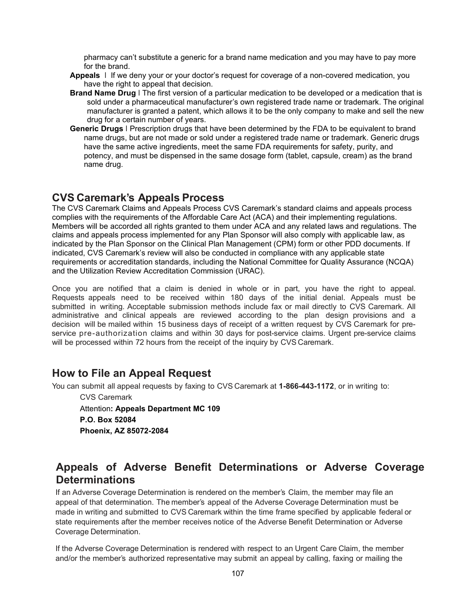pharmacy can't substitute a generic for a brand name medication and you may have to pay more for the brand.

- **Appeals** ǀ If we deny your or your doctor's request for coverage of a non-covered medication, you have the right to appeal that decision.
- **Brand Name Drug** ǀ The first version of a particular medication to be developed or a medication that is sold under a pharmaceutical manufacturer's own registered trade name or trademark. The original manufacturer is granted a patent, which allows it to be the only company to make and sell the new drug for a certain number of years.
- **Generic Drugs** ǀ Prescription drugs that have been determined by the FDA to be equivalent to brand name drugs, but are not made or sold under a registered trade name or trademark. Generic drugs have the same active ingredients, meet the same FDA requirements for safety, purity, and potency, and must be dispensed in the same dosage form (tablet, capsule, cream) as the brand name drug.

## **CVS Caremark's Appeals Process**

The CVS Caremark Claims and Appeals Process CVS Caremark's standard claims and appeals process complies with the requirements of the Affordable Care Act (ACA) and their implementing regulations. Members will be accorded all rights granted to them under ACA and any related laws and regulations. The claims and appeals process implemented for any Plan Sponsor will also comply with applicable law, as indicated by the Plan Sponsor on the Clinical Plan Management (CPM) form or other PDD documents. If indicated, CVS Caremark's review will also be conducted in compliance with any applicable state requirements or accreditation standards, including the National Committee for Quality Assurance (NCQA) and the Utilization Review Accreditation Commission (URAC).

Once you are notified that a claim is denied in whole or in part, you have the right to appeal. Requests appeals need to be received within 180 days of the initial denial. Appeals must be submitted in writing. Acceptable submission methods include fax or mail directly to CVS Caremark. All administrative and clinical appeals are reviewed according to the plan design provisions and a decision will be mailed within 15 business days of receipt of a written request by CVS Caremark for preservice pre-authorization claims and within 30 days for post-service claims. Urgent pre-service claims will be processed within 72 hours from the receipt of the inquiry by CVS Caremark.

## **How to File an Appeal Request**

You can submit all appeal requests by faxing to CVS Caremark at **1-866-443-1172**, or in writing to:

CVS Caremark Attention**: Appeals Department MC 109 P.O. Box 52084 Phoenix, AZ 85072-2084**

## **Appeals of Adverse Benefit Determinations or Adverse Coverage Determinations**

If an Adverse Coverage Determination is rendered on the member's Claim, the member may file an appeal of that determination. The member's appeal of the Adverse Coverage Determination must be made in writing and submitted to CVS Caremark within the time frame specified by applicable federal or state requirements after the member receives notice of the Adverse Benefit Determination or Adverse Coverage Determination.

If the Adverse Coverage Determination is rendered with respect to an Urgent Care Claim, the member and/or the member's authorized representative may submit an appeal by calling, faxing or mailing the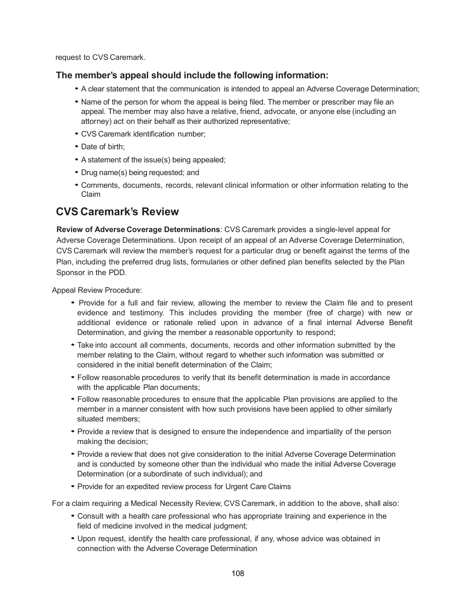request to CVS Caremark.

#### **The member's appeal should include the following information:**

- <sup>A</sup> clear statement that the communication is intended to appeal an Adverse Coverage Determination;
- Name of the person for whom the appeal is being filed. The member or prescriber may file an appeal. The member may also have a relative, friend, advocate, or anyone else (including an attorney) act on their behalf as their authorized representative;
- CVS Caremark identification number;
- Date of birth;
- <sup>A</sup> statement of the issue(s) being appealed;
- Drug name(s) being requested; and
- Comments, documents, records, relevant clinical information or other information relating to the Claim

## **CVS Caremark's Review**

**Review of Adverse Coverage Determinations**: CVS Caremark provides a single-level appeal for Adverse Coverage Determinations. Upon receipt of an appeal of an Adverse Coverage Determination, CVS Caremark will review the member's request for a particular drug or benefit against the terms of the Plan, including the preferred drug lists, formularies or other defined plan benefits selected by the Plan Sponsor in the PDD.

Appeal Review Procedure:

- Provide for <sup>a</sup> full and fair review, allowing the member to review the Claim file and to present evidence and testimony. This includes providing the member (free of charge) with new or additional evidence or rationale relied upon in advance of a final internal Adverse Benefit Determination, and giving the member a reasonable opportunity to respond;
- Take into account all comments, documents, records and other information submitted by the member relating to the Claim, without regard to whether such information was submitted or considered in the initial benefit determination of the Claim;
- Follow reasonable procedures to verify that its benefit determination is made in accordance with the applicable Plan documents;
- Follow reasonable procedures to ensure that the applicable Plan provisions are applied to the member in a manner consistent with how such provisions have been applied to other similarly situated members;
- Provide a review that is designed to ensure the independence and impartiality of the person making the decision;
- Provide <sup>a</sup> review that does not give consideration to the initial Adverse Coverage Determination and is conducted by someone other than the individual who made the initial Adverse Coverage Determination (or a subordinate of such individual); and
- Provide for an expedited review process for Urgent Care Claims

For a claim requiring a Medical Necessity Review, CVS Caremark, in addition to the above, shall also:

- Consult with <sup>a</sup> health care professional who has appropriate training and experience in the field of medicine involved in the medical judgment;
- Upon request, identify the health care professional, if any, whose advice was obtained in connection with the Adverse Coverage Determination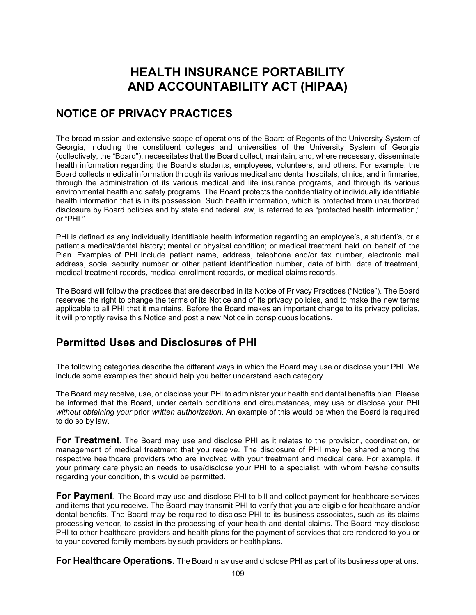# **HEALTH INSURANCE PORTABILITY AND ACCOUNTABILITY ACT (HIPAA)**

## **NOTICE OF PRIVACY PRACTICES**

The broad mission and extensive scope of operations of the Board of Regents of the University System of Georgia, including the constituent colleges and universities of the University System of Georgia (collectively, the "Board"), necessitates that the Board collect, maintain, and, where necessary, disseminate health information regarding the Board's students, employees, volunteers, and others. For example, the Board collects medical information through its various medical and dental hospitals, clinics, and infirmaries, through the administration of its various medical and life insurance programs, and through its various environmental health and safety programs. The Board protects the confidentiality of individually identifiable health information that is in its possession. Such health information, which is protected from unauthorized disclosure by Board policies and by state and federal law, is referred to as "protected health information," or "PHI."

PHI is defined as any individually identifiable health information regarding an employee's, a student's, or a patient's medical/dental history; mental or physical condition; or medical treatment held on behalf of the Plan. Examples of PHI include patient name, address, telephone and/or fax number, electronic mail address, social security number or other patient identification number, date of birth, date of treatment, medical treatment records, medical enrollment records, or medical claims records.

The Board will follow the practices that are described in its Notice of Privacy Practices ("Notice"). The Board reserves the right to change the terms of its Notice and of its privacy policies, and to make the new terms applicable to all PHI that it maintains. Before the Board makes an important change to its privacy policies, it will promptly revise this Notice and post a new Notice in conspicuouslocations.

## **Permitted Uses and Disclosures of PHI**

The following categories describe the different ways in which the Board may use or disclose your PHI. We include some examples that should help you better understand each category.

The Board may receive, use, or disclose your PHI to administer your health and dental benefits plan. Please be informed that the Board, under certain conditions and circumstances, may use or disclose your PHI *without obtaining your* prior *written authorization*. An example of this would be when the Board is required to do so by law.

**For Treatment**. The Board may use and disclose PHI as it relates to the provision, coordination, or management of medical treatment that you receive. The disclosure of PHI may be shared among the respective healthcare providers who are involved with your treatment and medical care. For example, if your primary care physician needs to use/disclose your PHI to a specialist, with whom he/she consults regarding your condition, this would be permitted.

**For Payment**. The Board may use and disclose PHI to bill and collect payment for healthcare services and items that you receive. The Board may transmit PHI to verify that you are eligible for healthcare and/or dental benefits. The Board may be required to disclose PHI to its business associates, such as its claims processing vendor, to assist in the processing of your health and dental claims. The Board may disclose PHI to other healthcare providers and health plans for the payment of services that are rendered to you or to your covered family members by such providers or health plans.

**For Healthcare Operations.** The Board may use and disclose PHI as part of its business operations.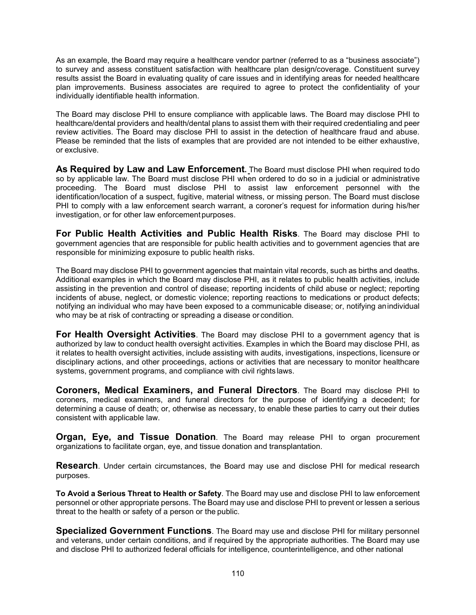As an example, the Board may require a healthcare vendor partner (referred to as a "business associate") to survey and assess constituent satisfaction with healthcare plan design/coverage. Constituent survey results assist the Board in evaluating quality of care issues and in identifying areas for needed healthcare plan improvements. Business associates are required to agree to protect the confidentiality of your individually identifiable health information.

The Board may disclose PHI to ensure compliance with applicable laws. The Board may disclose PHI to healthcare/dental providers and health/dental plans to assist them with their required credentialing and peer review activities. The Board may disclose PHI to assist in the detection of healthcare fraud and abuse. Please be reminded that the lists of examples that are provided are not intended to be either exhaustive, or exclusive.

**As Required by Law and Law Enforcement.** The Board must disclose PHI when required todo so by applicable law. The Board must disclose PHI when ordered to do so in a judicial or administrative proceeding. The Board must disclose PHI to assist law enforcement personnel with the identification/location of a suspect, fugitive, material witness, or missing person. The Board must disclose PHI to comply with a law enforcement search warrant, a coroner's request for information during his/her investigation, or for other law enforcementpurposes.

**For Public Health Activities and Public Health Risks**. The Board may disclose PHI to government agencies that are responsible for public health activities and to government agencies that are responsible for minimizing exposure to public health risks.

The Board may disclose PHI to government agencies that maintain vital records, such as births and deaths. Additional examples in which the Board may disclose PHI, as it relates to public health activities, include assisting in the prevention and control of disease; reporting incidents of child abuse or neglect; reporting incidents of abuse, neglect, or domestic violence; reporting reactions to medications or product defects; notifying an individual who may have been exposed to a communicable disease; or, notifying anindividual who may be at risk of contracting or spreading a disease or condition.

**For Health Oversight Activities**. The Board may disclose PHI to a government agency that is authorized by law to conduct health oversight activities. Examples in which the Board may disclose PHI, as it relates to health oversight activities, include assisting with audits, investigations, inspections, licensure or disciplinary actions, and other proceedings, actions or activities that are necessary to monitor healthcare systems, government programs, and compliance with civil rights laws.

**Coroners, Medical Examiners, and Funeral Directors**. The Board may disclose PHI to coroners, medical examiners, and funeral directors for the purpose of identifying a decedent; for determining a cause of death; or, otherwise as necessary, to enable these parties to carry out their duties consistent with applicable law.

**Organ, Eye, and Tissue Donation**. The Board may release PHI to organ procurement organizations to facilitate organ, eye, and tissue donation and transplantation.

**Research**. Under certain circumstances, the Board may use and disclose PHI for medical research purposes.

**To Avoid a Serious Threat to Health or Safety**. The Board may use and disclose PHI to law enforcement personnel or other appropriate persons. The Board may use and disclose PHI to prevent or lessen a serious threat to the health or safety of a person or the public.

**Specialized Government Functions**. The Board may use and disclose PHI for military personnel and veterans, under certain conditions, and if required by the appropriate authorities. The Board may use and disclose PHI to authorized federal officials for intelligence, counterintelligence, and other national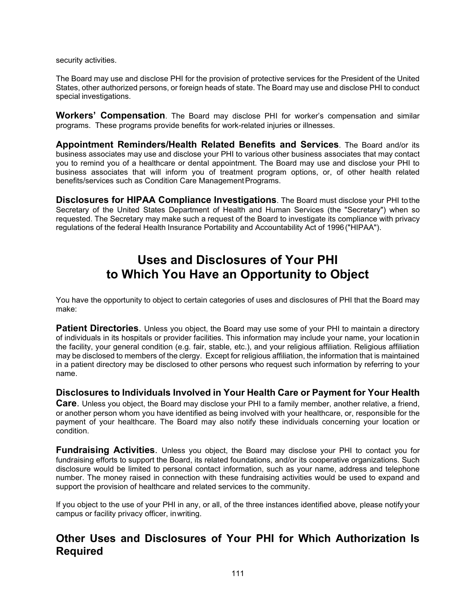security activities.

The Board may use and disclose PHI for the provision of protective services for the President of the United States, other authorized persons, or foreign heads of state. The Board may use and disclose PHI to conduct special investigations.

**Workers' Compensation**. The Board may disclose PHI for worker's compensation and similar programs. These programs provide benefits for work-related injuries or illnesses.

**Appointment Reminders/Health Related Benefits and Services**. The Board and/or its business associates may use and disclose your PHI to various other business associates that may contact you to remind you of a healthcare or dental appointment. The Board may use and disclose your PHI to business associates that will inform you of treatment program options, or, of other health related benefits/services such as Condition Care Management Programs.

**Disclosures for HIPAA Compliance Investigations**. The Board must disclose your PHI tothe Secretary of the United States Department of Health and Human Services (the "Secretary") when so requested. The Secretary may make such a request of the Board to investigate its compliance with privacy regulations of the federal Health Insurance Portability and Accountability Act of 1996("HIPAA").

## **Uses and Disclosures of Your PHI to Which You Have an Opportunity to Object**

You have the opportunity to object to certain categories of uses and disclosures of PHI that the Board may make:

**Patient Directories**. Unless you object, the Board may use some of your PHI to maintain a directory of individuals in its hospitals or provider facilities. This information may include your name, your locationin the facility, your general condition (e.g. fair, stable, etc.), and your religious affiliation. Religious affiliation may be disclosed to members of the clergy. Except for religious affiliation, the information that is maintained in a patient directory may be disclosed to other persons who request such information by referring to your name.

#### **Disclosures to Individuals Involved in Your Health Care or Payment for Your Health**

**Care**. Unless you object, the Board may disclose your PHI to a family member, another relative, a friend, or another person whom you have identified as being involved with your healthcare, or, responsible for the payment of your healthcare. The Board may also notify these individuals concerning your location or condition.

**Fundraising Activities**. Unless you object, the Board may disclose your PHI to contact you for fundraising efforts to support the Board, its related foundations, and/or its cooperative organizations. Such disclosure would be limited to personal contact information, such as your name, address and telephone number. The money raised in connection with these fundraising activities would be used to expand and support the provision of healthcare and related services to the community.

If you object to the use of your PHI in any, or all, of the three instances identified above, please notify your campus or facility privacy officer, inwriting.

### **Other Uses and Disclosures of Your PHI for Which Authorization Is Required**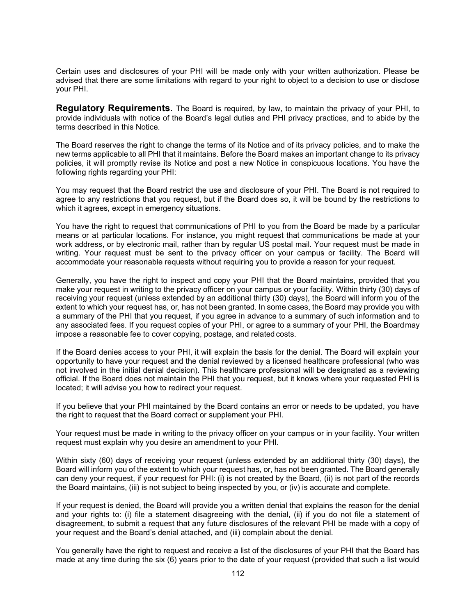Certain uses and disclosures of your PHI will be made only with your written authorization. Please be advised that there are some limitations with regard to your right to object to a decision to use or disclose your PHI.

**Regulatory Requirements**. The Board is required, by law, to maintain the privacy of your PHI, to provide individuals with notice of the Board's legal duties and PHI privacy practices, and to abide by the terms described in this Notice.

The Board reserves the right to change the terms of its Notice and of its privacy policies, and to make the new terms applicable to all PHI that it maintains. Before the Board makes an important change to its privacy policies, it will promptly revise its Notice and post a new Notice in conspicuous locations. You have the following rights regarding your PHI:

You may request that the Board restrict the use and disclosure of your PHI. The Board is not required to agree to any restrictions that you request, but if the Board does so, it will be bound by the restrictions to which it agrees, except in emergency situations.

You have the right to request that communications of PHI to you from the Board be made by a particular means or at particular locations. For instance, you might request that communications be made at your work address, or by electronic mail, rather than by regular US postal mail. Your request must be made in writing. Your request must be sent to the privacy officer on your campus or facility. The Board will accommodate your reasonable requests without requiring you to provide a reason for your request.

Generally, you have the right to inspect and copy your PHI that the Board maintains, provided that you make your request in writing to the privacy officer on your campus or your facility. Within thirty (30) days of receiving your request (unless extended by an additional thirty (30) days), the Board will inform you of the extent to which your request has, or, has not been granted. In some cases, the Board may provide you with a summary of the PHI that you request, if you agree in advance to a summary of such information and to any associated fees. If you request copies of your PHI, or agree to a summary of your PHI, the Boardmay impose a reasonable fee to cover copying, postage, and related costs.

If the Board denies access to your PHI, it will explain the basis for the denial. The Board will explain your opportunity to have your request and the denial reviewed by a licensed healthcare professional (who was not involved in the initial denial decision). This healthcare professional will be designated as a reviewing official. If the Board does not maintain the PHI that you request, but it knows where your requested PHI is located; it will advise you how to redirect your request.

If you believe that your PHI maintained by the Board contains an error or needs to be updated, you have the right to request that the Board correct or supplement your PHI.

Your request must be made in writing to the privacy officer on your campus or in your facility. Your written request must explain why you desire an amendment to your PHI.

Within sixty (60) days of receiving your request (unless extended by an additional thirty (30) days), the Board will inform you of the extent to which your request has, or, has not been granted. The Board generally can deny your request, if your request for PHI: (i) is not created by the Board, (ii) is not part of the records the Board maintains, (iii) is not subject to being inspected by you, or (iv) is accurate and complete.

If your request is denied, the Board will provide you a written denial that explains the reason for the denial and your rights to: (i) file a statement disagreeing with the denial, (ii) if you do not file a statement of disagreement, to submit a request that any future disclosures of the relevant PHI be made with a copy of your request and the Board's denial attached, and (iii) complain about the denial.

You generally have the right to request and receive a list of the disclosures of your PHI that the Board has made at any time during the six (6) years prior to the date of your request (provided that such a list would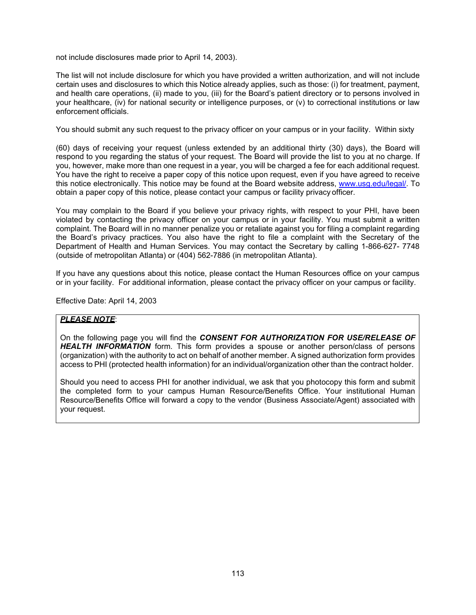not include disclosures made prior to April 14, 2003).

The list will not include disclosure for which you have provided a written authorization, and will not include certain uses and disclosures to which this Notice already applies, such as those: (i) for treatment, payment, and health care operations, (ii) made to you, (iii) for the Board's patient directory or to persons involved in your healthcare, (iv) for national security or intelligence purposes, or (v) to correctional institutions or law enforcement officials.

You should submit any such request to the privacy officer on your campus or in your facility. Within sixty

(60) days of receiving your request (unless extended by an additional thirty (30) days), the Board will respond to you regarding the status of your request. The Board will provide the list to you at no charge. If you, however, make more than one request in a year, you will be charged a fee for each additional request. You have the right to receive a paper copy of this notice upon request, even if you have agreed to receive this notice electronically. This notice may be found at the Board website address, [www.usg.edu/legal/. T](http://www.usg.edu/legal/)o obtain a paper copy of this notice, please contact your campus or facility privacy officer.

You may complain to the Board if you believe your privacy rights, with respect to your PHI, have been violated by contacting the privacy officer on your campus or in your facility. You must submit a written complaint. The Board will in no manner penalize you or retaliate against you for filing a complaint regarding the Board's privacy practices. You also have the right to file a complaint with the Secretary of the Department of Health and Human Services. You may contact the Secretary by calling 1-866-627- 7748 (outside of metropolitan Atlanta) or (404) 562-7886 (in metropolitan Atlanta).

If you have any questions about this notice, please contact the Human Resources office on your campus or in your facility. For additional information, please contact the privacy officer on your campus or facility.

Effective Date: April 14, 2003

#### *PLEASE NOTE*:

On the following page you will find the *CONSENT FOR AUTHORIZATION FOR USE/RELEASE OF HEALTH INFORMATION* form. This form provides a spouse or another person/class of persons (organization) with the authority to act on behalf of another member. A signed authorization form provides access to PHI (protected health information) for an individual/organization other than the contract holder.

Should you need to access PHI for another individual, we ask that you photocopy this form and submit the completed form to your campus Human Resource/Benefits Office. Your institutional Human Resource/Benefits Office will forward a copy to the vendor (Business Associate/Agent) associated with your request.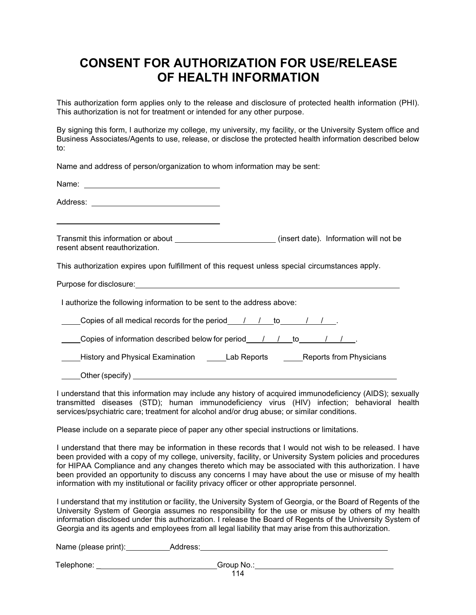## **CONSENT FOR AUTHORIZATION FOR USE/RELEASE OF HEALTH INFORMATION**

This authorization form applies only to the release and disclosure of protected health information (PHI). This authorization is not for treatment or intended for any other purpose.

By signing this form, I authorize my college, my university, my facility, or the University System office and Business Associates/Agents to use, release, or disclose the protected health information described below to:

Name and address of person/organization to whom information may be sent:

Name: when the contract of the contract of the contract of the contract of the contract of the contract of the contract of the contract of the contract of the contract of the contract of the contract of the contract of the

Address:

Transmit this information or about \_\_\_\_\_\_\_\_\_\_\_\_\_\_\_\_\_\_\_\_\_\_\_\_\_\_(insert date). Information will not be resent absent reauthorization.

This authorization expires upon fulfillment of this request unless special circumstances apply.

Purpose for disclosure:

I authorize the following information to be sent to the address above:

Copies of all medical records for the period  $\frac{1}{1-\frac{1}{1-\frac{1}{1-\frac{1}{1-\frac{1}{1-\frac{1}{1-\frac{1}{1-\frac{1}{1-\frac{1}{1-\frac{1}{1-\frac{1}{1-\frac{1}{1-\frac{1}{1-\frac{1}{1-\frac{1}{1-\frac{1}{1-\frac{1}{1-\frac{1}{1-\frac{1}{1-\frac{1}{1-\frac{1}{1-\frac{1}{1-\frac{1}{1-\frac{1}{1-\frac{1}{1-\frac{1}{1-\frac{1}{1-\frac{1}{1-\frac{1}{1-\$ 

Copies of information described below for period\_///to\_////

**EXALLET ACTS History and Physical Examination Lab Reports CLAB Reports from Physicians** 

Other (specify)

I understand that this information may include any history of acquired immunodeficiency (AIDS); sexually transmitted diseases (STD); human immunodeficiency virus (HIV) infection; behavioral health services/psychiatric care; treatment for alcohol and/or drug abuse; or similar conditions.

Please include on a separate piece of paper any other special instructions or limitations.

I understand that there may be information in these records that I would not wish to be released. I have been provided with a copy of my college, university, facility, or University System policies and procedures for HIPAA Compliance and any changes thereto which may be associated with this authorization. I have been provided an opportunity to discuss any concerns I may have about the use or misuse of my health information with my institutional or facility privacy officer or other appropriate personnel.

I understand that my institution or facility, the University System of Georgia, or the Board of Regents of the University System of Georgia assumes no responsibility for the use or misuse by others of my health information disclosed under this authorization. I release the Board of Regents of the University System of Georgia and its agents and employees from all legal liability that may arise from this authorization.

Name (please print): Address:

Telephone: The Group No.: Group No.: The Group No.: The Group No.: The Group No.: The Group No.: The Group No.: The Group No.: The Group No.: The Group No.: The Group No.: The Group No.: The Group No.: The Group No.: The G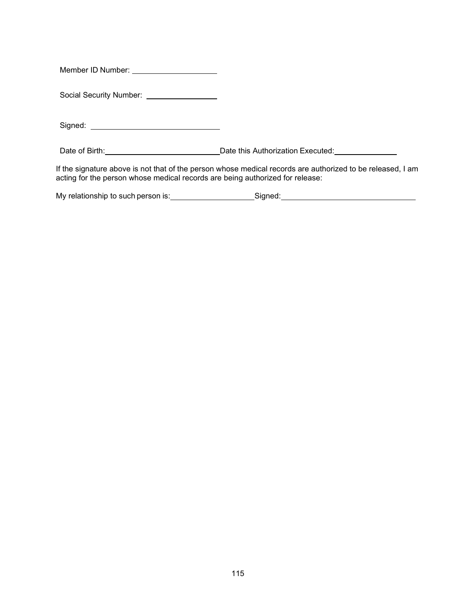Member ID Number:

Social Security Number: \_\_\_\_\_\_\_\_\_\_\_\_\_\_\_\_\_

Signed:

Date of Birth: <u>Date of Birth: Date this Authorization Executed:</u>

If the signature above is not that of the person whose medical records are authorized to be released, I am acting for the person whose medical records are being authorized for release:

| My relationship to such person is: | Sianed: |  |
|------------------------------------|---------|--|
|                                    |         |  |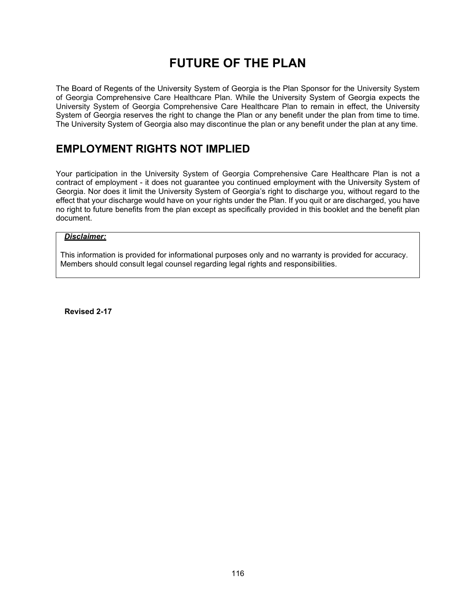# **FUTURE OF THE PLAN**

The Board of Regents of the University System of Georgia is the Plan Sponsor for the University System of Georgia Comprehensive Care Healthcare Plan. While the University System of Georgia expects the University System of Georgia Comprehensive Care Healthcare Plan to remain in effect, the University System of Georgia reserves the right to change the Plan or any benefit under the plan from time to time. The University System of Georgia also may discontinue the plan or any benefit under the plan at any time.

## **EMPLOYMENT RIGHTS NOT IMPLIED**

Your participation in the University System of Georgia Comprehensive Care Healthcare Plan is not a contract of employment - it does not guarantee you continued employment with the University System of Georgia. Nor does it limit the University System of Georgia's right to discharge you, without regard to the effect that your discharge would have on your rights under the Plan. If you quit or are discharged, you have no right to future benefits from the plan except as specifically provided in this booklet and the benefit plan document.

#### *Disclaimer:*

This information is provided for informational purposes only and no warranty is provided for accuracy. Members should consult legal counsel regarding legal rights and responsibilities.

**Revised 2-17**